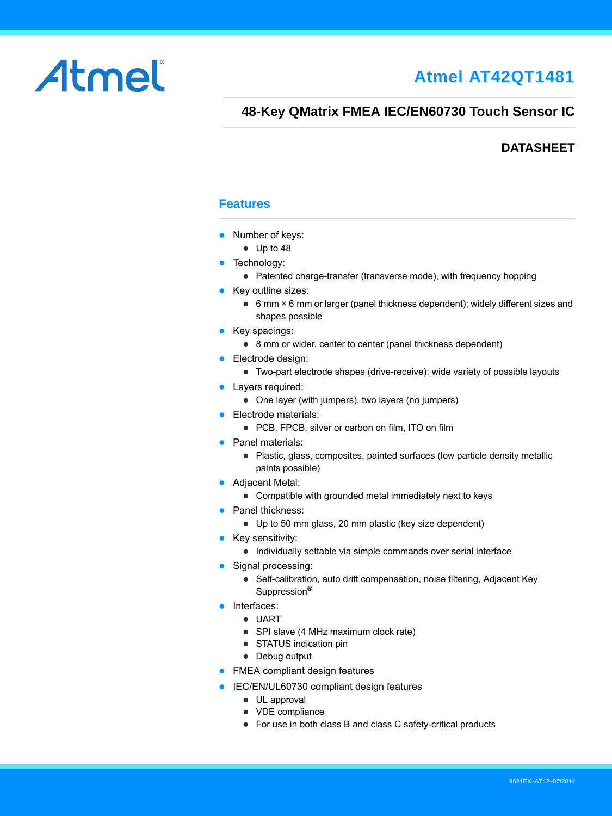# Atmel

# **Atmel AT42QT1481**

## **48-Key QMatrix FMEA IEC/EN60730 Touch Sensor IC**

## **DATASHEET**

## **Features**

- Number of keys:
	- Up to 48
- Technology:
	- Patented charge-transfer (transverse mode), with frequency hopping
- Key outline sizes:
	- 6 mm × 6 mm or larger (panel thickness dependent); widely different sizes and shapes possible
- Key spacings:
	- 8 mm or wider, center to center (panel thickness dependent)
- **Electrode design:** 
	- Two-part electrode shapes (drive-receive); wide variety of possible layouts
- Layers required:
	- One layer (with jumpers), two layers (no jumpers)
- Electrode materials:
	- PCB, FPCB, silver or carbon on film, ITO on film
- Panel materials:
	- Plastic, glass, composites, painted surfaces (low particle density metallic paints possible)
- Adjacent Metal:
	- Compatible with grounded metal immediately next to keys
- Panel thickness:
	- Up to 50 mm glass, 20 mm plastic (key size dependent)
- $\bullet$  Key sensitivity:
	- Individually settable via simple commands over serial interface
- Signal processing:
	- Self-calibration, auto drift compensation, noise filtering, Adjacent Key Suppression®
- Interfaces:
	- UART
	- SPI slave (4 MHz maximum clock rate)
	- STATUS indication pin
	- Debug output
- FMEA compliant design features
- **IEC/EN/UL60730 compliant design features** 
	- UL approval
	- VDE compliance
	- For use in both class B and class C safety-critical products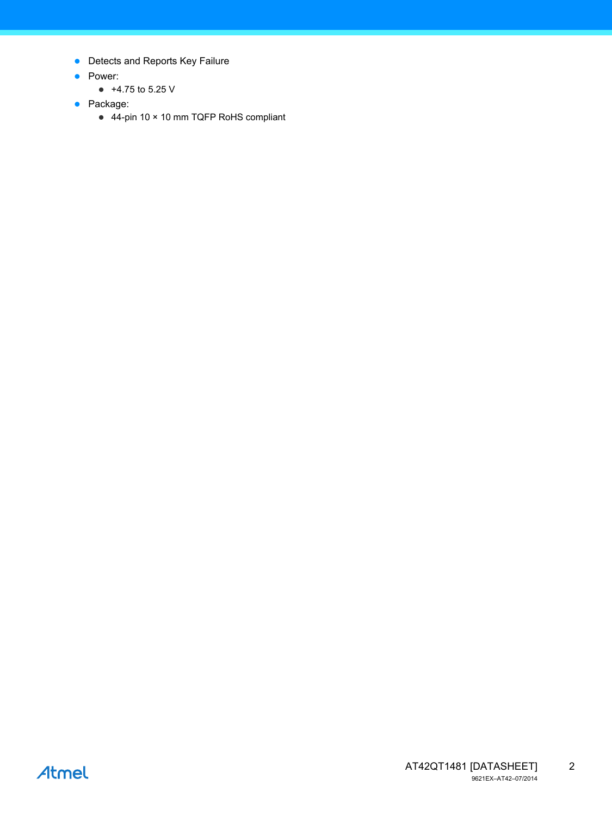- Detects and Reports Key Failure
- Power:
	- +4.75 to 5.25 V
- Package:
	- 44-pin 10 × 10 mm TQFP RoHS compliant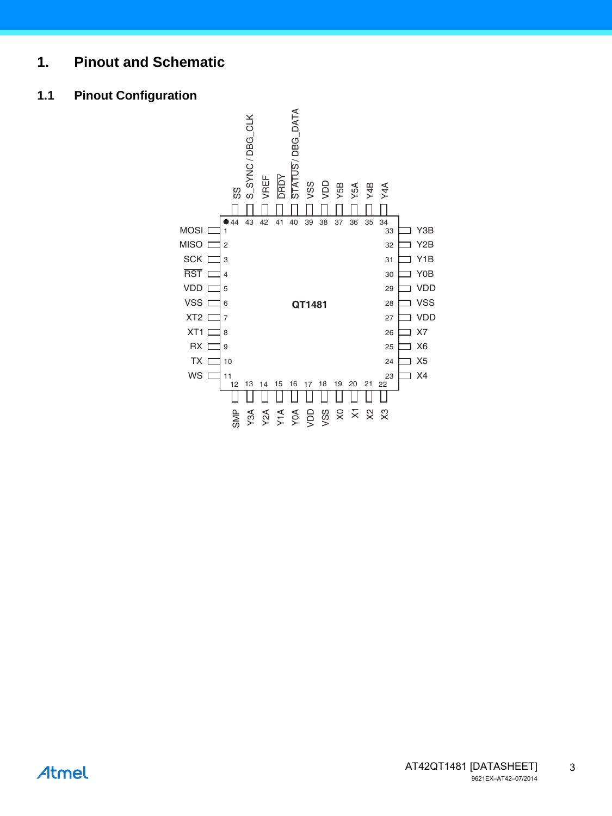## **1. Pinout and Schematic**

## **1.1 Pinout Configuration**

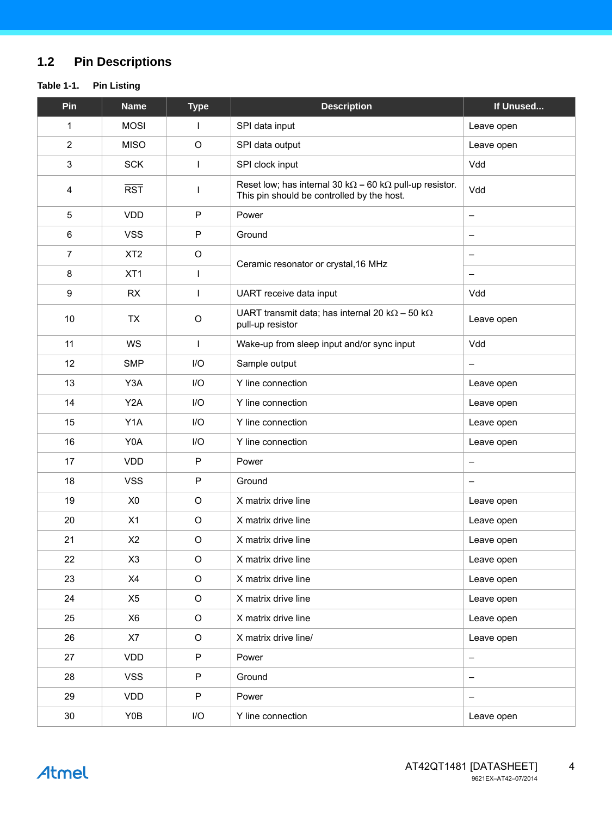## **1.2 Pin Descriptions**

**Table 1-1. Pin Listing** 

| Pin            | <b>Name</b>      | <b>Type</b>  | <b>Description</b>                                                                                                    | If Unused                |
|----------------|------------------|--------------|-----------------------------------------------------------------------------------------------------------------------|--------------------------|
| 1              | <b>MOSI</b>      | $\mathbf{I}$ | SPI data input                                                                                                        | Leave open               |
| 2              | <b>MISO</b>      | $\circ$      | SPI data output                                                                                                       | Leave open               |
| 3              | <b>SCK</b>       | T            | SPI clock input                                                                                                       | Vdd                      |
| 4              | <b>RST</b>       | ı            | Reset low; has internal 30 k $\Omega$ – 60 k $\Omega$ pull-up resistor.<br>This pin should be controlled by the host. | Vdd                      |
| 5              | <b>VDD</b>       | P            | Power                                                                                                                 | $\overline{\phantom{0}}$ |
| $\,6\,$        | <b>VSS</b>       | P            | Ground                                                                                                                | $\overline{\phantom{m}}$ |
| $\overline{7}$ | XT <sub>2</sub>  | $\mathsf O$  |                                                                                                                       | $\overline{\phantom{0}}$ |
| 8              | XT <sub>1</sub>  | T            | Ceramic resonator or crystal, 16 MHz                                                                                  | $\overline{\phantom{0}}$ |
| 9              | RX               | $\mathbf{I}$ | UART receive data input                                                                                               | Vdd                      |
| 10             | <b>TX</b>        | O            | UART transmit data; has internal 20 k $\Omega$ – 50 k $\Omega$<br>pull-up resistor                                    | Leave open               |
| 11             | WS               | T            | Wake-up from sleep input and/or sync input                                                                            | Vdd                      |
| 12             | <b>SMP</b>       | I/O          | Sample output                                                                                                         | -                        |
| 13             | Y3A              | I/O          | Y line connection                                                                                                     | Leave open               |
| 14             | Y <sub>2</sub> A | I/O          | Y line connection                                                                                                     | Leave open               |
| 15             | Y <sub>1</sub> A | I/O          | Y line connection                                                                                                     | Leave open               |
| 16             | Y0A              | I/O          | Y line connection                                                                                                     | Leave open               |
| 17             | <b>VDD</b>       | P            | Power                                                                                                                 | —                        |
| 18             | <b>VSS</b>       | P            | Ground                                                                                                                | $\qquad \qquad -$        |
| 19             | X <sub>0</sub>   | O            | X matrix drive line                                                                                                   | Leave open               |
| 20             | X1               | O            | X matrix drive line                                                                                                   | Leave open               |
| 21             | X2               | $\circ$      | X matrix drive line                                                                                                   | Leave open               |
| 22             | X3               | $\mathsf O$  | X matrix drive line                                                                                                   | Leave open               |
| 23             | X4               | O            | X matrix drive line                                                                                                   | Leave open               |
| 24             | X5               | O            | X matrix drive line                                                                                                   | Leave open               |
| 25             | X <sub>6</sub>   | O            | X matrix drive line                                                                                                   | Leave open               |
| 26             | X7               | $\circ$      | X matrix drive line/                                                                                                  | Leave open               |
| 27             | <b>VDD</b>       | $\sf P$      | Power                                                                                                                 | $\qquad \qquad -$        |
| 28             | <b>VSS</b>       | $\sf P$      | Ground                                                                                                                | $\overline{\phantom{m}}$ |
| 29             | <b>VDD</b>       | $\sf P$      | Power                                                                                                                 | $\qquad \qquad -$        |
| $30\,$         | Y0B              | I/O          | Y line connection                                                                                                     | Leave open               |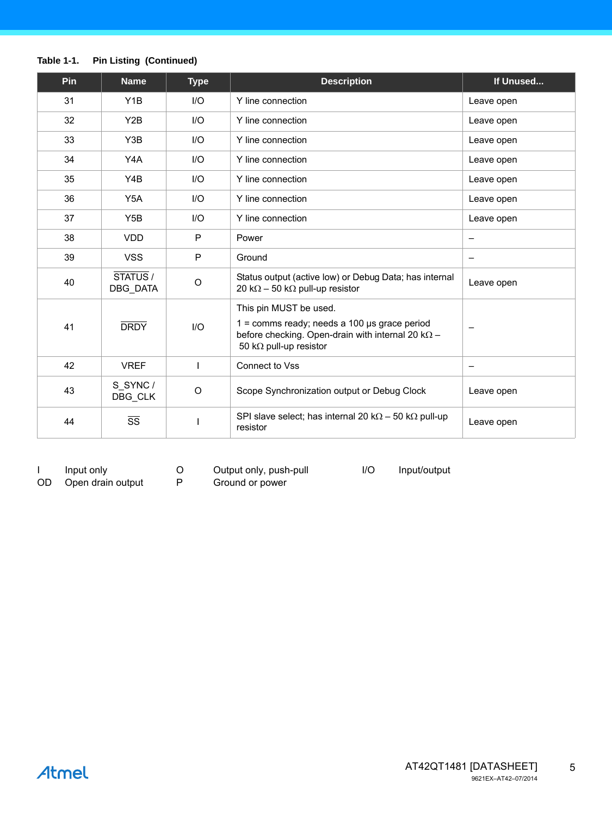## **Table 1-1. Pin Listing (Continued)**

| Pin | <b>Name</b>            | <b>Type</b>  | <b>Description</b>                                                                                                                                                           | If Unused                |
|-----|------------------------|--------------|------------------------------------------------------------------------------------------------------------------------------------------------------------------------------|--------------------------|
| 31  | Y <sub>1</sub> B       | I/O          | Y line connection                                                                                                                                                            | Leave open               |
| 32  | Y <sub>2</sub> B       | I/O          | Y line connection                                                                                                                                                            | Leave open               |
| 33  | Y3B                    | I/O          | Y line connection                                                                                                                                                            | Leave open               |
| 34  | Y4A                    | 1/O          | Y line connection                                                                                                                                                            | Leave open               |
| 35  | Y4B                    | I/O          | Y line connection                                                                                                                                                            | Leave open               |
| 36  | Y <sub>5</sub> A       | I/O          | Y line connection                                                                                                                                                            | Leave open               |
| 37  | Y <sub>5</sub> B       | I/O          | Y line connection                                                                                                                                                            | Leave open               |
| 38  | <b>VDD</b>             | $\mathsf{P}$ | Power                                                                                                                                                                        | —                        |
| 39  | <b>VSS</b>             | $\mathsf{P}$ | Ground                                                                                                                                                                       | $\qquad \qquad -$        |
| 40  | STATUS /<br>DBG_DATA   | $\circ$      | Status output (active low) or Debug Data; has internal<br>20 k $\Omega$ – 50 k $\Omega$ pull-up resistor                                                                     | Leave open               |
| 41  | <b>DRDY</b>            | I/O          | This pin MUST be used.<br>$1 =$ comms ready; needs a 100 $\mu$ s grace period<br>before checking. Open-drain with internal 20 k $\Omega$ -<br>50 k $\Omega$ pull-up resistor | $\overline{\phantom{0}}$ |
| 42  | <b>VREF</b>            |              | Connect to Vss                                                                                                                                                               | $\overline{\phantom{m}}$ |
| 43  | S SYNC/<br>DBG_CLK     | $\circ$      | Scope Synchronization output or Debug Clock                                                                                                                                  | Leave open               |
| 44  | $\overline{\text{ss}}$ |              | SPI slave select; has internal 20 k $\Omega$ - 50 k $\Omega$ pull-up<br>resistor                                                                                             | Leave open               |

I Input only 0 Output only, push-pull I/O Input/output<br>OD Open drain output P Ground or power

OD Open drain output P Ground or power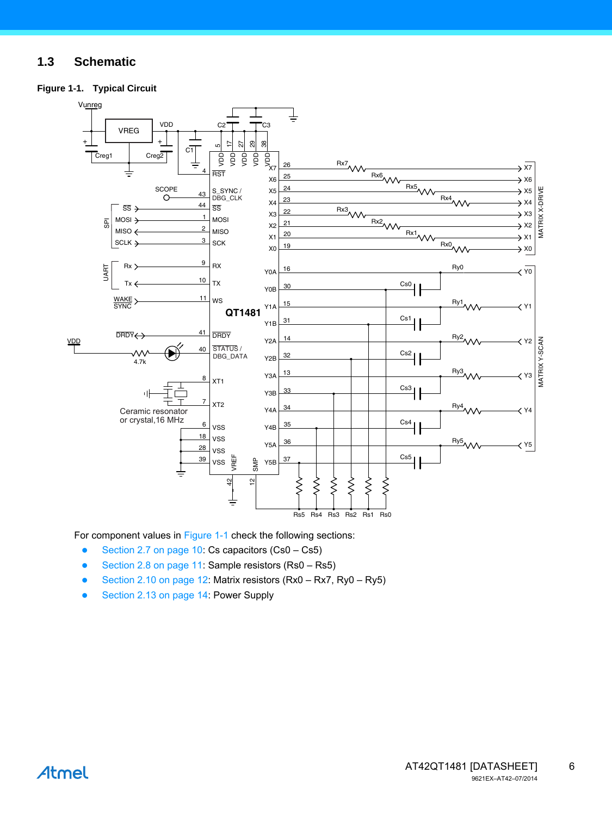## **1.3 Schematic**

## **Figure 1-1. Typical Circuit**



For component values in Figure 1-1 check the following sections:

- [Section 2.7 on page 10:](#page-9-0) Cs capacitors (Cs0 Cs5)
- [Section 2.8 on page 11:](#page-10-0) Sample resistors (Rs0 Rs5)
- [Section 2.10 on page 12:](#page-11-0) Matrix resistors (Rx0 Rx7, Ry0 Ry5)
- [Section 2.13 on page 14:](#page-13-0) Power Supply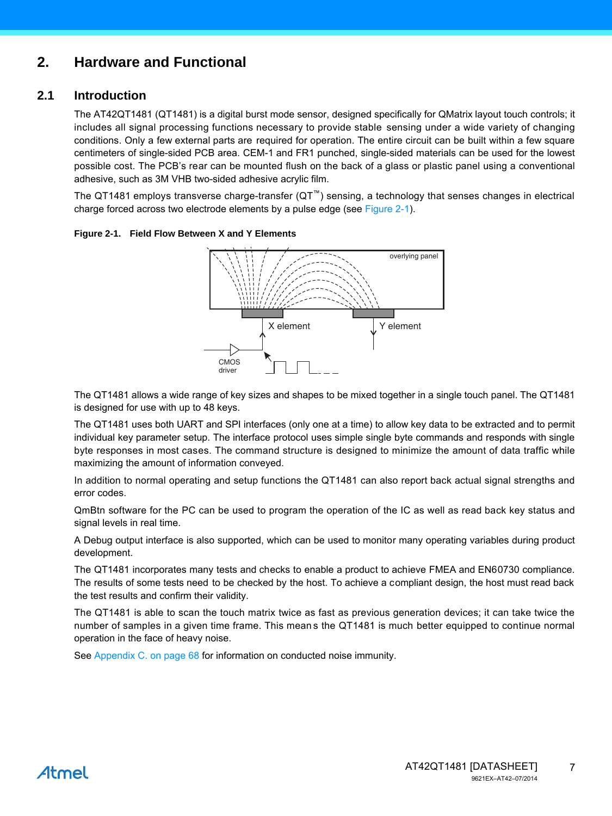## **2. Hardware and Functional**

## **2.1 Introduction**

The AT42QT1481 (QT1481) is a digital burst mode sensor, designed specifically for QMatrix layout touch controls; it includes all signal processing functions necessary to provide stable sensing under a wide variety of changing conditions. Only a few external parts are required for operation. The entire circuit can be built within a few square centimeters of single-sided PCB area. CEM-1 and FR1 punched, single-sided materials can be used for the lowest possible cost. The PCB's rear can be mounted flush on the back of a glass or plastic panel using a conventional adhesive, such as 3M VHB two-sided adhesive acrylic film.

The QT1481 employs transverse charge-transfer (QT™) sensing, a technology that senses changes in electrical charge forced across two electrode elements by a pulse edge (see Figure 2-1).

#### **Figure 2-1. Field Flow Between X and Y Elements**



The QT1481 allows a wide range of key sizes and shapes to be mixed together in a single touch panel. The QT1481 is designed for use with up to 48 keys.

The QT1481 uses both UART and SPI interfaces (only one at a time) to allow key data to be extracted and to permit individual key parameter setup. The interface protocol uses simple single byte commands and responds with single byte responses in most cases. The command structure is designed to minimize the amount of data traffic while maximizing the amount of information conveyed.

In addition to normal operating and setup functions the QT1481 can also report back actual signal strengths and error codes.

QmBtn software for the PC can be used to program the operation of the IC as well as read back key status and signal levels in real time.

A Debug output interface is also supported, which can be used to monitor many operating variables during product development.

The QT1481 incorporates many tests and checks to enable a product to achieve FMEA and EN60730 compliance. The results of some tests need to be checked by the host. To achieve a compliant design, the host must read back the test results and confirm their validity.

The QT1481 is able to scan the touch matrix twice as fast as previous generation devices; it can take twice the number of samples in a given time frame. This mean s the QT1481 is much better equipped to continue normal operation in the face of heavy noise.

See [Appendix C. on page 68](#page-67-0) for information on conducted noise immunity.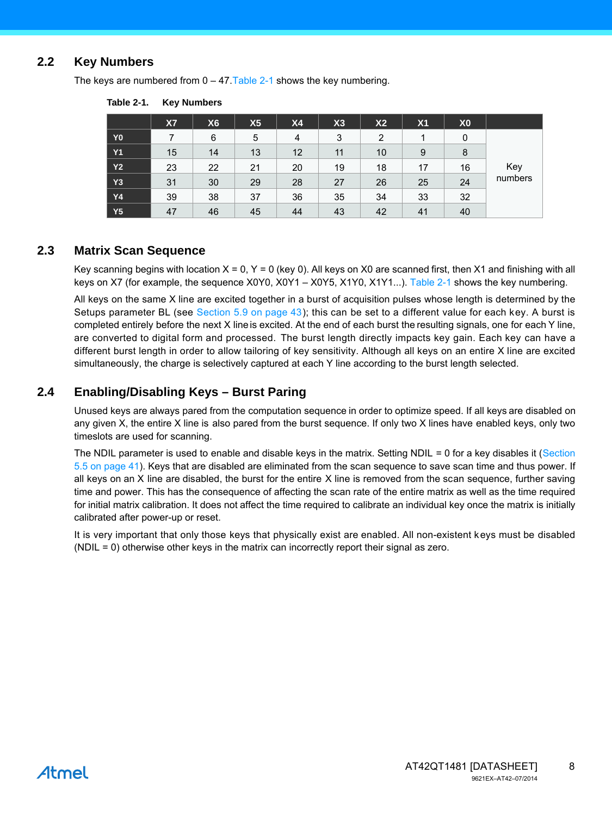## **2.2 Key Numbers**

The keys are numbered from  $0 - 47$ . [Table 2-1](#page-7-0) shows the key numbering.

|                | <b>X7</b> | X <sub>6</sub> | X <sub>5</sub> | <b>X4</b>      | X3 | X <sub>2</sub> | X <sub>1</sub> | X <sub>0</sub> |         |
|----------------|-----------|----------------|----------------|----------------|----|----------------|----------------|----------------|---------|
| Y <sub>0</sub> |           | 6              | 5              | $\overline{4}$ | 3  | 2              |                | 0              |         |
| <b>Y1</b>      | 15        | 14             | 13             | 12             | 11 | 10             | 9              | 8              |         |
| <b>Y2</b>      | 23        | 22             | 21             | 20             | 19 | 18             | 17             | 16             | Key     |
| Y <sub>3</sub> | 31        | 30             | 29             | 28             | 27 | 26             | 25             | 24             | numbers |
| <b>Y4</b>      | 39        | 38             | 37             | 36             | 35 | 34             | 33             | 32             |         |
| <b>Y5</b>      | 47        | 46             | 45             | 44             | 43 | 42             | 41             | 40             |         |

<span id="page-7-0"></span>**Table 2-1. Key Numbers**

## **2.3 Matrix Scan Sequence**

Key scanning begins with location  $X = 0$ ,  $Y = 0$  (key 0). All keys on X0 are scanned first, then X1 and finishing with all keys on X7 (for example, the sequence X0Y0, X0Y1 – X0Y5, X1Y0, X1Y1...). [Table 2-1](#page-7-0) shows the key numbering.

All keys on the same X line are excited together in a burst of acquisition pulses whose length is determined by the Setups parameter BL (see [Section 5.9 on page 43\)](#page-42-0); this can be set to a different value for each key. A burst is completed entirely before the next X line is excited. At the end of each burst the resulting signals, one for each Y line, are converted to digital form and processed. The burst length directly impacts key gain. Each key can have a different burst length in order to allow tailoring of key sensitivity. Although all keys on an entire X line are excited simultaneously, the charge is selectively captured at each Y line according to the burst length selected.

## **2.4 Enabling/Disabling Keys – Burst Paring**

Unused keys are always pared from the computation sequence in order to optimize speed. If all keys are disabled on any given X, the entire X line is also pared from the burst sequence. If only two X lines have enabled keys, only two timeslots are used for scanning.

The NDIL parameter is used to enable and disable keys in the matrix. Setting NDIL = 0 for a key disables it ([Section](#page-40-0) [5.5 on page 41](#page-40-0)). Keys that are disabled are eliminated from the scan sequence to save scan time and thus power. If all keys on an X line are disabled, the burst for the entire X line is removed from the scan sequence, further saving time and power. This has the consequence of affecting the scan rate of the entire matrix as well as the time required for initial matrix calibration. It does not affect the time required to calibrate an individual key once the matrix is initially calibrated after power-up or reset.

It is very important that only those keys that physically exist are enabled. All non-existent keys must be disabled (NDIL = 0) otherwise other keys in the matrix can incorrectly report their signal as zero.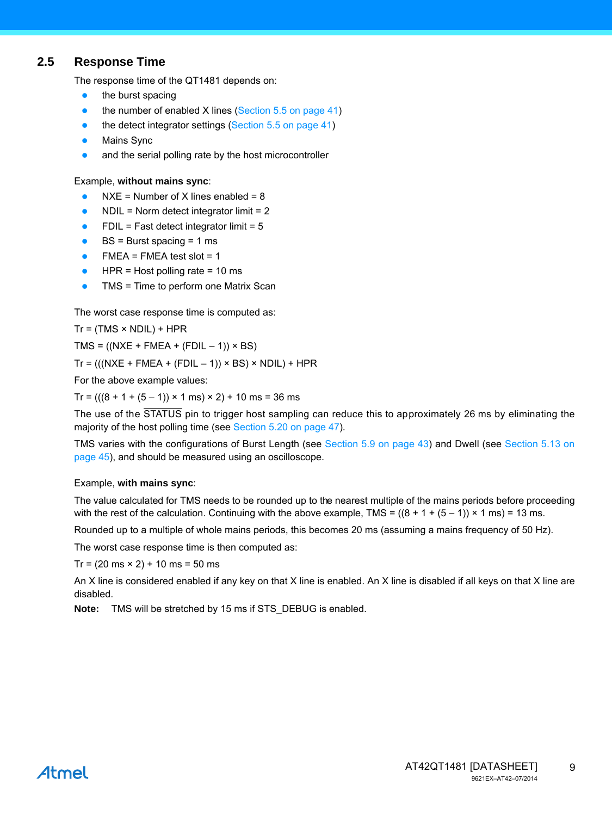## **2.5 Response Time**

The response time of the QT1481 depends on:

- $\bullet$  the burst spacing
- the number of enabled X lines ([Section 5.5 on page 41\)](#page-40-0)
- the detect integrator settings ([Section 5.5 on page 41](#page-40-0))
- Mains Sync
- and the serial polling rate by the host microcontroller

## Example, **without mains sync**:

- $\bullet$  NXE = Number of X lines enabled = 8
- $NDIL = Norm$  detect integrator limit = 2
- $FDIL = Fast detector$  integrator limit = 5
- $\bullet$  BS = Burst spacing = 1 ms
- $FMEA = FMEA$  test slot = 1
- HPR = Host polling rate = 10 ms
- TMS = Time to perform one Matrix Scan

The worst case response time is computed as:

 $Tr = (TMS \times NDIL) + HPR$ 

TMS =  $((NXE + FMEA + (FDIL - 1)) \times BS)$ 

Tr =  $(((NXE + FMEA + (FDIL - 1)) \times BS) \times NDIL) + HPR$ 

For the above example values:

Tr =  $(((8 + 1 + (5 - 1)) \times 1 \text{ ms}) \times 2) + 10 \text{ ms} = 36 \text{ ms}$ 

The use of the STATUS pin to trigger host sampling can reduce this to approximately 26 ms by eliminating the majority of the host polling time (see [Section 5.20 on page 47\)](#page-46-0).

TMS varies with the configurations of Burst Length (see [Section 5.9 on page 43](#page-42-0)) and Dwell (see [Section 5.13 on](#page-44-0) [page 45](#page-44-0)), and should be measured using an oscilloscope.

## Example, **with mains sync**:

The value calculated for TMS needs to be rounded up to the nearest multiple of the mains periods before proceeding with the rest of the calculation. Continuing with the above example, TMS =  $((8 + 1 + (5 - 1)) \times 1$  ms) = 13 ms.

Rounded up to a multiple of whole mains periods, this becomes 20 ms (assuming a mains frequency of 50 Hz).

The worst case response time is then computed as:

Tr =  $(20 \text{ ms} \times 2)$  + 10 ms = 50 ms

An X line is considered enabled if any key on that X line is enabled. An X line is disabled if all keys on that X line are disabled.

**Note:** TMS will be stretched by 15 ms if STS\_DEBUG is enabled.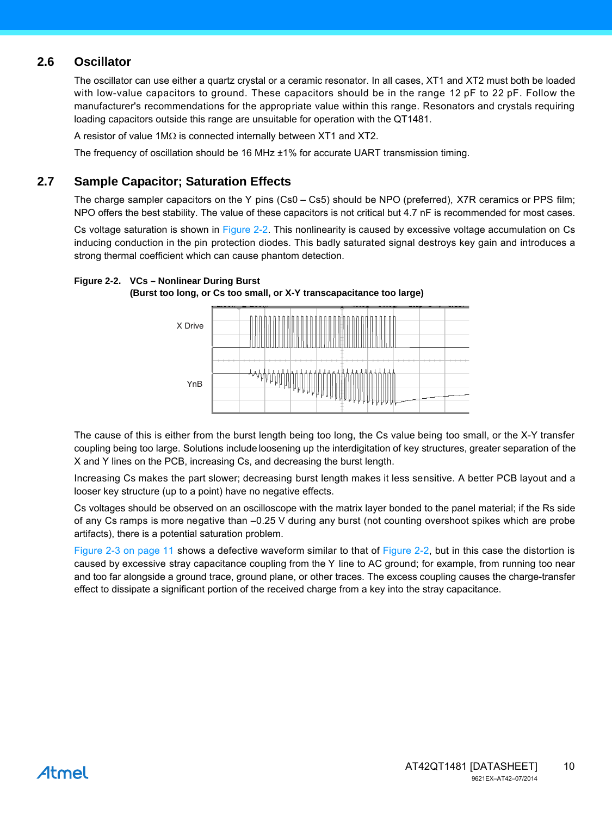## **2.6 Oscillator**

The oscillator can use either a quartz crystal or a ceramic resonator. In all cases, XT1 and XT2 must both be loaded with low-value capacitors to ground. These capacitors should be in the range 12 pF to 22 pF. Follow the manufacturer's recommendations for the appropriate value within this range. Resonators and crystals requiring loading capacitors outside this range are unsuitable for operation with the QT1481.

A resistor of value  $1M<sub>\Omega</sub>$  is connected internally between XT1 and XT2.

The frequency of oscillation should be 16 MHz ±1% for accurate UART transmission timing.

## <span id="page-9-0"></span>**2.7 Sample Capacitor; Saturation Effects**

The charge sampler capacitors on the Y pins (Cs0 – Cs5) should be NPO (preferred), X7R ceramics or PPS film; NPO offers the best stability. The value of these capacitors is not critical but 4.7 nF is recommended for most cases.

Cs voltage saturation is shown in [Figure 2-2](#page-9-1). This nonlinearity is caused by excessive voltage accumulation on Cs inducing conduction in the pin protection diodes. This badly saturated signal destroys key gain and introduces a strong thermal coefficient which can cause phantom detection.

#### <span id="page-9-1"></span>**Figure 2-2. VCs – Nonlinear During Burst**





The cause of this is either from the burst length being too long, the Cs value being too small, or the X-Y transfer coupling being too large. Solutions include loosening up the interdigitation of key structures, greater separation of the X and Y lines on the PCB, increasing Cs, and decreasing the burst length.

Increasing Cs makes the part slower; decreasing burst length makes it less sensitive. A better PCB layout and a looser key structure (up to a point) have no negative effects.

Cs voltages should be observed on an oscilloscope with the matrix layer bonded to the panel material; if the Rs side of any Cs ramps is more negative than –0.25 V during any burst (not counting overshoot spikes which are probe artifacts), there is a potential saturation problem.

[Figure 2-3 on page 11](#page-10-1) shows a defective waveform similar to that of [Figure 2-2,](#page-9-1) but in this case the distortion is caused by excessive stray capacitance coupling from the Y line to AC ground; for example, from running too near and too far alongside a ground trace, ground plane, or other traces. The excess coupling causes the charge-transfer effect to dissipate a significant portion of the received charge from a key into the stray capacitance.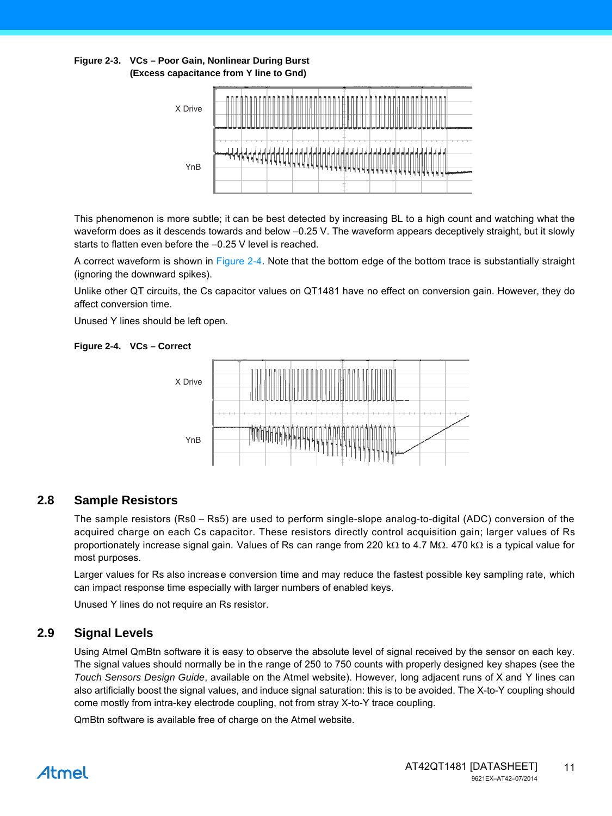#### <span id="page-10-1"></span>**Figure 2-3. VCs – Poor Gain, Nonlinear During Burst (Excess capacitance from Y line to Gnd)**



This phenomenon is more subtle; it can be best detected by increasing BL to a high count and watching what the waveform does as it descends towards and below –0.25 V. The waveform appears deceptively straight, but it slowly starts to flatten even before the –0.25 V level is reached.

A correct waveform is shown in Figure 2-4. Note that the bottom edge of the bottom trace is substantially straight (ignoring the downward spikes).

Unlike other QT circuits, the Cs capacitor values on QT1481 have no effect on conversion gain. However, they do affect conversion time.

Unused Y lines should be left open.

#### **Figure 2-4. VCs – Correct**



## <span id="page-10-0"></span>**2.8 Sample Resistors**

The sample resistors (Rs0 – Rs5) are used to perform single-slope analog-to-digital (ADC) conversion of the acquired charge on each Cs capacitor. These resistors directly control acquisition gain; larger values of Rs proportionately increase signal gain. Values of Rs can range from 220 k $\Omega$  to 4.7 M $\Omega$ . 470 k $\Omega$  is a typical value for most purposes.

Larger values for Rs also increase conversion time and may reduce the fastest possible key sampling rate, which can impact response time especially with larger numbers of enabled keys.

Unused Y lines do not require an Rs resistor.

## **2.9 Signal Levels**

Using Atmel QmBtn software it is easy to observe the absolute level of signal received by the sensor on each key. The signal values should normally be in the range of 250 to 750 counts with properly designed key shapes (see the *Touch Sensors Design Guide*, available on the Atmel website). However, long adjacent runs of X and Y lines can also artificially boost the signal values, and induce signal saturation: this is to be avoided. The X-to-Y coupling should come mostly from intra-key electrode coupling, not from stray X-to-Y trace coupling.

QmBtn software is available free of charge on the Atmel website.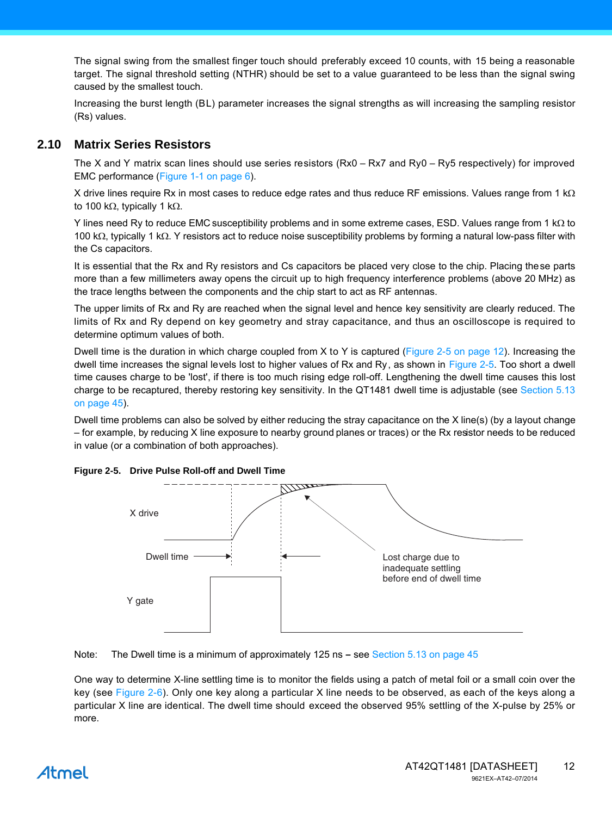The signal swing from the smallest finger touch should preferably exceed 10 counts, with 15 being a reasonable target. The signal threshold setting (NTHR) should be set to a value guaranteed to be less than the signal swing caused by the smallest touch.

Increasing the burst length (BL) parameter increases the signal strengths as will increasing the sampling resistor (Rs) values.

## <span id="page-11-0"></span>**2.10 Matrix Series Resistors**

The X and Y matrix scan lines should use series resistors (Rx0 – Rx7 and Ry0 – Ry5 respectively) for improved EMC performance (Figure 1-1 on page 6).

X drive lines require Rx in most cases to reduce edge rates and thus reduce RF emissions. Values range from 1  $k\Omega$ to 100 k $\Omega$ , typically 1 k $\Omega$ .

Y lines need Ry to reduce EMC susceptibility problems and in some extreme cases, ESD. Values range from 1  $k\Omega$  to 100 k $\Omega$ , typically 1 k $\Omega$ . Y resistors act to reduce noise susceptibility problems by forming a natural low-pass filter with the Cs capacitors.

It is essential that the Rx and Ry resistors and Cs capacitors be placed very close to the chip. Placing these parts more than a few millimeters away opens the circuit up to high frequency interference problems (above 20 MHz) as the trace lengths between the components and the chip start to act as RF antennas.

The upper limits of Rx and Ry are reached when the signal level and hence key sensitivity are clearly reduced. The limits of Rx and Ry depend on key geometry and stray capacitance, and thus an oscilloscope is required to determine optimum values of both.

Dwell time is the duration in which charge coupled from X to Y is captured ([Figure 2-5 on page 12](#page-11-1)). Increasing the dwell time increases the signal levels lost to higher values of Rx and Ry, as shown in [Figure 2-5.](#page-11-1) Too short a dwell time causes charge to be 'lost', if there is too much rising edge roll-off. Lengthening the dwell time causes this lost charge to be recaptured, thereby restoring key sensitivity. In the QT1481 dwell time is adjustable (see [Section 5.13](#page-44-0) [on page 45\)](#page-44-0).

Dwell time problems can also be solved by either reducing the stray capacitance on the X line(s) (by a layout change – for example, by reducing X line exposure to nearby ground planes or traces) or the Rx resistor needs to be reduced in value (or a combination of both approaches).



<span id="page-11-1"></span>**Figure 2-5. Drive Pulse Roll-off and Dwell Time** 

Note: The Dwell time is a minimum of approximately 125 ns **–** see [Section 5.13 on page 45](#page-44-0)

One way to determine X-line settling time is to monitor the fields using a patch of metal foil or a small coin over the key (see [Figure 2-6\)](#page-12-0). Only one key along a particular X line needs to be observed, as each of the keys along a particular X line are identical. The dwell time should exceed the observed 95% settling of the X-pulse by 25% or more.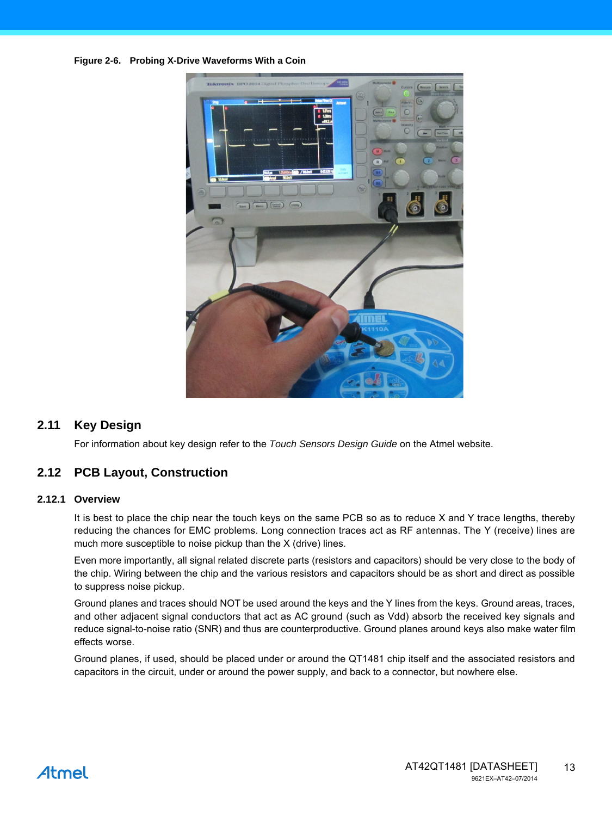<span id="page-12-0"></span>**Figure 2-6. Probing X-Drive Waveforms With a Coin** 



## **2.11 Key Design**

For information about key design refer to the *Touch Sensors Design Guide* on the Atmel website.

## **2.12 PCB Layout, Construction**

#### **2.12.1 Overview**

It is best to place the chip near the touch keys on the same PCB so as to reduce X and Y trace lengths, thereby reducing the chances for EMC problems. Long connection traces act as RF antennas. The Y (receive) lines are much more susceptible to noise pickup than the X (drive) lines.

Even more importantly, all signal related discrete parts (resistors and capacitors) should be very close to the body of the chip. Wiring between the chip and the various resistors and capacitors should be as short and direct as possible to suppress noise pickup.

Ground planes and traces should NOT be used around the keys and the Y lines from the keys. Ground areas, traces, and other adjacent signal conductors that act as AC ground (such as Vdd) absorb the received key signals and reduce signal-to-noise ratio (SNR) and thus are counterproductive. Ground planes around keys also make water film effects worse.

Ground planes, if used, should be placed under or around the QT1481 chip itself and the associated resistors and capacitors in the circuit, under or around the power supply, and back to a connector, but nowhere else.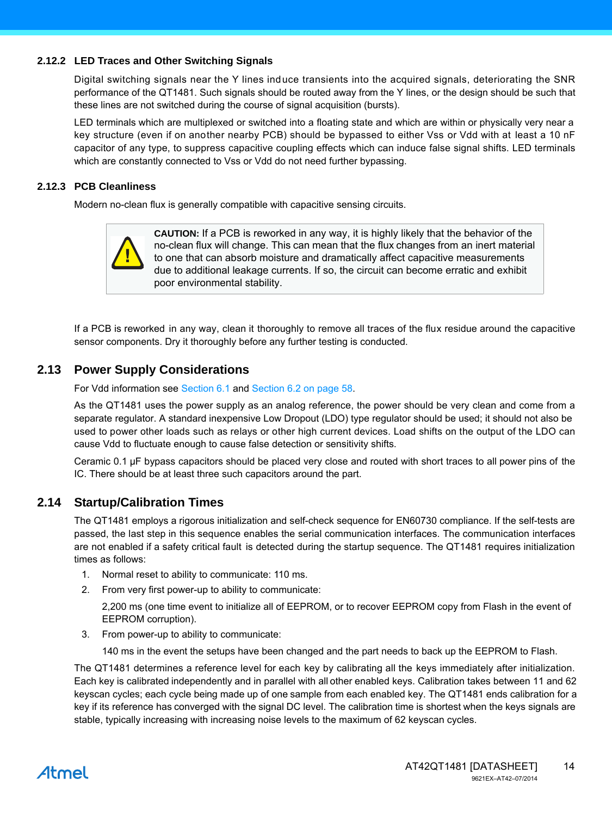## **2.12.2 LED Traces and Other Switching Signals**

Digital switching signals near the Y lines induce transients into the acquired signals, deteriorating the SNR performance of the QT1481. Such signals should be routed away from the Y lines, or the design should be such that these lines are not switched during the course of signal acquisition (bursts).

LED terminals which are multiplexed or switched into a floating state and which are within or physically very near a key structure (even if on another nearby PCB) should be bypassed to either Vss or Vdd with at least a 10 nF capacitor of any type, to suppress capacitive coupling effects which can induce false signal shifts. LED terminals which are constantly connected to Vss or Vdd do not need further bypassing.

## **2.12.3 PCB Cleanliness**

Modern no-clean flux is generally compatible with capacitive sensing circuits.



**CAUTION:** If a PCB is reworked in any way, it is highly likely that the behavior of the no-clean flux will change. This can mean that the flux changes from an inert material to one that can absorb moisture and dramatically affect capacitive measurements due to additional leakage currents. If so, the circuit can become erratic and exhibit poor environmental stability.

If a PCB is reworked in any way, clean it thoroughly to remove all traces of the flux residue around the capacitive sensor components. Dry it thoroughly before any further testing is conducted.

## <span id="page-13-0"></span>**2.13 Power Supply Considerations**

For Vdd information see [Section 6.1](#page-57-0) and [Section 6.2 on page 58](#page-57-1).

As the QT1481 uses the power supply as an analog reference, the power should be very clean and come from a separate regulator. A standard inexpensive Low Dropout (LDO) type regulator should be used; it should not also be used to power other loads such as relays or other high current devices. Load shifts on the output of the LDO can cause Vdd to fluctuate enough to cause false detection or sensitivity shifts.

Ceramic 0.1 µF bypass capacitors should be placed very close and routed with short traces to all power pins of the IC. There should be at least three such capacitors around the part.

## <span id="page-13-1"></span>**2.14 Startup/Calibration Times**

The QT1481 employs a rigorous initialization and self-check sequence for EN60730 compliance. If the self-tests are passed, the last step in this sequence enables the serial communication interfaces. The communication interfaces are not enabled if a safety critical fault is detected during the startup sequence. The QT1481 requires initialization times as follows:

- 1. Normal reset to ability to communicate: 110 ms.
- 2. From very first power-up to ability to communicate:

2,200 ms (one time event to initialize all of EEPROM, or to recover EEPROM copy from Flash in the event of EEPROM corruption).

3. From power-up to ability to communicate:

140 ms in the event the setups have been changed and the part needs to back up the EEPROM to Flash.

The QT1481 determines a reference level for each key by calibrating all the keys immediately after initialization. Each key is calibrated independently and in parallel with all other enabled keys. Calibration takes between 11 and 62 keyscan cycles; each cycle being made up of one sample from each enabled key. The QT1481 ends calibration for a key if its reference has converged with the signal DC level. The calibration time is shortest when the keys signals are stable, typically increasing with increasing noise levels to the maximum of 62 keyscan cycles.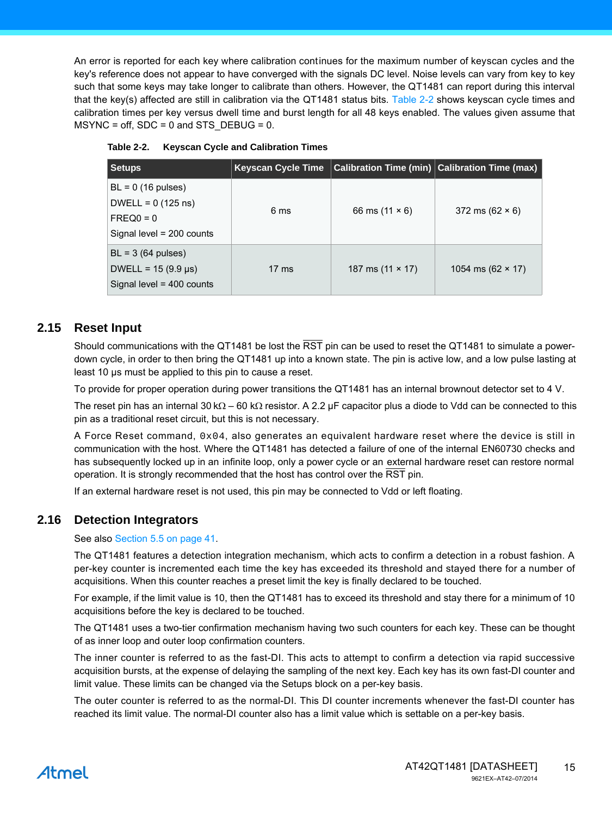An error is reported for each key where calibration continues for the maximum number of keyscan cycles and the key's reference does not appear to have converged with the signals DC level. Noise levels can vary from key to key such that some keys may take longer to calibrate than others. However, the QT1481 can report during this interval that the key(s) affected are still in calibration via the QT1481 status bits. Table 2-2 shows keyscan cycle times and calibration times per key versus dwell time and burst length for all 48 keys enabled. The values given assume that  $MSYNC = off$ ,  $SDC = 0$  and  $STS$  DEBUG = 0.

| <b>Setups</b>                                                                                     | <b>Keyscan Cycle Time</b> |                         | Calibration Time (min)   Calibration Time (max) |
|---------------------------------------------------------------------------------------------------|---------------------------|-------------------------|-------------------------------------------------|
| $BL = 0$ (16 pulses)<br>DWELL = $0(125 \text{ ns})$<br>$FREQ0 = 0$<br>Signal level = $200$ counts | 6 ms                      | 66 ms $(11 \times 6)$   | 372 ms $(62 \times 6)$                          |
| $BL = 3 (64 pulses)$<br>DWELL = $15(9.9 \,\mu s)$<br>Signal level $=$ 400 counts                  | $17 \text{ ms}$           | 187 ms $(11 \times 17)$ | 1054 ms $(62 \times 17)$                        |

**Table 2-2. Keyscan Cycle and Calibration Times**

## **2.15 Reset Input**

Should communications with the QT1481 be lost the RST pin can be used to reset the QT1481 to simulate a powerdown cycle, in order to then bring the QT1481 up into a known state. The pin is active low, and a low pulse lasting at least 10 µs must be applied to this pin to cause a reset.

To provide for proper operation during power transitions the QT1481 has an internal brownout detector set to 4 V.

The reset pin has an internal 30 k $\Omega$  – 60 k $\Omega$  resistor. A 2.2 µF capacitor plus a diode to Vdd can be connected to this pin as a traditional reset circuit, but this is not necessary.

A Force Reset command, 0x04, also generates an equivalent hardware reset where the device is still in communication with the host. Where the QT1481 has detected a failure of one of the internal EN60730 checks and has subsequently locked up in an infinite loop, only a power cycle or an external hardware reset can restore normal operation. It is strongly recommended that the host has control over the RST pin.

If an external hardware reset is not used, this pin may be connected to Vdd or left floating.

## **2.16 Detection Integrators**

#### See also [Section 5.5 on page 41](#page-40-0).

The QT1481 features a detection integration mechanism, which acts to confirm a detection in a robust fashion. A per-key counter is incremented each time the key has exceeded its threshold and stayed there for a number of acquisitions. When this counter reaches a preset limit the key is finally declared to be touched.

For example, if the limit value is 10, then the QT1481 has to exceed its threshold and stay there for a minimum of 10 acquisitions before the key is declared to be touched.

The QT1481 uses a two-tier confirmation mechanism having two such counters for each key. These can be thought of as inner loop and outer loop confirmation counters.

The inner counter is referred to as the fast-DI. This acts to attempt to confirm a detection via rapid successive acquisition bursts, at the expense of delaying the sampling of the next key. Each key has its own fast-DI counter and limit value. These limits can be changed via the Setups block on a per-key basis.

The outer counter is referred to as the normal-DI. This DI counter increments whenever the fast-DI counter has reached its limit value. The normal-DI counter also has a limit value which is settable on a per-key basis.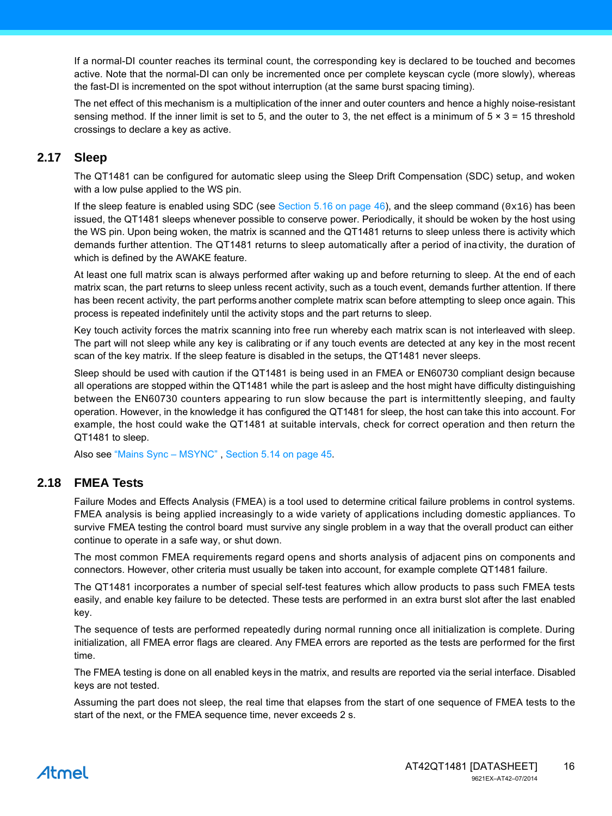If a normal-DI counter reaches its terminal count, the corresponding key is declared to be touched and becomes active. Note that the normal-DI can only be incremented once per complete keyscan cycle (more slowly), whereas the fast-DI is incremented on the spot without interruption (at the same burst spacing timing).

The net effect of this mechanism is a multiplication of the inner and outer counters and hence a highly noise-resistant sensing method. If the inner limit is set to 5, and the outer to 3, the net effect is a minimum of  $5 \times 3 = 15$  threshold crossings to declare a key as active.

## <span id="page-15-1"></span>**2.17 Sleep**

The QT1481 can be configured for automatic sleep using the Sleep Drift Compensation (SDC) setup, and woken with a low pulse applied to the WS pin.

If the sleep feature is enabled using SDC (see [Section 5.16 on page 46\)](#page-45-0), and the sleep command ( $0x16$ ) has been issued, the QT1481 sleeps whenever possible to conserve power. Periodically, it should be woken by the host using the WS pin. Upon being woken, the matrix is scanned and the QT1481 returns to sleep unless there is activity which demands further attention. The QT1481 returns to sleep automatically after a period of inactivity, the duration of which is defined by the AWAKE feature.

At least one full matrix scan is always performed after waking up and before returning to sleep. At the end of each matrix scan, the part returns to sleep unless recent activity, such as a touch event, demands further attention. If there has been recent activity, the part performs another complete matrix scan before attempting to sleep once again. This process is repeated indefinitely until the activity stops and the part returns to sleep.

Key touch activity forces the matrix scanning into free run whereby each matrix scan is not interleaved with sleep. The part will not sleep while any key is calibrating or if any touch events are detected at any key in the most recent scan of the key matrix. If the sleep feature is disabled in the setups, the QT1481 never sleeps.

Sleep should be used with caution if the QT1481 is being used in an FMEA or EN60730 compliant design because all operations are stopped within the QT1481 while the part is asleep and the host might have difficulty distinguishing between the EN60730 counters appearing to run slow because the part is intermittently sleeping, and faulty operation. However, in the knowledge it has configured the QT1481 for sleep, the host can take this into account. For example, the host could wake the QT1481 at suitable intervals, check for correct operation and then return the QT1481 to sleep.

Also see ["Mains Sync – MSYNC" , Section 5.14 on page 45](#page-44-1).

## <span id="page-15-0"></span>**2.18 FMEA Tests**

Failure Modes and Effects Analysis (FMEA) is a tool used to determine critical failure problems in control systems. FMEA analysis is being applied increasingly to a wide variety of applications including domestic appliances. To survive FMEA testing the control board must survive any single problem in a way that the overall product can either continue to operate in a safe way, or shut down.

The most common FMEA requirements regard opens and shorts analysis of adjacent pins on components and connectors. However, other criteria must usually be taken into account, for example complete QT1481 failure.

The QT1481 incorporates a number of special self-test features which allow products to pass such FMEA tests easily, and enable key failure to be detected. These tests are performed in an extra burst slot after the last enabled key.

The sequence of tests are performed repeatedly during normal running once all initialization is complete. During initialization, all FMEA error flags are cleared. Any FMEA errors are reported as the tests are performed for the first time.

The FMEA testing is done on all enabled keys in the matrix, and results are reported via the serial interface. Disabled keys are not tested.

Assuming the part does not sleep, the real time that elapses from the start of one sequence of FMEA tests to the start of the next, or the FMEA sequence time, never exceeds 2 s.

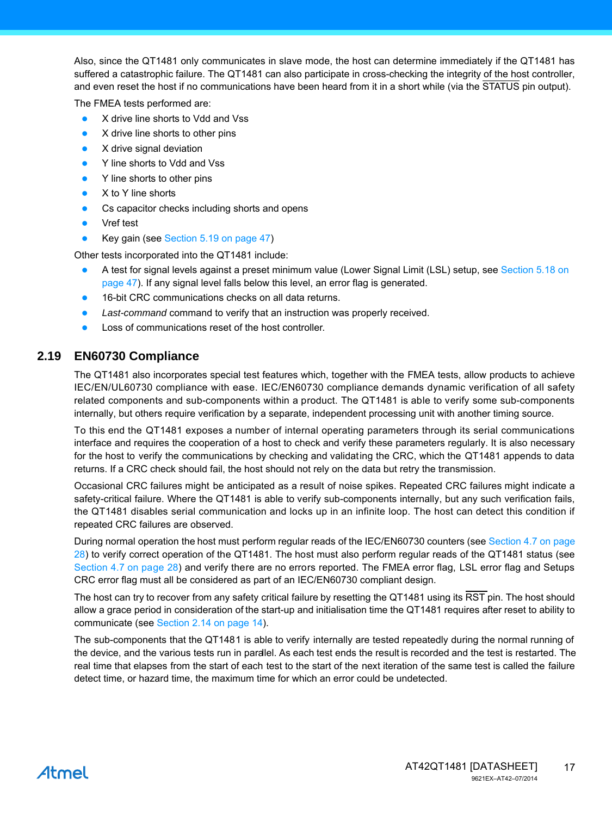Also, since the QT1481 only communicates in slave mode, the host can determine immediately if the QT1481 has suffered a catastrophic failure. The QT1481 can also participate in cross-checking the integrity of the host controller, and even reset the host if no communications have been heard from it in a short while (via the STATUS pin output).

The FMEA tests performed are:

- X drive line shorts to Vdd and Vss
- X drive line shorts to other pins
- X drive signal deviation
- Y line shorts to Vdd and Vss
- Y line shorts to other pins
- X to Y line shorts
- Cs capacitor checks including shorts and opens
- Vref test
- Key gain (see [Section 5.19 on page 47\)](#page-46-1)

Other tests incorporated into the QT1481 include:

- A test for signal levels against a preset minimum value (Lower Signal Limit (LSL) setup, see [Section 5.18 on](#page-46-2)  [page 47](#page-46-2)). If any signal level falls below this level, an error flag is generated.
- 16-bit CRC communications checks on all data returns.
- *Last-command* command to verify that an instruction was properly received.
- Loss of communications reset of the host controller.

## **2.19 EN60730 Compliance**

The QT1481 also incorporates special test features which, together with the FMEA tests, allow products to achieve IEC/EN/UL60730 compliance with ease. IEC/EN60730 compliance demands dynamic verification of all safety related components and sub-components within a product. The QT1481 is able to verify some sub-components internally, but others require verification by a separate, independent processing unit with another timing source.

To this end the QT1481 exposes a number of internal operating parameters through its serial communications interface and requires the cooperation of a host to check and verify these parameters regularly. It is also necessary for the host to verify the communications by checking and validating the CRC, which the QT1481 appends to data returns. If a CRC check should fail, the host should not rely on the data but retry the transmission.

Occasional CRC failures might be anticipated as a result of noise spikes. Repeated CRC failures might indicate a safety-critical failure. Where the QT1481 is able to verify sub-components internally, but any such verification fails, the QT1481 disables serial communication and locks up in an infinite loop. The host can detect this condition if repeated CRC failures are observed.

During normal operation the host must perform regular reads of the IEC/EN60730 counters (see [Section 4.7 on page](#page-27-0) [28\)](#page-27-0) to verify correct operation of the QT1481. The host must also perform regular reads of the QT1481 status (see [Section 4.7 on page 28](#page-27-0)) and verify there are no errors reported. The FMEA error flag, LSL error flag and Setups CRC error flag must all be considered as part of an IEC/EN60730 compliant design.

The host can try to recover from any safety critical failure by resetting the QT1481 using its RST pin. The host should allow a grace period in consideration of the start-up and initialisation time the QT1481 requires after reset to ability to communicate (see [Section 2.14 on page 14](#page-13-1)).

The sub-components that the QT1481 is able to verify internally are tested repeatedly during the normal running of the device, and the various tests run in parallel. As each test ends the result is recorded and the test is restarted. The real time that elapses from the start of each test to the start of the next iteration of the same test is called the failure detect time, or hazard time, the maximum time for which an error could be undetected.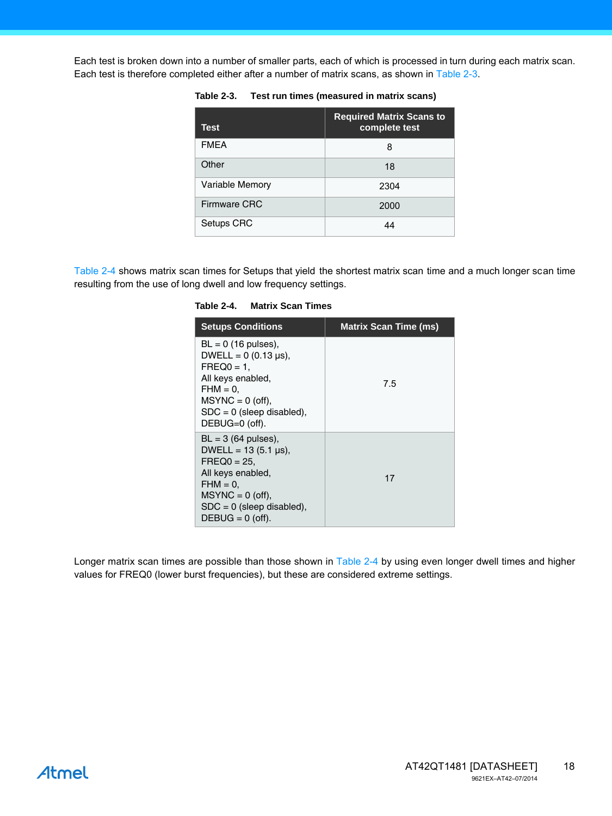Each test is broken down into a number of smaller parts, each of which is processed in turn during each matrix scan. Each test is therefore completed either after a number of matrix scans, as shown in [Table 2-3.](#page-17-1)

| <b>Test</b>            | <b>Required Matrix Scans to</b><br>complete test |
|------------------------|--------------------------------------------------|
| <b>FMEA</b>            | 8                                                |
| Other                  | 18                                               |
| <b>Variable Memory</b> | 2304                                             |
| <b>Firmware CRC</b>    | 2000                                             |
| Setups CRC             | 44                                               |

<span id="page-17-1"></span>**Table 2-3. Test run times (measured in matrix scans)**

[Table 2-4](#page-17-0) shows matrix scan times for Setups that yield the shortest matrix scan time and a much longer scan time resulting from the use of long dwell and low frequency settings.

| <b>Setups Conditions</b>                                                                                                                                                                  | <b>Matrix Scan Time (ms)</b> |
|-------------------------------------------------------------------------------------------------------------------------------------------------------------------------------------------|------------------------------|
| $BL = 0$ (16 pulses),<br>DWELL = $0(0.13 \text{ µs})$ ,<br>$FREQ0 = 1$<br>All keys enabled,<br>$FHM = 0.$<br>$MSYNC = 0$ (off).<br>$SDC = 0$ (sleep disabled),<br>DEBUG=0 (off).          | 7.5                          |
| $BL = 3$ (64 pulses),<br>DWELL = $13(5.1 \text{ \mu s})$ .<br>$FREQ0 = 25$<br>All keys enabled,<br>$FHM = 0$ ,<br>$MSYNC = 0$ (off),<br>$SDC = 0$ (sleep disabled).<br>$DEBUG = 0$ (off). | 17                           |

<span id="page-17-0"></span>**Table 2-4. Matrix Scan Times**

Longer matrix scan times are possible than those shown in [Table 2-4](#page-17-0) by using even longer dwell times and higher values for FREQ0 (lower burst frequencies), but these are considered extreme settings.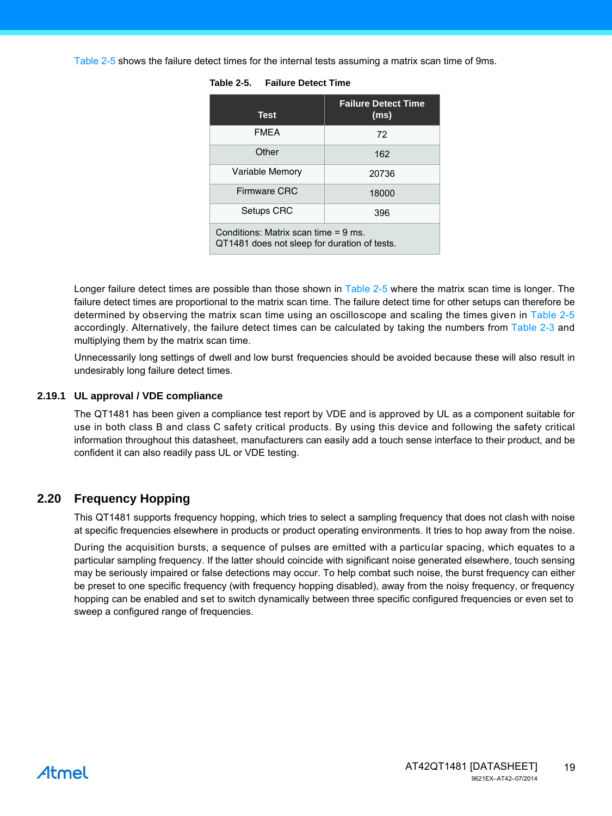Table 2-5 shows the failure detect times for the internal tests assuming a matrix scan time of 9ms.

| <b>Test</b>                                                                          | <b>Failure Detect Time</b><br>(ms) |  |
|--------------------------------------------------------------------------------------|------------------------------------|--|
| <b>FMEA</b>                                                                          | 72                                 |  |
| Other                                                                                | 162                                |  |
| <b>Variable Memory</b>                                                               | 20736                              |  |
| Firmware CRC                                                                         | 18000                              |  |
| Setups CRC                                                                           | 396                                |  |
| Conditions: Matrix scan time = 9 ms.<br>QT1481 does not sleep for duration of tests. |                                    |  |

| <b>Table 2-5.</b> | <b>Failure Detect Time</b> |  |  |
|-------------------|----------------------------|--|--|
|-------------------|----------------------------|--|--|

Longer failure detect times are possible than those shown in Table 2-5 where the matrix scan time is longer. The failure detect times are proportional to the matrix scan time. The failure detect time for other setups can therefore be determined by observing the matrix scan time using an oscilloscope and scaling the times given in Table 2-5 accordingly. Alternatively, the failure detect times can be calculated by taking the numbers from [Table 2-3](#page-17-1) and multiplying them by the matrix scan time.

Unnecessarily long settings of dwell and low burst frequencies should be avoided because these will also result in undesirably long failure detect times.

#### **2.19.1 UL approval / VDE compliance**

The QT1481 has been given a compliance test report by VDE and is approved by UL as a component suitable for use in both class B and class C safety critical products. By using this device and following the safety critical information throughout this datasheet, manufacturers can easily add a touch sense interface to their product, and be confident it can also readily pass UL or VDE testing.

## **2.20 Frequency Hopping**

This QT1481 supports frequency hopping, which tries to select a sampling frequency that does not clash with noise at specific frequencies elsewhere in products or product operating environments. It tries to hop away from the noise.

During the acquisition bursts, a sequence of pulses are emitted with a particular spacing, which equates to a particular sampling frequency. If the latter should coincide with significant noise generated elsewhere, touch sensing may be seriously impaired or false detections may occur. To help combat such noise, the burst frequency can either be preset to one specific frequency (with frequency hopping disabled), away from the noisy frequency, or frequency hopping can be enabled and set to switch dynamically between three specific configured frequencies or even set to sweep a configured range of frequencies.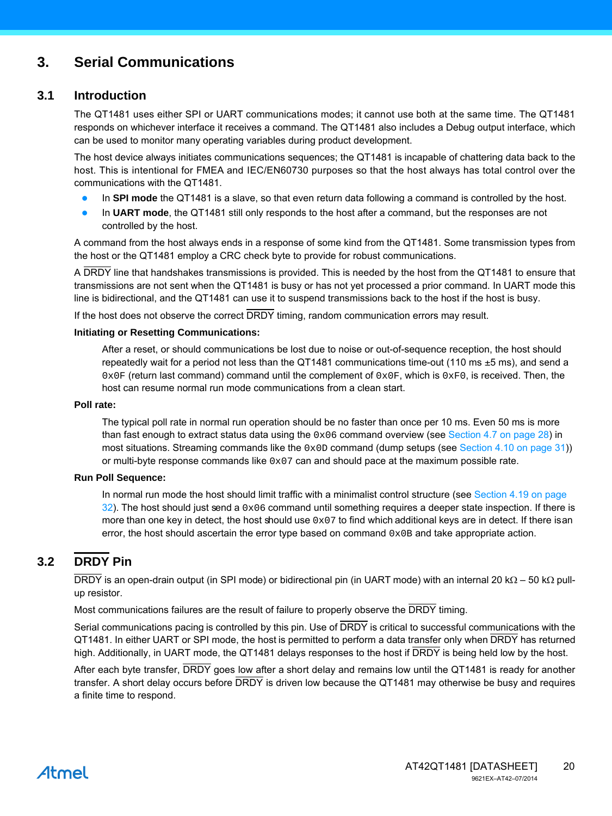## **3. Serial Communications**

## **3.1 Introduction**

The QT1481 uses either SPI or UART communications modes; it cannot use both at the same time. The QT1481 responds on whichever interface it receives a command. The QT1481 also includes a Debug output interface, which can be used to monitor many operating variables during product development.

The host device always initiates communications sequences; the QT1481 is incapable of chattering data back to the host. This is intentional for FMEA and IEC/EN60730 purposes so that the host always has total control over the communications with the QT1481.

- In **SPI mode** the QT1481 is a slave, so that even return data following a command is controlled by the host.
- **In UART mode**, the QT1481 still only responds to the host after a command, but the responses are not controlled by the host.

A command from the host always ends in a response of some kind from the QT1481. Some transmission types from the host or the QT1481 employ a CRC check byte to provide for robust communications.

A DRDY line that handshakes transmissions is provided. This is needed by the host from the QT1481 to ensure that transmissions are not sent when the QT1481 is busy or has not yet processed a prior command. In UART mode this line is bidirectional, and the QT1481 can use it to suspend transmissions back to the host if the host is busy.

If the host does not observe the correct DRDY timing, random communication errors may result.

#### **Initiating or Resetting Communications:**

After a reset, or should communications be lost due to noise or out-of-sequence reception, the host should repeatedly wait for a period not less than the QT1481 communications time-out (110 ms ±5 ms), and send a  $0 \times 0$  F (return last command) command until the complement of  $0 \times 0$  F, which is  $0 \times F0$ , is received. Then, the host can resume normal run mode communications from a clean start.

#### **Poll rate:**

The typical poll rate in normal run operation should be no faster than once per 10 ms. Even 50 ms is more than fast enough to extract status data using the  $0 \times 06$  command overview (see [Section 4.7 on page 28\)](#page-27-0) in most situations. Streaming commands like the  $0 \times 0$ D command (dump setups (see [Section 4.10 on page 31](#page-30-0))) or multi-byte response commands like  $0 \times 07$  can and should pace at the maximum possible rate.

#### **Run Poll Sequence:**

In normal run mode the host should limit traffic with a minimalist control structure (see [Section 4.19 on page](#page-31-0)   $32$ ). The host should just send a  $0 \times 06$  command until something requires a deeper state inspection. If there is more than one key in detect, the host should use  $0 \times 07$  to find which additional keys are in detect. If there isan error, the host should ascertain the error type based on command  $0 \times 0$ B and take appropriate action.

## <span id="page-19-0"></span>**3.2 DRDY Pin**

 $\overline{DRDY}$  is an open-drain output (in SPI mode) or bidirectional pin (in UART mode) with an internal 20 k $\Omega$  – 50 k $\Omega$  pullup resistor.

Most communications failures are the result of failure to properly observe the DRDY timing.

Serial communications pacing is controlled by this pin. Use of DRDY is critical to successful communications with the QT1481. In either UART or SPI mode, the host is permitted to perform a data transfer only when DRDY has returned high. Additionally, in UART mode, the QT1481 delays responses to the host if DRDY is being held low by the host.

After each byte transfer, DRDY goes low after a short delay and remains low until the QT1481 is ready for another transfer. A short delay occurs before DRDY is driven low because the QT1481 may otherwise be busy and requires a finite time to respond.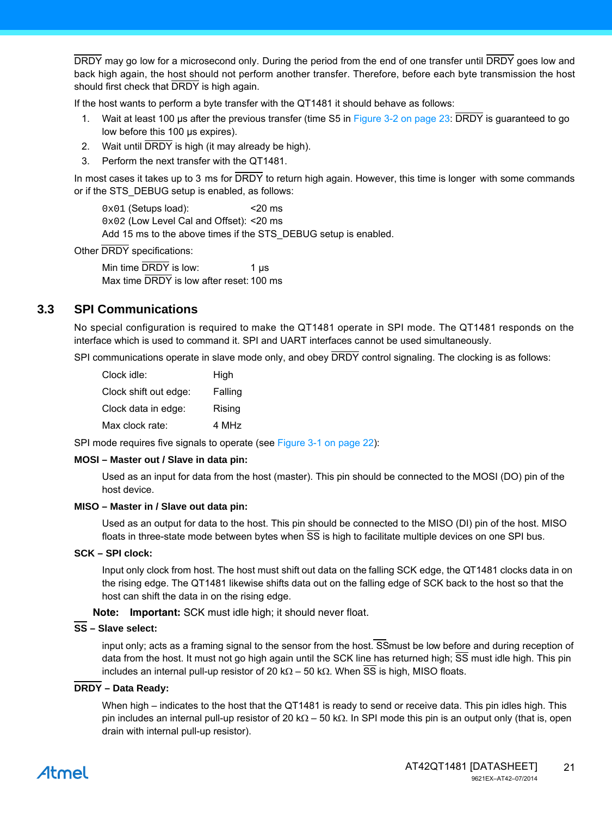DRDY may go low for a microsecond only. During the period from the end of one transfer until DRDY goes low and back high again, the host should not perform another transfer. Therefore, before each byte transmission the host should first check that DRDY is high again.

If the host wants to perform a byte transfer with the QT1481 it should behave as follows:

- 1. Wait at least 100 us after the previous transfer (time S5 in Figure 3-2 on page 23: DRDY is guaranteed to go low before this 100 µs expires).
- 2. Wait until DRDY is high (it may already be high).
- 3. Perform the next transfer with the QT1481.

In most cases it takes up to 3 ms for DRDY to return high again. However, this time is longer with some commands or if the STS\_DEBUG setup is enabled, as follows:

 $0 \times 01$  (Setups load):  $\leq 20$  ms 0x02 (Low Level Cal and Offset): < 20 ms Add 15 ms to the above times if the STS DEBUG setup is enabled.

Other DRDY specifications:

Min time  $\overline{DRDY}$  is low:  $1 \mu s$ Max time DRDY is low after reset: 100 ms

## **3.3 SPI Communications**

No special configuration is required to make the QT1481 operate in SPI mode. The QT1481 responds on the interface which is used to command it. SPI and UART interfaces cannot be used simultaneously.

SPI communications operate in slave mode only, and obey DRDY control signaling. The clocking is as follows:

| Clock idle:           | High    |
|-----------------------|---------|
| Clock shift out edge: | Falling |
| Clock data in edge:   | Rising  |
| Max clock rate:       | 4 MHz   |

SPI mode requires five signals to operate (see [Figure 3-1 on page 22\)](#page-21-0):

#### **MOSI – Master out / Slave in data pin:**

Used as an input for data from the host (master). This pin should be connected to the MOSI (DO) pin of the host device.

#### **MISO – Master in / Slave out data pin:**

Used as an output for data to the host. This pin should be connected to the MISO (DI) pin of the host. MISO floats in three-state mode between bytes when SS is high to facilitate multiple devices on one SPI bus.

#### **SCK – SPI clock:**

Input only clock from host. The host must shift out data on the falling SCK edge, the QT1481 clocks data in on the rising edge. The QT1481 likewise shifts data out on the falling edge of SCK back to the host so that the host can shift the data in on the rising edge.

**Note: Important:** SCK must idle high; it should never float.

## **SS – Slave select:**

input only; acts as a framing signal to the sensor from the host. SSmust be low before and during reception of data from the host. It must not go high again until the SCK line has returned high; SS must idle high. This pin includes an internal pull-up resistor of 20 k $\Omega$  – 50 k $\Omega$ . When SS is high, MISO floats.

#### **DRDY – Data Ready:**

When high – indicates to the host that the QT1481 is ready to send or receive data. This pin idles high. This pin includes an internal pull-up resistor of 20 k $\Omega$  – 50 k $\Omega$ . In SPI mode this pin is an output only (that is, open drain with internal pull-up resistor).

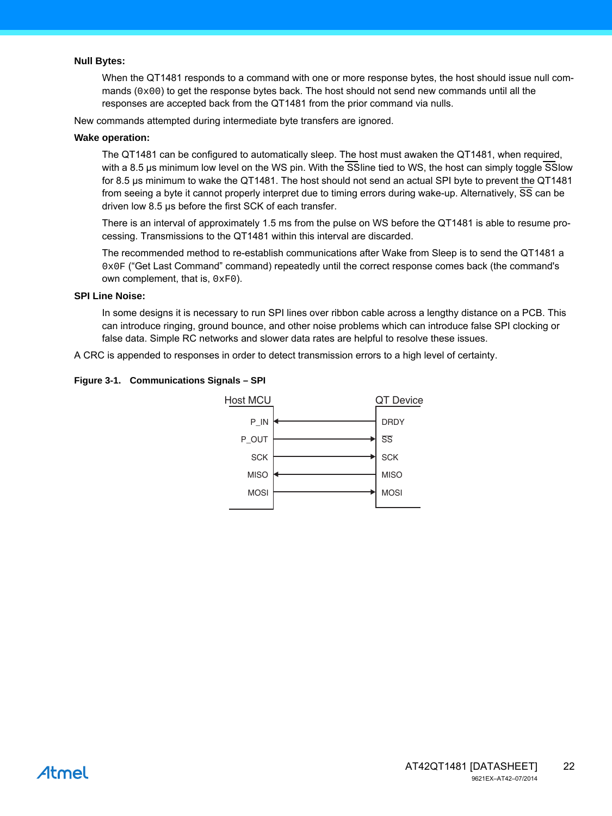#### **Null Bytes:**

When the QT1481 responds to a command with one or more response bytes, the host should issue null commands  $(0x00)$  to get the response bytes back. The host should not send new commands until all the responses are accepted back from the QT1481 from the prior command via nulls.

New commands attempted during intermediate byte transfers are ignored.

#### **Wake operation:**

The QT1481 can be configured to automatically sleep. The host must awaken the QT1481, when required, with a 8.5 us minimum low level on the WS pin. With the SS line tied to WS, the host can simply toggle SS low for 8.5 µs minimum to wake the QT1481. The host should not send an actual SPI byte to prevent the QT1481 from seeing a byte it cannot properly interpret due to timing errors during wake-up. Alternatively, SS can be driven low 8.5 µs before the first SCK of each transfer.

There is an interval of approximately 1.5 ms from the pulse on WS before the QT1481 is able to resume processing. Transmissions to the QT1481 within this interval are discarded.

The recommended method to re-establish communications after Wake from Sleep is to send the QT1481 a 0x0F ("Get Last Command" command) repeatedly until the correct response comes back (the command's own complement, that is,  $0xF0$ ).

#### **SPI Line Noise:**

In some designs it is necessary to run SPI lines over ribbon cable across a lengthy distance on a PCB. This can introduce ringing, ground bounce, and other noise problems which can introduce false SPI clocking or false data. Simple RC networks and slower data rates are helpful to resolve these issues.

A CRC is appended to responses in order to detect transmission errors to a high level of certainty.

<span id="page-21-0"></span>

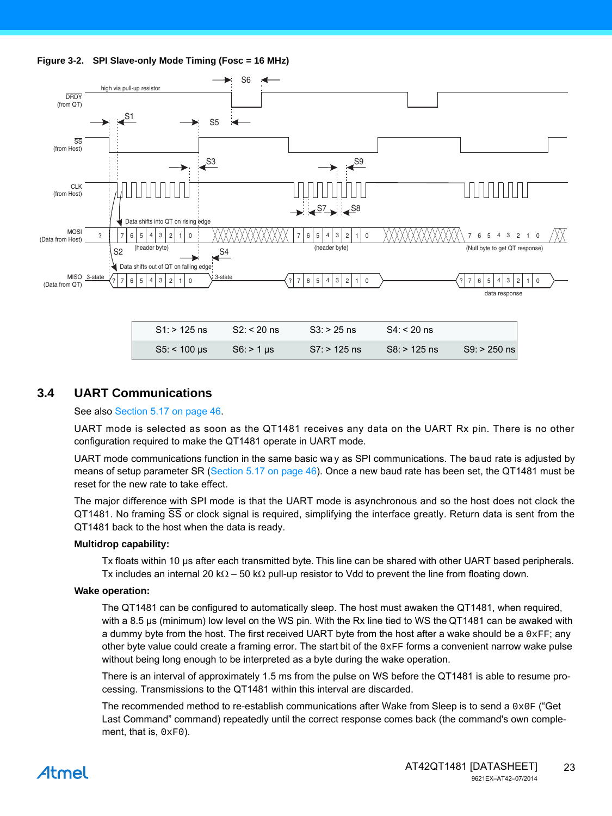**Figure 3-2. SPI Slave-only Mode Timing (Fosc = 16 MHz)**



## **3.4 UART Communications**

See also [Section 5.17 on page 46](#page-45-1).

UART mode is selected as soon as the QT1481 receives any data on the UART Rx pin. There is no other configuration required to make the QT1481 operate in UART mode.

UART mode communications function in the same basic wa y as SPI communications. The baud rate is adjusted by means of setup parameter SR [\(Section 5.17 on page 46](#page-45-1)). Once a new baud rate has been set, the QT1481 must be reset for the new rate to take effect.

The major difference with SPI mode is that the UART mode is asynchronous and so the host does not clock the QT1481. No framing SS or clock signal is required, simplifying the interface greatly. Return data is sent from the QT1481 back to the host when the data is ready.

#### **Multidrop capability:**

Tx floats within 10 µs after each transmitted byte. This line can be shared with other UART based peripherals. Tx includes an internal 20 k $\Omega$  – 50 k $\Omega$  pull-up resistor to Vdd to prevent the line from floating down.

#### **Wake operation:**

The QT1481 can be configured to automatically sleep. The host must awaken the QT1481, when required, with a 8.5 us (minimum) low level on the WS pin. With the Rx line tied to WS the QT1481 can be awaked with a dummy byte from the host. The first received UART byte from the host after a wake should be a  $0xFF$ ; any other byte value could create a framing error. The start bit of the  $0 \times FF$  forms a convenient narrow wake pulse without being long enough to be interpreted as a byte during the wake operation.

There is an interval of approximately 1.5 ms from the pulse on WS before the QT1481 is able to resume processing. Transmissions to the QT1481 within this interval are discarded.

The recommended method to re-establish communications after Wake from Sleep is to send a  $0 \times 0$  F ("Get Last Command" command) repeatedly until the correct response comes back (the command's own complement, that is,  $0 \times F0$ ).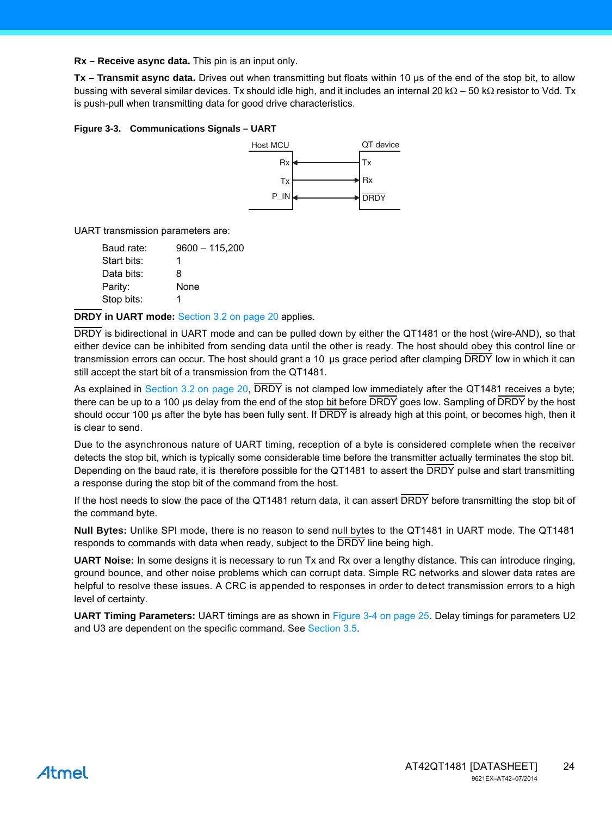**Rx – Receive async data.** This pin is an input only.

**Tx – Transmit async data.** Drives out when transmitting but floats within 10 µs of the end of the stop bit, to allow bussing with several similar devices. Tx should idle high, and it includes an internal 20 k $\Omega$  – 50 k $\Omega$  resistor to Vdd. Tx is push-pull when transmitting data for good drive characteristics.

#### **Figure 3-3. Communications Signals – UART**



UART transmission parameters are:

| Baud rate:  | $9600 - 115,200$ |
|-------------|------------------|
| Start bits: | 1                |
| Data bits:  | 8                |
| Parity:     | None             |
| Stop bits:  | 1                |

**DRDY in UART mode:** [Section 3.2 on page 20](#page-19-0) applies.

DRDY is bidirectional in UART mode and can be pulled down by either the QT1481 or the host (wire-AND), so that either device can be inhibited from sending data until the other is ready. The host should obey this control line or transmission errors can occur. The host should grant a 10 µs grace period after clamping DRDY low in which it can still accept the start bit of a transmission from the QT1481.

As explained in [Section 3.2 on page 20,](#page-19-0) DRDY is not clamped low immediately after the QT1481 receives a byte; there can be up to a 100 µs delay from the end of the stop bit before DRDY goes low. Sampling of DRDY by the host should occur 100 us after the byte has been fully sent. If DRDY is already high at this point, or becomes high, then it is clear to send.

Due to the asynchronous nature of UART timing, reception of a byte is considered complete when the receiver detects the stop bit, which is typically some considerable time before the transmitter actually terminates the stop bit. Depending on the baud rate, it is therefore possible for the QT1481 to assert the DRDY pulse and start transmitting a response during the stop bit of the command from the host.

If the host needs to slow the pace of the QT1481 return data, it can assert DRDY before transmitting the stop bit of the command byte.

**Null Bytes:** Unlike SPI mode, there is no reason to send null bytes to the QT1481 in UART mode. The QT1481 responds to commands with data when ready, subject to the DRDY line being high.

**UART Noise:** In some designs it is necessary to run Tx and Rx over a lengthy distance. This can introduce ringing, ground bounce, and other noise problems which can corrupt data. Simple RC networks and slower data rates are helpful to resolve these issues. A CRC is appended to responses in order to detect transmission errors to a high level of certainty.

**UART Timing Parameters:** UART timings are as shown in Figure 3-4 on page 25. Delay timings for parameters U2 and U3 are dependent on the specific command. See [Section 3.5](#page-24-0).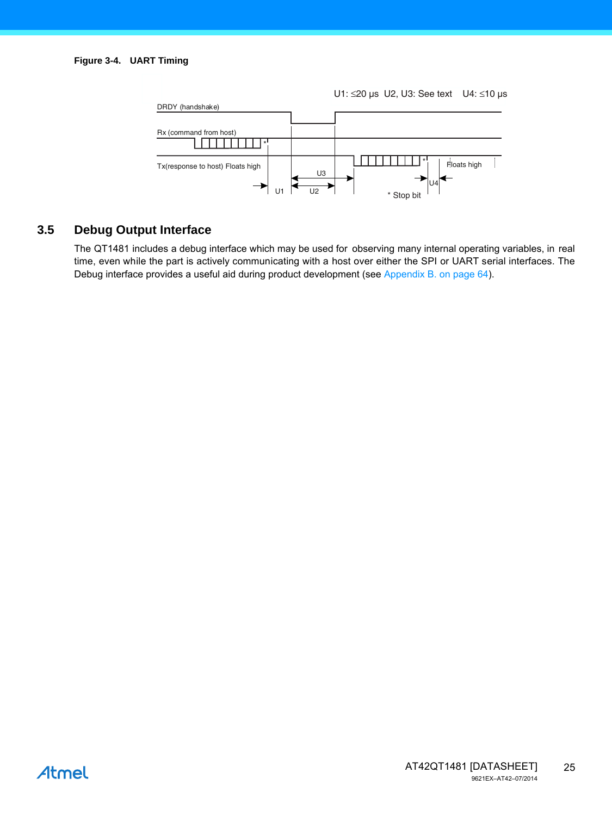

## <span id="page-24-0"></span>**3.5 Debug Output Interface**

The QT1481 includes a debug interface which may be used for observing many internal operating variables, in real time, even while the part is actively communicating with a host over either the SPI or UART serial interfaces. The Debug interface provides a useful aid during product development (see [Appendix B. on page 64](#page-63-0)).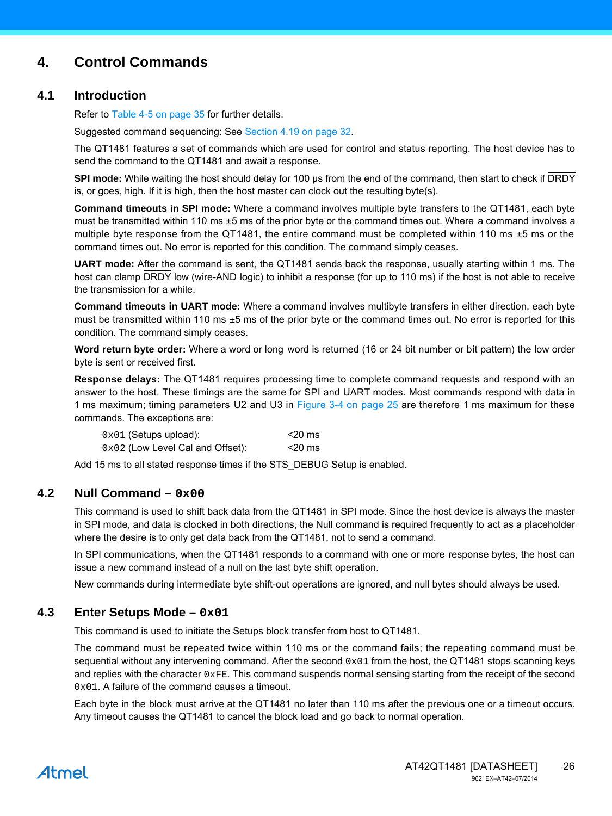## **4. Control Commands**

## **4.1 Introduction**

<span id="page-25-1"></span><span id="page-25-0"></span>Refer to Table 4-5 on page 35 for further details.

Suggested command sequencing: See [Section 4.19 on page 32.](#page-31-0)

The QT1481 features a set of commands which are used for control and status reporting. The host device has to send the command to the QT1481 and await a response.

**SPI mode:** While waiting the host should delay for 100 µs from the end of the command, then start to check if DRDY is, or goes, high. If it is high, then the host master can clock out the resulting byte(s).

**Command timeouts in SPI mode:** Where a command involves multiple byte transfers to the QT1481, each byte must be transmitted within 110 ms ±5 ms of the prior byte or the command times out. Where a command involves a multiple byte response from the QT1481, the entire command must be completed within 110 ms  $\pm$ 5 ms or the command times out. No error is reported for this condition. The command simply ceases.

**UART mode:** After the command is sent, the QT1481 sends back the response, usually starting within 1 ms. The host can clamp DRDY low (wire-AND logic) to inhibit a response (for up to 110 ms) if the host is not able to receive the transmission for a while.

**Command timeouts in UART mode:** Where a command involves multibyte transfers in either direction, each byte must be transmitted within 110 ms  $\pm$ 5 ms of the prior byte or the command times out. No error is reported for this condition. The command simply ceases.

**Word return byte order:** Where a word or long word is returned (16 or 24 bit number or bit pattern) the low order byte is sent or received first.

**Response delays:** The QT1481 requires processing time to complete command requests and respond with an answer to the host. These timings are the same for SPI and UART modes. Most commands respond with data in 1 ms maximum; timing parameters U2 and U3 in Figure 3-4 on page 25 are therefore 1 ms maximum for these commands. The exceptions are:

| $0x01$ (Setups upload):            | $<$ 20 ms |
|------------------------------------|-----------|
| $0x02$ (Low Level Cal and Offset): | $<$ 20 ms |

Add 15 ms to all stated response times if the STS\_DEBUG Setup is enabled.

## **4.2 Null Command – 0x00**

This command is used to shift back data from the QT1481 in SPI mode. Since the host device is always the master in SPI mode, and data is clocked in both directions, the Null command is required frequently to act as a placeholder where the desire is to only get data back from the QT1481, not to send a command.

In SPI communications, when the QT1481 responds to a command with one or more response bytes, the host can issue a new command instead of a null on the last byte shift operation.

New commands during intermediate byte shift-out operations are ignored, and null bytes should always be used.

## **4.3 Enter Setups Mode – 0x01**

This command is used to initiate the Setups block transfer from host to QT1481.

The command must be repeated twice within 110 ms or the command fails; the repeating command must be sequential without any intervening command. After the second  $0 \times 01$  from the host, the QT1481 stops scanning keys and replies with the character  $0xFE$ . This command suspends normal sensing starting from the receipt of the second 0x01. A failure of the command causes a timeout.

Each byte in the block must arrive at the QT1481 no later than 110 ms after the previous one or a timeout occurs. Any timeout causes the QT1481 to cancel the block load and go back to normal operation.

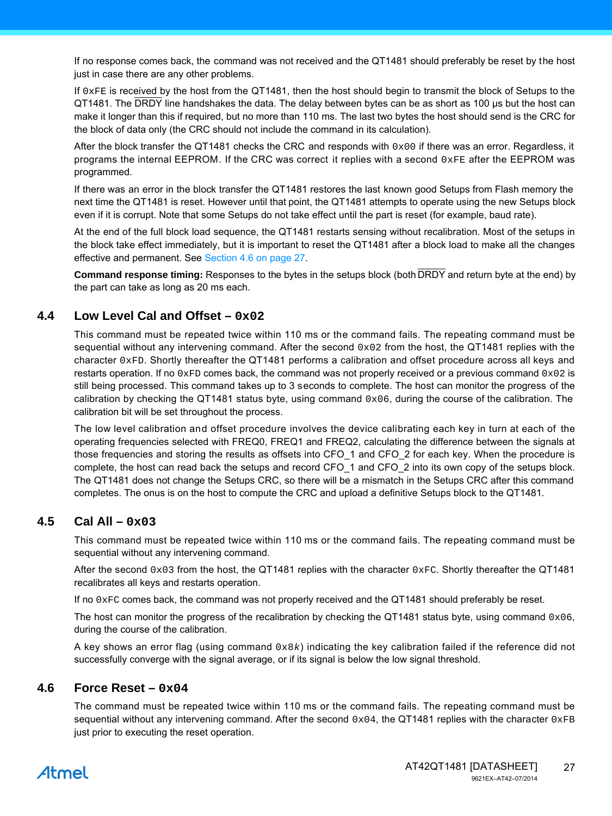<span id="page-26-3"></span><span id="page-26-2"></span><span id="page-26-1"></span>If no response comes back, the command was not received and the QT1481 should preferably be reset by the host just in case there are any other problems.

If 0xFE is received by the host from the QT1481, then the host should begin to transmit the block of Setups to the QT1481. The DRDY line handshakes the data. The delay between bytes can be as short as 100 µs but the host can make it longer than this if required, but no more than 110 ms. The last two bytes the host should send is the CRC for the block of data only (the CRC should not include the command in its calculation).

After the block transfer the QT1481 checks the CRC and responds with  $0 \times 00$  if there was an error. Regardless, it programs the internal EEPROM. If the CRC was correct it replies with a second  $0xFE$  after the EEPROM was programmed.

If there was an error in the block transfer the QT1481 restores the last known good Setups from Flash memory the next time the QT1481 is reset. However until that point, the QT1481 attempts to operate using the new Setups block even if it is corrupt. Note that some Setups do not take effect until the part is reset (for example, baud rate).

At the end of the full block load sequence, the QT1481 restarts sensing without recalibration. Most of the setups in the block take effect immediately, but it is important to reset the QT1481 after a block load to make all the changes effective and permanent. See [Section 4.6 on page 27](#page-26-0).

**Command response timing:** Responses to the bytes in the setups block (both DRDY and return byte at the end) by the part can take as long as 20 ms each.

## **4.4 Low Level Cal and Offset – 0x02**

This command must be repeated twice within 110 ms or the command fails. The repeating command must be sequential without any intervening command. After the second  $0 \times 02$  from the host, the QT1481 replies with the character 0xFD. Shortly thereafter the QT1481 performs a calibration and offset procedure across all keys and restarts operation. If no  $0xFD$  comes back, the command was not properly received or a previous command  $0x02$  is still being processed. This command takes up to 3 seconds to complete. The host can monitor the progress of the calibration by checking the QT1481 status byte, using command  $0 \times 06$ , during the course of the calibration. The calibration bit will be set throughout the process.

The low level calibration and offset procedure involves the device calibrating each key in turn at each of the operating frequencies selected with FREQ0, FREQ1 and FREQ2, calculating the difference between the signals at those frequencies and storing the results as offsets into CFO\_1 and CFO\_2 for each key. When the procedure is complete, the host can read back the setups and record CFO\_1 and CFO\_2 into its own copy of the setups block. The QT1481 does not change the Setups CRC, so there will be a mismatch in the Setups CRC after this command completes. The onus is on the host to compute the CRC and upload a definitive Setups block to the QT1481.

## **4.5 Cal All – 0x03**

This command must be repeated twice within 110 ms or the command fails. The repeating command must be sequential without any intervening command.

After the second  $0 \times 03$  from the host, the QT1481 replies with the character  $0 \times FC$ . Shortly thereafter the QT1481 recalibrates all keys and restarts operation.

If no 0xFC comes back, the command was not properly received and the QT1481 should preferably be reset.

The host can monitor the progress of the recalibration by checking the QT1481 status byte, using command  $0x06$ , during the course of the calibration.

A key shows an error flag (using command 0x8*k*) indicating the key calibration failed if the reference did not successfully converge with the signal average, or if its signal is below the low signal threshold.

## <span id="page-26-0"></span>**4.6 Force Reset – 0x04**

The command must be repeated twice within 110 ms or the command fails. The repeating command must be sequential without any intervening command. After the second  $0 \times 04$ , the QT1481 replies with the character  $0 \times FB$ just prior to executing the reset operation.

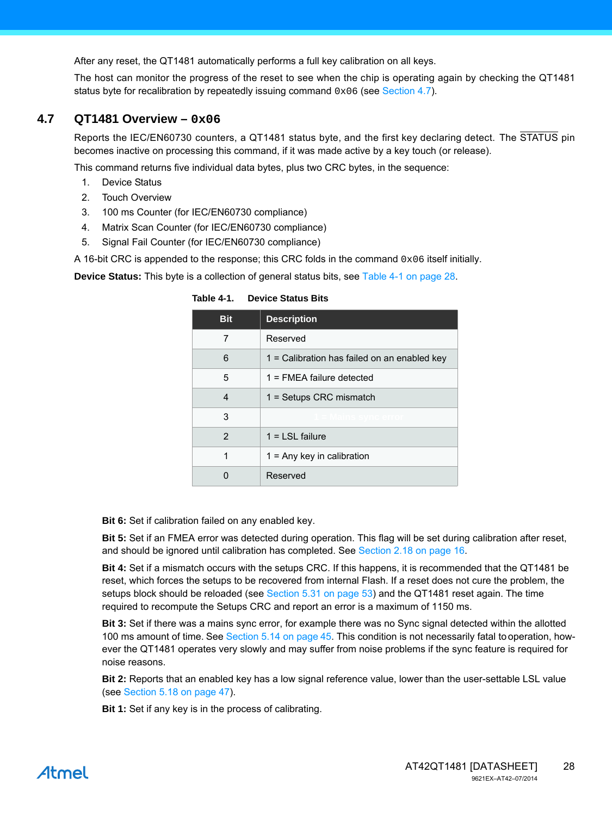After any reset, the QT1481 automatically performs a full key calibration on all keys.

The host can monitor the progress of the reset to see when the chip is operating again by checking the QT1481 status byte for recalibration by repeatedly issuing command  $0 \times 06$  (see [Section 4.7\)](#page-27-0).

## <span id="page-27-0"></span>**4.7 QT1481 Overview – 0x06**

Reports the IEC/EN60730 counters, a QT1481 status byte, and the first key declaring detect. The STATUS pin becomes inactive on processing this command, if it was made active by a key touch (or release).

This command returns five individual data bytes, plus two CRC bytes, in the sequence:

- 1. Device Status
- 2. Touch Overview
- 3. 100 ms Counter (for IEC/EN60730 compliance)
- 4. Matrix Scan Counter (for IEC/EN60730 compliance)
- 5. Signal Fail Counter (for IEC/EN60730 compliance)

A 16-bit CRC is appended to the response; this CRC folds in the command  $0 \times 06$  itself initially.

**Device Status:** This byte is a collection of general status bits, see [Table 4-1 on page 28.](#page-27-1)

| Bit           | <b>Description</b>                           |
|---------------|----------------------------------------------|
| 7             | Reserved                                     |
| 6             | 1 = Calibration has failed on an enabled key |
| 5             | $1 =$ FMEA failure detected                  |
| 4             | $1 =$ Setups CRC mismatch                    |
| 3             |                                              |
| $\mathcal{P}$ | $1 =$ LSL failure                            |
| 1             | $1 =$ Any key in calibration                 |
| n             | Reserved                                     |

<span id="page-27-2"></span><span id="page-27-1"></span>**Table 4-1. Device Status Bits**

**Bit 6:** Set if calibration failed on any enabled key.

**Bit 5:** Set if an FMEA error was detected during operation. This flag will be set during calibration after reset, and should be ignored until calibration has completed. See [Section 2.18 on page 16.](#page-15-0)

**Bit 4:** Set if a mismatch occurs with the setups CRC. If this happens, it is recommended that the QT1481 be reset, which forces the setups to be recovered from internal Flash. If a reset does not cure the problem, the setups block should be reloaded (see [Section 5.31 on page 53\)](#page-52-0) and the QT1481 reset again. The time required to recompute the Setups CRC and report an error is a maximum of 1150 ms.

**Bit 3:** Set if there was a mains sync error, for example there was no Sync signal detected within the allotted 100 ms amount of time. See [Section 5.14 on page 45.](#page-44-1) This condition is not necessarily fatal to operation, however the QT1481 operates very slowly and may suffer from noise problems if the sync feature is required for noise reasons.

**Bit 2:** Reports that an enabled key has a low signal reference value, lower than the user-settable LSL value (see [Section 5.18 on page 47](#page-46-2)).

**Bit 1:** Set if any key is in the process of calibrating.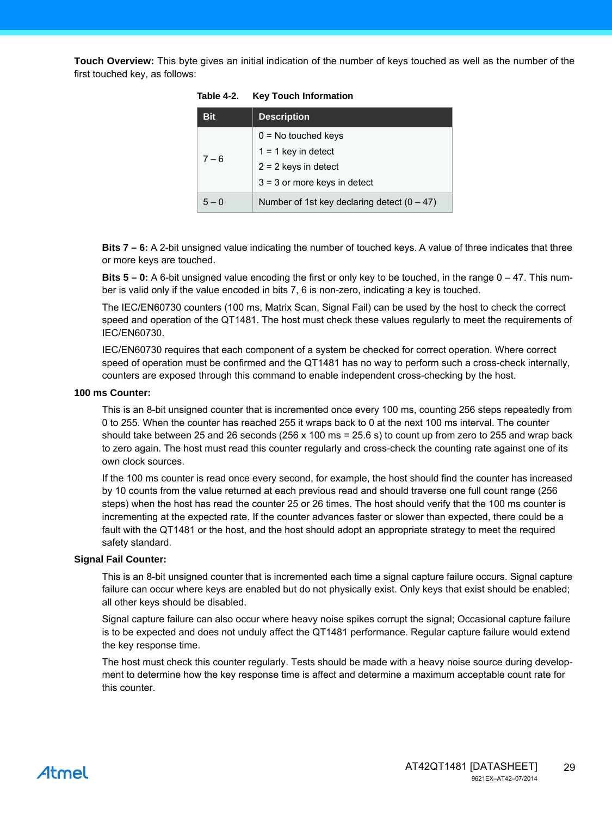**Touch Overview:** This byte gives an initial indication of the number of keys touched as well as the number of the first touched key, as follows:

| <b>Bit</b> | <b>Description</b>                            |  |  |  |
|------------|-----------------------------------------------|--|--|--|
|            | $0 = No$ touched keys                         |  |  |  |
|            | $1 = 1$ key in detect                         |  |  |  |
| $7 - 6$    | $2 = 2$ keys in detect                        |  |  |  |
|            | $3 = 3$ or more keys in detect                |  |  |  |
| $5 - 0$    | Number of 1st key declaring detect $(0 - 47)$ |  |  |  |

**Table 4-2. Key Touch Information**

**Bits 7 – 6:** A 2-bit unsigned value indicating the number of touched keys. A value of three indicates that three or more keys are touched.

**Bits 5 – 0:** A 6-bit unsigned value encoding the first or only key to be touched, in the range 0 – 47. This number is valid only if the value encoded in bits 7, 6 is non-zero, indicating a key is touched.

The IEC/EN60730 counters (100 ms, Matrix Scan, Signal Fail) can be used by the host to check the correct speed and operation of the QT1481. The host must check these values regularly to meet the requirements of IEC/EN60730.

IEC/EN60730 requires that each component of a system be checked for correct operation. Where correct speed of operation must be confirmed and the QT1481 has no way to perform such a cross-check internally, counters are exposed through this command to enable independent cross-checking by the host.

#### **100 ms Counter:**

This is an 8-bit unsigned counter that is incremented once every 100 ms, counting 256 steps repeatedly from 0 to 255. When the counter has reached 255 it wraps back to 0 at the next 100 ms interval. The counter should take between 25 and 26 seconds (256 x 100 ms = 25.6 s) to count up from zero to 255 and wrap back to zero again. The host must read this counter regularly and cross-check the counting rate against one of its own clock sources.

If the 100 ms counter is read once every second, for example, the host should find the counter has increased by 10 counts from the value returned at each previous read and should traverse one full count range (256 steps) when the host has read the counter 25 or 26 times. The host should verify that the 100 ms counter is incrementing at the expected rate. If the counter advances faster or slower than expected, there could be a fault with the QT1481 or the host, and the host should adopt an appropriate strategy to meet the required safety standard.

#### **Signal Fail Counter:**

This is an 8-bit unsigned counter that is incremented each time a signal capture failure occurs. Signal capture failure can occur where keys are enabled but do not physically exist. Only keys that exist should be enabled; all other keys should be disabled.

Signal capture failure can also occur where heavy noise spikes corrupt the signal; Occasional capture failure is to be expected and does not unduly affect the QT1481 performance. Regular capture failure would extend the key response time.

The host must check this counter regularly. Tests should be made with a heavy noise source during development to determine how the key response time is affect and determine a maximum acceptable count rate for this counter.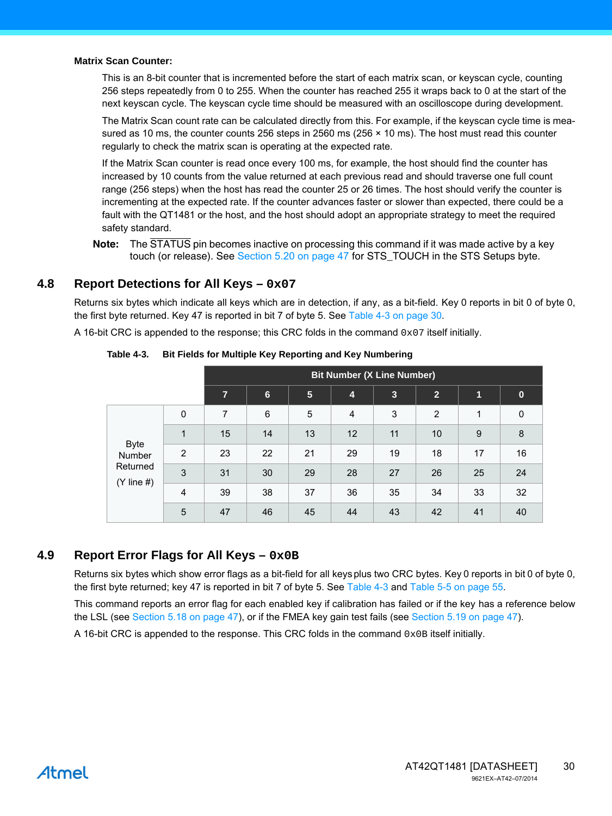#### **Matrix Scan Counter:**

<span id="page-29-2"></span><span id="page-29-1"></span>This is an 8-bit counter that is incremented before the start of each matrix scan, or keyscan cycle, counting 256 steps repeatedly from 0 to 255. When the counter has reached 255 it wraps back to 0 at the start of the next keyscan cycle. The keyscan cycle time should be measured with an oscilloscope during development.

The Matrix Scan count rate can be calculated directly from this. For example, if the keyscan cycle time is measured as 10 ms, the counter counts 256 steps in 2560 ms (256  $\times$  10 ms). The host must read this counter regularly to check the matrix scan is operating at the expected rate.

If the Matrix Scan counter is read once every 100 ms, for example, the host should find the counter has increased by 10 counts from the value returned at each previous read and should traverse one full count range (256 steps) when the host has read the counter 25 or 26 times. The host should verify the counter is incrementing at the expected rate. If the counter advances faster or slower than expected, there could be a fault with the QT1481 or the host, and the host should adopt an appropriate strategy to meet the required safety standard.

**Note:** The STATUS pin becomes inactive on processing this command if it was made active by a key touch (or release). See [Section 5.20 on page 47](#page-46-0) for STS TOUCH in the STS Setups byte.

## **4.8 Report Detections for All Keys – 0x07**

Returns six bytes which indicate all keys which are in detection, if any, as a bit-field. Key 0 reports in bit 0 of byte 0, the first byte returned. Key 47 is reported in bit 7 of byte 5. See [Table 4-3 on page 30.](#page-29-0)

A 16-bit CRC is appended to the response; this CRC folds in the command  $0 \times 07$  itself initially.

|                          |             | <b>Bit Number (X Line Number)</b> |                |                 |                |                |                |    |          |  |
|--------------------------|-------------|-----------------------------------|----------------|-----------------|----------------|----------------|----------------|----|----------|--|
|                          |             | $\overline{7}$                    | $6\phantom{1}$ | $5\phantom{.0}$ | 4              | $\overline{3}$ | $\overline{2}$ | 1  | $\bf{0}$ |  |
|                          | $\mathbf 0$ | 7                                 | 6              | 5               | $\overline{4}$ | 3              | $\overline{2}$ | 1  | 0        |  |
|                          | 1           | 15                                | 14             | 13              | 12             | 11             | 10             | 9  | 8        |  |
| <b>Byte</b><br>Number    | 2           | 23                                | 22             | 21              | 29             | 19             | 18             | 17 | 16       |  |
| Returned<br>$(Y$ line #) | 3           | 31                                | 30             | 29              | 28             | 27             | 26             | 25 | 24       |  |
|                          | 4           | 39                                | 38             | 37              | 36             | 35             | 34             | 33 | 32       |  |
|                          | 5           | 47                                | 46             | 45              | 44             | 43             | 42             | 41 | 40       |  |

<span id="page-29-0"></span>**Table 4-3. Bit Fields for Multiple Key Reporting and Key Numbering**

## **4.9 Report Error Flags for All Keys – 0x0B**

Returns six bytes which show error flags as a bit-field for all keys plus two CRC bytes. Key 0 reports in bit 0 of byte 0, the first byte returned; key 47 is reported in bit 7 of byte 5. See [Table 4-3](#page-29-0) and [Table 5-5 on page 55](#page-54-0).

This command reports an error flag for each enabled key if calibration has failed or if the key has a reference below the LSL (see [Section 5.18 on page 47](#page-46-2)), or if the FMEA key gain test fails (see [Section 5.19 on page 47\)](#page-46-1).

A 16-bit CRC is appended to the response. This CRC folds in the command  $0 \times 0$ B itself initially.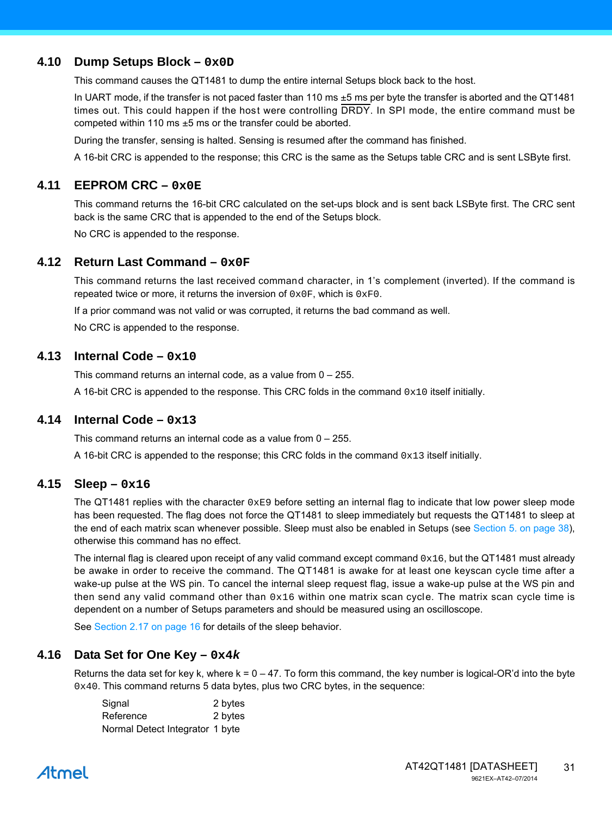## <span id="page-30-0"></span>**4.10 Dump Setups Block – 0x0D**

<span id="page-30-5"></span><span id="page-30-4"></span>This command causes the QT1481 to dump the entire internal Setups block back to the host.

<span id="page-30-3"></span><span id="page-30-2"></span><span id="page-30-1"></span>In UART mode, if the transfer is not paced faster than 110 ms  $\pm 5$  ms per byte the transfer is aborted and the QT1481 times out. This could happen if the host were controlling DRDY. In SPI mode, the entire command must be competed within 110 ms ±5 ms or the transfer could be aborted.

During the transfer, sensing is halted. Sensing is resumed after the command has finished.

A 16-bit CRC is appended to the response; this CRC is the same as the Setups table CRC and is sent LSByte first.

## **4.11 EEPROM CRC – 0x0E**

This command returns the 16-bit CRC calculated on the set-ups block and is sent back LSByte first. The CRC sent back is the same CRC that is appended to the end of the Setups block.

No CRC is appended to the response.

## **4.12 Return Last Command – 0x0F**

This command returns the last received command character, in 1's complement (inverted). If the command is repeated twice or more, it returns the inversion of  $0 \times 0$  F, which is  $0 \times F0$ .

If a prior command was not valid or was corrupted, it returns the bad command as well.

No CRC is appended to the response.

## **4.13 Internal Code – 0x10**

This command returns an internal code, as a value from 0 – 255.

A 16-bit CRC is appended to the response. This CRC folds in the command  $0 \times 10$  itself initially.

## **4.14 Internal Code – 0x13**

This command returns an internal code as a value from 0 – 255.

A 16-bit CRC is appended to the response; this CRC folds in the command  $0 \times 13$  itself initially.

#### **4.15 Sleep – 0x16**

The QT1481 replies with the character  $0 \times E9$  before setting an internal flag to indicate that low power sleep mode has been requested. The flag does not force the QT1481 to sleep immediately but requests the QT1481 to sleep at the end of each matrix scan whenever possible. Sleep must also be enabled in Setups (see [Section 5. on page 38](#page-37-0)), otherwise this command has no effect.

The internal flag is cleared upon receipt of any valid command except command  $0 \times 16$ , but the QT1481 must already be awake in order to receive the command. The QT1481 is awake for at least one keyscan cycle time after a wake-up pulse at the WS pin. To cancel the internal sleep request flag, issue a wake-up pulse at the WS pin and then send any valid command other than  $0x16$  within one matrix scan cycle. The matrix scan cycle time is dependent on a number of Setups parameters and should be measured using an oscilloscope.

See [Section 2.17 on page 16](#page-15-1) for details of the sleep behavior.

## **4.16 Data Set for One Key – 0x4***k*

Returns the data set for key k, where  $k = 0 - 47$ . To form this command, the key number is logical-OR'd into the byte 0x40. This command returns 5 data bytes, plus two CRC bytes, in the sequence:

| Signal                          | 2 bytes |
|---------------------------------|---------|
| Reference                       | 2 bytes |
| Normal Detect Integrator 1 byte |         |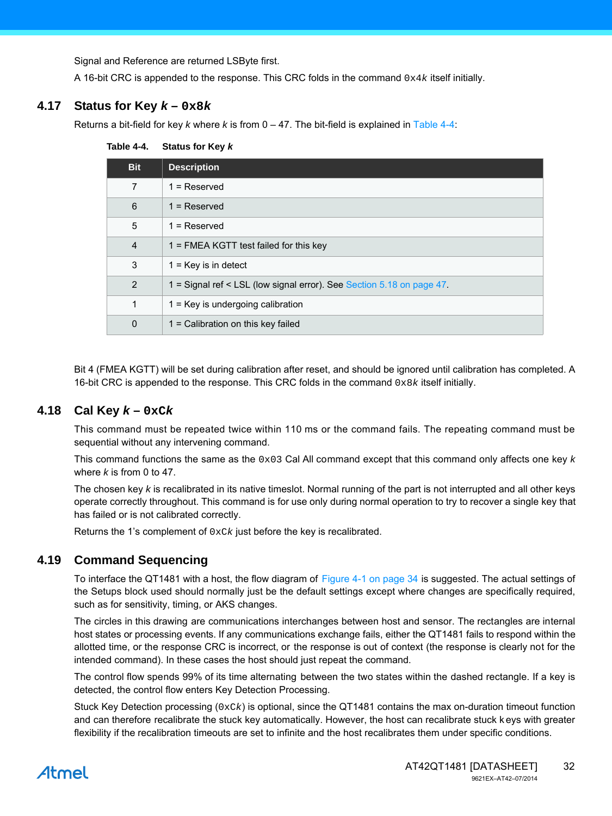Signal and Reference are returned LSByte first.

A 16-bit CRC is appended to the response. This CRC folds in the command 0x4*k* itself initially.

## **4.17 Status for Key**  $k - 0x8k$

Returns a bit-field for key *k* where *k* is from 0 – 47. The bit-field is explained in [Table 4-4](#page-31-1):

| <b>Bit</b>     | <b>Description</b>                                                    |
|----------------|-----------------------------------------------------------------------|
| 7              | $1 =$ Reserved                                                        |
| 6              | $1 =$ Reserved                                                        |
| 5              | $1 =$ Reserved                                                        |
| $\overline{4}$ | $1 =$ FMEA KGTT test failed for this key                              |
| 3              | $1 = Key$ is in detect                                                |
| $\overline{2}$ | 1 = Signal ref < LSL (low signal error). See Section 5.18 on page 47. |
| 1              | $1 = Key$ is undergoing calibration                                   |
| $\mathbf 0$    | 1 = Calibration on this key failed                                    |

<span id="page-31-1"></span>**Table 4-4. Status for Key** *k*

Bit 4 (FMEA KGTT) will be set during calibration after reset, and should be ignored until calibration has completed. A 16-bit CRC is appended to the response. This CRC folds in the command 0x8*k* itself initially.

## **4.18 Cal Key** *k* **– 0xC***k*

This command must be repeated twice within 110 ms or the command fails. The repeating command must be sequential without any intervening command.

This command functions the same as the 0x03 Cal All command except that this command only affects one key *k* where *k* is from 0 to 47.

The chosen key *k* is recalibrated in its native timeslot. Normal running of the part is not interrupted and all other keys operate correctly throughout. This command is for use only during normal operation to try to recover a single key that has failed or is not calibrated correctly.

Returns the 1's complement of 0xC*k* just before the key is recalibrated.

## <span id="page-31-0"></span>**4.19 Command Sequencing**

To interface the QT1481 with a host, the flow diagram of Figure 4-1 on page 34 is suggested. The actual settings of the Setups block used should normally just be the default settings except where changes are specifically required, such as for sensitivity, timing, or AKS changes.

The circles in this drawing are communications interchanges between host and sensor. The rectangles are internal host states or processing events. If any communications exchange fails, either the QT1481 fails to respond within the allotted time, or the response CRC is incorrect, or the response is out of context (the response is clearly not for the intended command). In these cases the host should just repeat the command.

The control flow spends 99% of its time alternating between the two states within the dashed rectangle. If a key is detected, the control flow enters Key Detection Processing.

Stuck Key Detection processing (0xC*k*) is optional, since the QT1481 contains the max on-duration timeout function and can therefore recalibrate the stuck key automatically. However, the host can recalibrate stuck k eys with greater flexibility if the recalibration timeouts are set to infinite and the host recalibrates them under specific conditions.

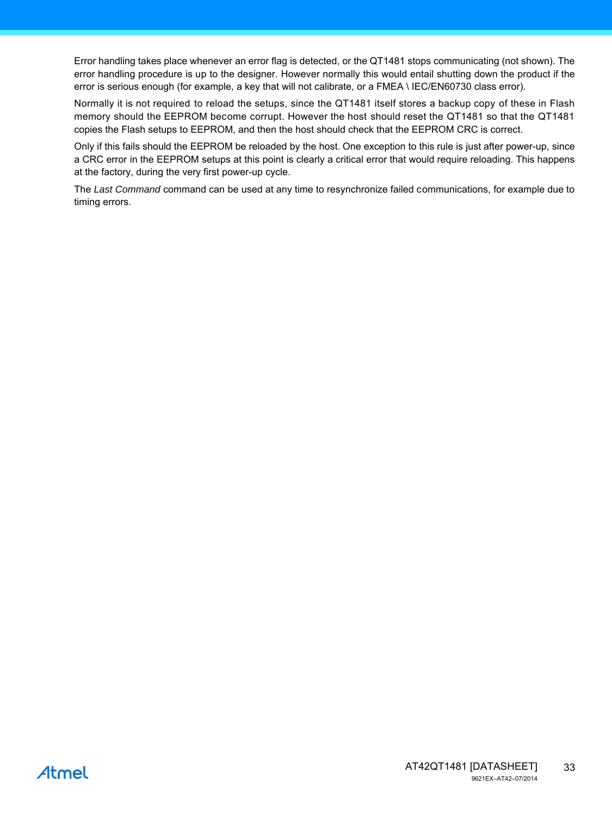Error handling takes place whenever an error flag is detected, or the QT1481 stops communicating (not shown). The error handling procedure is up to the designer. However normally this would entail shutting down the product if the error is serious enough (for example, a key that will not calibrate, or a FMEA \ IEC/EN60730 class error).

Normally it is not required to reload the setups, since the QT1481 itself stores a backup copy of these in Flash memory should the EEPROM become corrupt. However the host should reset the QT1481 so that the QT1481 copies the Flash setups to EEPROM, and then the host should check that the EEPROM CRC is correct.

Only if this fails should the EEPROM be reloaded by the host. One exception to this rule is just after power-up, since a CRC error in the EEPROM setups at this point is clearly a critical error that would require reloading. This happens at the factory, during the very first power-up cycle.

The *Last Command* command can be used at any time to resynchronize failed communications, for example due to timing errors.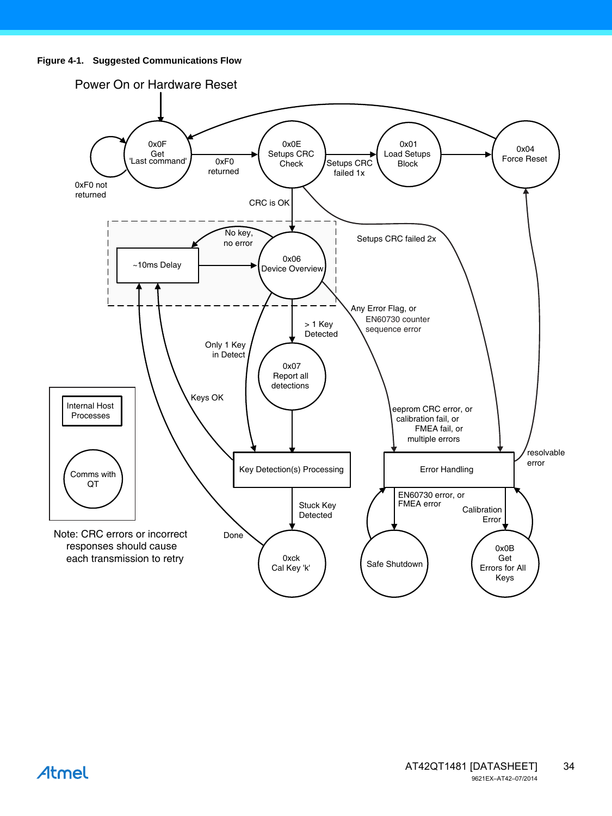

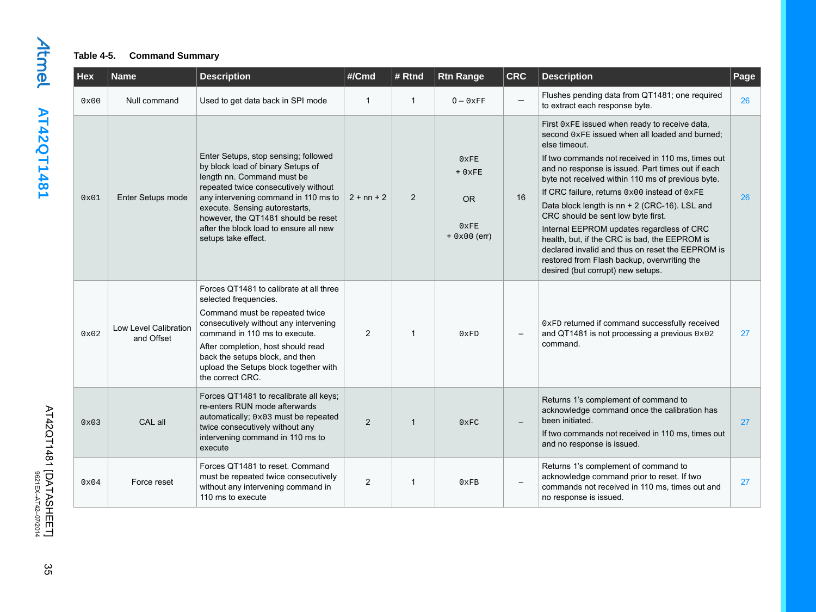## **Table 4-5. Command Summary**

| <b>Hex</b> | <b>Name</b>                         | <b>Description</b>                                                                                                                                                                                                                                                                                                                | #/Cmd          | # Rtnd       | <b>Rtn Range</b>                                       | <b>CRC</b>               | <b>Description</b>                                                                                                                                                                                                                                                                                                                                                                                                                                                                                                                                                                                                                                           | Page |
|------------|-------------------------------------|-----------------------------------------------------------------------------------------------------------------------------------------------------------------------------------------------------------------------------------------------------------------------------------------------------------------------------------|----------------|--------------|--------------------------------------------------------|--------------------------|--------------------------------------------------------------------------------------------------------------------------------------------------------------------------------------------------------------------------------------------------------------------------------------------------------------------------------------------------------------------------------------------------------------------------------------------------------------------------------------------------------------------------------------------------------------------------------------------------------------------------------------------------------------|------|
| 0x00       | Null command                        | Used to get data back in SPI mode                                                                                                                                                                                                                                                                                                 | $\mathbf{1}$   | $\mathbf{1}$ | $0 - 0xFF$                                             |                          | Flushes pending data from QT1481; one required<br>to extract each response byte.                                                                                                                                                                                                                                                                                                                                                                                                                                                                                                                                                                             | 26   |
| 0x01       | Enter Setups mode                   | Enter Setups, stop sensing; followed<br>by block load of binary Setups of<br>length nn. Command must be<br>repeated twice consecutively without<br>any intervening command in 110 ms to<br>execute. Sensing autorestarts,<br>however, the QT1481 should be reset<br>after the block load to ensure all new<br>setups take effect. | $2 + nn + 2$   | 2            | 0xFE<br>$+0xFE$<br><b>OR</b><br>0xFE<br>$+ 0x00$ (err) | 16                       | First OXFE issued when ready to receive data,<br>second OxFE issued when all loaded and burned;<br>else timeout.<br>If two commands not received in 110 ms, times out<br>and no response is issued. Part times out if each<br>byte not received within 110 ms of previous byte.<br>If CRC failure, returns 0x00 instead of 0xFE<br>Data block length is nn + 2 (CRC-16). LSL and<br>CRC should be sent low byte first.<br>Internal EEPROM updates regardless of CRC<br>health, but, if the CRC is bad, the EEPROM is<br>declared invalid and thus on reset the EEPROM is<br>restored from Flash backup, overwriting the<br>desired (but corrupt) new setups. | 26   |
| 0x02       | Low Level Calibration<br>and Offset | Forces QT1481 to calibrate at all three<br>selected frequencies.<br>Command must be repeated twice<br>consecutively without any intervening<br>command in 110 ms to execute.<br>After completion, host should read<br>back the setups block, and then<br>upload the Setups block together with<br>the correct CRC.                | $\overline{2}$ | $\mathbf{1}$ | 0xFD                                                   | $\overline{\phantom{a}}$ | 0xFD returned if command successfully received<br>and QT1481 is not processing a previous $0 \times 02$<br>command.                                                                                                                                                                                                                                                                                                                                                                                                                                                                                                                                          | 27   |
| 0x03       | CAL all                             | Forces QT1481 to recalibrate all keys;<br>re-enters RUN mode afterwards<br>automatically; 0x03 must be repeated<br>twice consecutively without any<br>intervening command in 110 ms to<br>execute                                                                                                                                 | $\overline{2}$ | $\mathbf{1}$ | 0xFC                                                   |                          | Returns 1's complement of command to<br>acknowledge command once the calibration has<br>been initiated.<br>If two commands not received in 110 ms, times out<br>and no response is issued.                                                                                                                                                                                                                                                                                                                                                                                                                                                                   | 27   |
| 0x04       | Force reset                         | Forces QT1481 to reset. Command<br>must be repeated twice consecutively<br>without any intervening command in<br>110 ms to execute                                                                                                                                                                                                | $\overline{2}$ | $\mathbf{1}$ | 0xFB                                                   |                          | Returns 1's complement of command to<br>acknowledge command prior to reset. If two<br>commands not received in 110 ms, times out and<br>no response is issued.                                                                                                                                                                                                                                                                                                                                                                                                                                                                                               | 27   |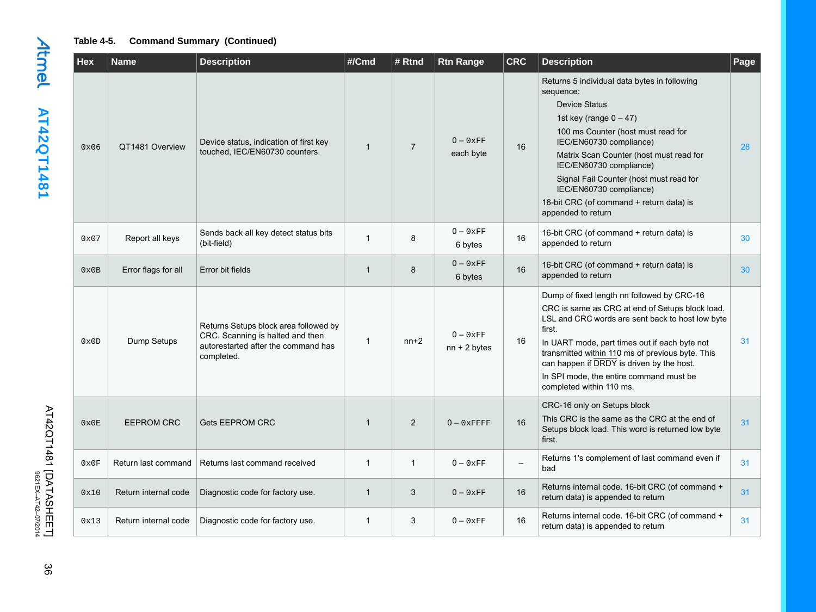## **Table 4-5. Command Summary (Continued)**

|                                                  | <b>Hex</b>     | <b>Name</b>          | <b>Description</b>                                                                                                             | #/Cmd        | # Rtnd         | <b>Rtn Range</b>             | <b>CRC</b>               | <b>Description</b>                                                                                                                                                                                                                                                                                                                                                                            | Page |
|--------------------------------------------------|----------------|----------------------|--------------------------------------------------------------------------------------------------------------------------------|--------------|----------------|------------------------------|--------------------------|-----------------------------------------------------------------------------------------------------------------------------------------------------------------------------------------------------------------------------------------------------------------------------------------------------------------------------------------------------------------------------------------------|------|
| tmel<br>AT42QT1481                               | 0x06           | QT1481 Overview      | Device status, indication of first key<br>touched, IEC/EN60730 counters.                                                       | $\mathbf{1}$ | $\overline{7}$ | $0 - 0xFF$<br>each byte      | 16                       | Returns 5 individual data bytes in following<br>sequence:<br><b>Device Status</b><br>1st key (range $0 - 47$ )<br>100 ms Counter (host must read for<br>IEC/EN60730 compliance)<br>Matrix Scan Counter (host must read for<br>IEC/EN60730 compliance)<br>Signal Fail Counter (host must read for<br>IEC/EN60730 compliance)<br>16-bit CRC (of command + return data) is<br>appended to return | 28   |
|                                                  | 0x07           | Report all keys      | Sends back all key detect status bits<br>(bit-field)                                                                           | $\mathbf{1}$ | 8              | $0 - 0xFF$<br>6 bytes        | 16                       | 16-bit CRC (of command + return data) is<br>appended to return                                                                                                                                                                                                                                                                                                                                | 30   |
| AT42QT1481 [DATASHEE<br>9621EX-AT42-07/2014<br>크 | $0 \times 0 B$ | Error flags for all  | Error bit fields                                                                                                               | $\mathbf{1}$ | 8              | $0 - 0xFF$<br>6 bytes        | 16                       | 16-bit CRC (of command + return data) is<br>appended to return                                                                                                                                                                                                                                                                                                                                | 30   |
|                                                  | 0x0D           | Dump Setups          | Returns Setups block area followed by<br>CRC. Scanning is halted and then<br>autorestarted after the command has<br>completed. | $\mathbf{1}$ | $nn+2$         | $0 - 0xFF$<br>$nn + 2 bytes$ | 16                       | Dump of fixed length nn followed by CRC-16<br>CRC is same as CRC at end of Setups block load.<br>LSL and CRC words are sent back to host low byte<br>first.<br>In UART mode, part times out if each byte not<br>transmitted within 110 ms of previous byte. This<br>can happen if DRDY is driven by the host.<br>In SPI mode, the entire command must be<br>completed within 110 ms.          | 31   |
|                                                  | $0 \times 0 E$ | <b>EEPROM CRC</b>    | <b>Gets EEPROM CRC</b>                                                                                                         | $\mathbf{1}$ | 2              | $0 - 0x$ FFFF                | 16                       | CRC-16 only on Setups block<br>This CRC is the same as the CRC at the end of<br>Setups block load. This word is returned low byte<br>first.                                                                                                                                                                                                                                                   |      |
|                                                  | 0x0F           | Return last command  | Returns last command received                                                                                                  | $\mathbf{1}$ | 1              | $0 - 0xFF$                   | $\overline{\phantom{m}}$ | Returns 1's complement of last command even if<br>bad                                                                                                                                                                                                                                                                                                                                         | 31   |
|                                                  | 0x10           | Return internal code | Diagnostic code for factory use.                                                                                               | $\mathbf{1}$ | 3              | $0 - 0xFF$                   | 16                       | Returns internal code. 16-bit CRC (of command +<br>return data) is appended to return                                                                                                                                                                                                                                                                                                         | 31   |
|                                                  | 0x13           | Return internal code | Diagnostic code for factory use.                                                                                               | $\mathbf{1}$ | 3              | $0 - 0xFF$                   | 16                       | Returns internal code. 16-bit CRC (of command +<br>return data) is appended to return                                                                                                                                                                                                                                                                                                         | 31   |

**Atmel** 

36 AT42QT1481 [DATASHEET]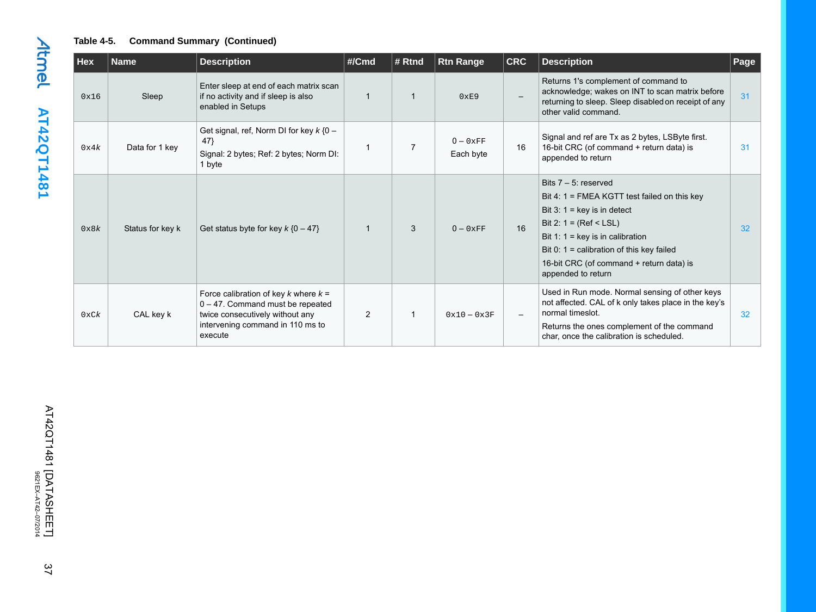### **Table 4-5. Command Summary (Continued)**

|  | <b>Hex</b> | <b>Name</b>      | <b>Description</b>                                                                                                                                                | #/Cmd | # Rtnd         | <b>Rtn Range</b>        | <b>CRC</b> | <b>Description</b>                                                                                                                                                                                                                                                                                        | Page |
|--|------------|------------------|-------------------------------------------------------------------------------------------------------------------------------------------------------------------|-------|----------------|-------------------------|------------|-----------------------------------------------------------------------------------------------------------------------------------------------------------------------------------------------------------------------------------------------------------------------------------------------------------|------|
|  | 0x16       | Sleep            | Enter sleep at end of each matrix scan<br>if no activity and if sleep is also<br>enabled in Setups                                                                | 1     | 1              | 0xE9                    |            | Returns 1's complement of command to<br>acknowledge; wakes on INT to scan matrix before<br>returning to sleep. Sleep disabled on receipt of any<br>other valid command.                                                                                                                                   | 31   |
|  | 0x4k       | Data for 1 key   | Get signal, ref, Norm DI for key $k$ {0 -<br>47<br>Signal: 2 bytes; Ref: 2 bytes; Norm DI:<br>1 byte                                                              | 1     | $\overline{7}$ | $0 - 0xFF$<br>Each byte | 16         | Signal and ref are Tx as 2 bytes, LSByte first.<br>16-bit CRC (of command + return data) is<br>appended to return                                                                                                                                                                                         | 31   |
|  | 0x8k       | Status for key k | Get status byte for key $k \{0 - 47\}$                                                                                                                            |       | 3              | $0 - 0xFF$              | 16         | Bits $7 - 5$ : reserved<br>Bit 4: 1 = FMEA KGTT test failed on this key<br>Bit $3: 1 = \text{key}$ is in detect<br>Bit 2: $1 = (Ref < LSL)$<br>Bit 1: $1 = \text{key}$ is in calibration<br>Bit 0: $1 =$ calibration of this key failed<br>16-bit CRC (of command + return data) is<br>appended to return | 32   |
|  | 0xCk       | CAL key k        | Force calibration of key $k$ where $k =$<br>$0 - 47$ . Command must be repeated<br>twice consecutively without any<br>intervening command in 110 ms to<br>execute | 2     |                | $0x10 - 0x3F$           |            | Used in Run mode. Normal sensing of other keys<br>not affected. CAL of k only takes place in the key's<br>normal timeslot.<br>Returns the ones complement of the command<br>char, once the calibration is scheduled.                                                                                      | 32   |

 $\sqrt{2}$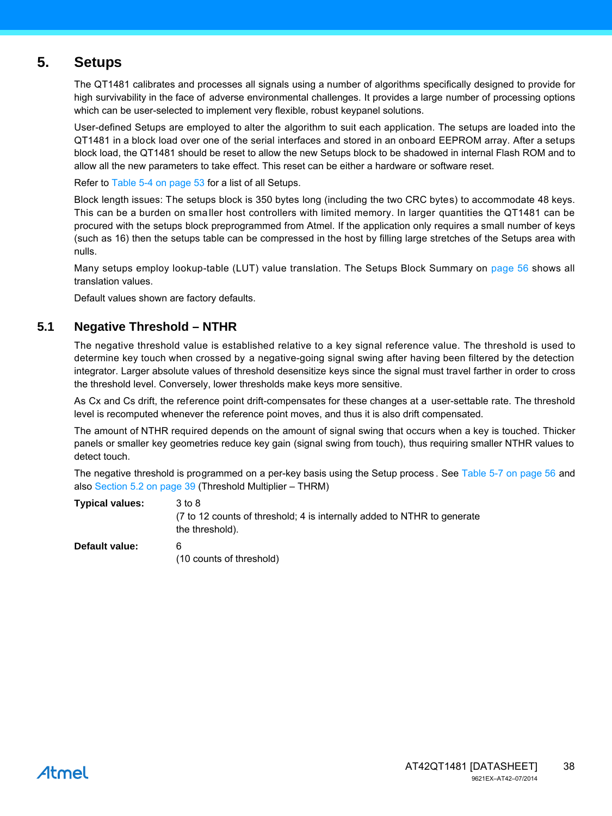# **5. Setups**

<span id="page-37-0"></span>The QT1481 calibrates and processes all signals using a number of algorithms specifically designed to provide for high survivability in the face of adverse environmental challenges. It provides a large number of processing options which can be user-selected to implement very flexible, robust keypanel solutions.

User-defined Setups are employed to alter the algorithm to suit each application. The setups are loaded into the QT1481 in a block load over one of the serial interfaces and stored in an onboard EEPROM array. After a setups block load, the QT1481 should be reset to allow the new Setups block to be shadowed in internal Flash ROM and to allow all the new parameters to take effect. This reset can be either a hardware or software reset.

Refer to Table 5-4 on page 53 for a list of all Setups.

Block length issues: The setups block is 350 bytes long (including the two CRC bytes) to accommodate 48 keys. This can be a burden on smaller host controllers with limited memory. In larger quantities the QT1481 can be procured with the setups block preprogrammed from Atmel. If the application only requires a small number of keys (such as 16) then the setups table can be compressed in the host by filling large stretches of the Setups area with nulls.

Many setups employ lookup-table (LUT) value translation. The Setups Block Summary on page 56 shows all translation values.

Default values shown are factory defaults.

### **5.1 Negative Threshold – NTHR**

The negative threshold value is established relative to a key signal reference value. The threshold is used to determine key touch when crossed by a negative-going signal swing after having been filtered by the detection integrator. Larger absolute values of threshold desensitize keys since the signal must travel farther in order to cross the threshold level. Conversely, lower thresholds make keys more sensitive.

As Cx and Cs drift, the reference point drift-compensates for these changes at a user-settable rate. The threshold level is recomputed whenever the reference point moves, and thus it is also drift compensated.

The amount of NTHR required depends on the amount of signal swing that occurs when a key is touched. Thicker panels or smaller key geometries reduce key gain (signal swing from touch), thus requiring smaller NTHR values to detect touch.

The negative threshold is programmed on a per-key basis using the Setup process. See Table 5-7 on page 56 and also [Section 5.2 on page 39](#page-38-0) (Threshold Multiplier – THRM)

| <b>Typical values:</b> | 3 to 8<br>(7 to 12 counts of threshold; 4 is internally added to NTHR to generate<br>the threshold). |
|------------------------|------------------------------------------------------------------------------------------------------|
| Default value:         | 6<br>(10 counts of threshold)                                                                        |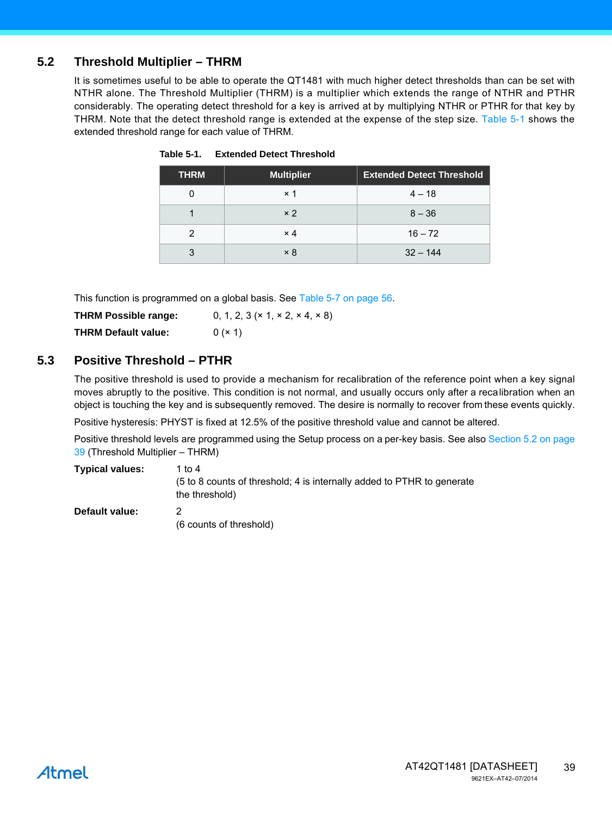### <span id="page-38-0"></span>**5.2 Threshold Multiplier – THRM**

It is sometimes useful to be able to operate the QT1481 with much higher detect thresholds than can be set with NTHR alone. The Threshold Multiplier (THRM) is a multiplier which extends the range of NTHR and PTHR considerably. The operating detect threshold for a key is arrived at by multiplying NTHR or PTHR for that key by THRM. Note that the detect threshold range is extended at the expense of the step size. [Table 5-1](#page-38-1) shows the extended threshold range for each value of THRM.

| <b>THRM</b> | <b>Multiplier</b> | <b>Extended Detect Threshold</b> |
|-------------|-------------------|----------------------------------|
|             | $\times$ 1        | $4 - 18$                         |
|             | $\times 2$        | $8 - 36$                         |
| 2           | $\times$ 4        | $16 - 72$                        |
|             | $\times 8$        | $32 - 144$                       |

<span id="page-38-3"></span><span id="page-38-2"></span><span id="page-38-1"></span>**Table 5-1. Extended Detect Threshold** 

This function is programmed on a global basis. See Table 5-7 on page 56.

| <b>THRM Possible range:</b> | 0, 1, 2, 3 ( $\times$ 1, $\times$ 2, $\times$ 4, $\times$ 8) |
|-----------------------------|--------------------------------------------------------------|
| <b>THRM Default value:</b>  | 0(x 1)                                                       |

### **5.3 Positive Threshold – PTHR**

The positive threshold is used to provide a mechanism for recalibration of the reference point when a key signal moves abruptly to the positive. This condition is not normal, and usually occurs only after a recalibration when an object is touching the key and is subsequently removed. The desire is normally to recover from these events quickly.

Positive hysteresis: PHYST is fixed at 12.5% of the positive threshold value and cannot be altered.

Positive threshold levels are programmed using the Setup process on a per-key basis. See also [Section 5.2 on page](#page-38-0) [39](#page-38-0) (Threshold Multiplier – THRM)

| <b>Typical values:</b> | 1 to 4<br>(5 to 8 counts of threshold; 4 is internally added to PTHR to generate<br>the threshold) |
|------------------------|----------------------------------------------------------------------------------------------------|
| Default value:         | (6 counts of threshold)                                                                            |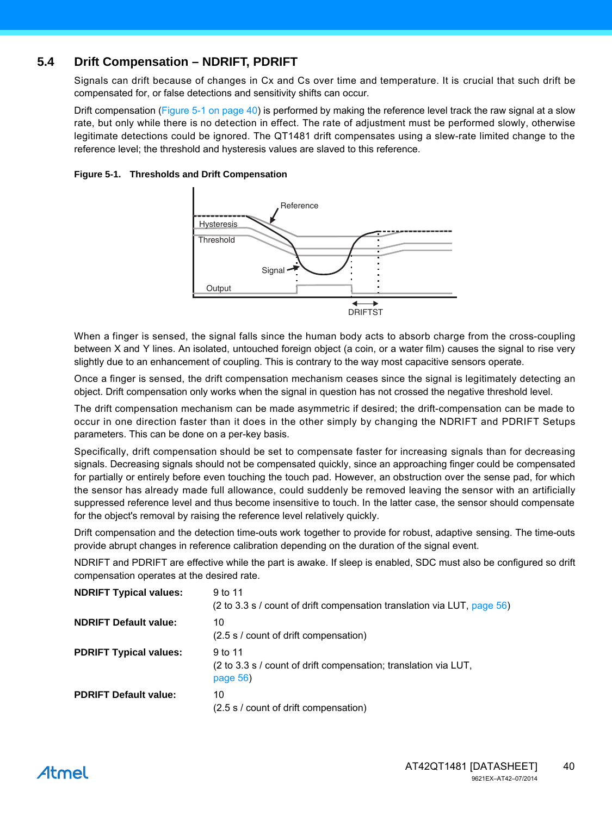# <span id="page-39-0"></span>**5.4 Drift Compensation – NDRIFT, PDRIFT**

Signals can drift because of changes in Cx and Cs over time and temperature. It is crucial that such drift be compensated for, or false detections and sensitivity shifts can occur.

Drift compensation (Figure 5-1 on page 40) is performed by making the reference level track the raw signal at a slow rate, but only while there is no detection in effect. The rate of adjustment must be performed slowly, otherwise legitimate detections could be ignored. The QT1481 drift compensates using a slew-rate limited change to the reference level; the threshold and hysteresis values are slaved to this reference.

#### **Figure 5-1. Thresholds and Drift Compensation**

<span id="page-39-1"></span>

When a finger is sensed, the signal falls since the human body acts to absorb charge from the cross-coupling between X and Y lines. An isolated, untouched foreign object (a coin, or a water film) causes the signal to rise very slightly due to an enhancement of coupling. This is contrary to the way most capacitive sensors operate.

Once a finger is sensed, the drift compensation mechanism ceases since the signal is legitimately detecting an object. Drift compensation only works when the signal in question has not crossed the negative threshold level.

The drift compensation mechanism can be made asymmetric if desired; the drift-compensation can be made to occur in one direction faster than it does in the other simply by changing the NDRIFT and PDRIFT Setups parameters. This can be done on a per-key basis.

Specifically, drift compensation should be set to compensate faster for increasing signals than for decreasing signals. Decreasing signals should not be compensated quickly, since an approaching finger could be compensated for partially or entirely before even touching the touch pad. However, an obstruction over the sense pad, for which the sensor has already made full allowance, could suddenly be removed leaving the sensor with an artificially suppressed reference level and thus become insensitive to touch. In the latter case, the sensor should compensate for the object's removal by raising the reference level relatively quickly.

Drift compensation and the detection time-outs work together to provide for robust, adaptive sensing. The time-outs provide abrupt changes in reference calibration depending on the duration of the signal event.

NDRIFT and PDRIFT are effective while the part is awake. If sleep is enabled, SDC must also be configured so drift compensation operates at the desired rate.

| <b>NDRIFT Typical values:</b> | 9 to 11<br>(2 to 3.3 s / count of drift compensation translation via LUT, page 56)       |
|-------------------------------|------------------------------------------------------------------------------------------|
| <b>NDRIFT Default value:</b>  | 10<br>(2.5 s / count of drift compensation)                                              |
| <b>PDRIFT Typical values:</b> | 9 to 11<br>(2 to 3.3 s / count of drift compensation; translation via LUT,<br>page $56)$ |
| <b>PDRIFT Default value:</b>  | 10<br>(2.5 s / count of drift compensation)                                              |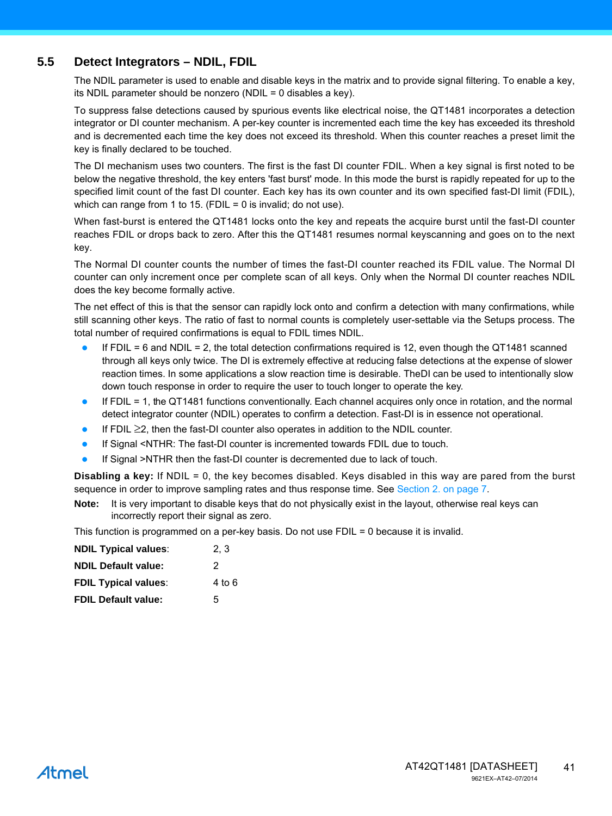### **5.5 Detect Integrators – NDIL, FDIL**

<span id="page-40-0"></span>The NDIL parameter is used to enable and disable keys in the matrix and to provide signal filtering. To enable a key, its NDIL parameter should be nonzero (NDIL = 0 disables a key).

To suppress false detections caused by spurious events like electrical noise, the QT1481 incorporates a detection integrator or DI counter mechanism. A per-key counter is incremented each time the key has exceeded its threshold and is decremented each time the key does not exceed its threshold. When this counter reaches a preset limit the key is finally declared to be touched.

The DI mechanism uses two counters. The first is the fast DI counter FDIL. When a key signal is first noted to be below the negative threshold, the key enters 'fast burst' mode. In this mode the burst is rapidly repeated for up to the specified limit count of the fast DI counter. Each key has its own counter and its own specified fast-DI limit (FDIL), which can range from 1 to 15. (FDIL = 0 is invalid; do not use).

When fast-burst is entered the QT1481 locks onto the key and repeats the acquire burst until the fast-DI counter reaches FDIL or drops back to zero. After this the QT1481 resumes normal keyscanning and goes on to the next key.

The Normal DI counter counts the number of times the fast-DI counter reached its FDIL value. The Normal DI counter can only increment once per complete scan of all keys. Only when the Normal DI counter reaches NDIL does the key become formally active.

The net effect of this is that the sensor can rapidly lock onto and confirm a detection with many confirmations, while still scanning other keys. The ratio of fast to normal counts is completely user-settable via the Setups process. The total number of required confirmations is equal to FDIL times NDIL.

- If FDIL = 6 and NDIL = 2, the total detection confirmations required is 12, even though the QT1481 scanned through all keys only twice. The DI is extremely effective at reducing false detections at the expense of slower reaction times. In some applications a slow reaction time is desirable. The DI can be used to intentionally slow down touch response in order to require the user to touch longer to operate the key.
- If FDIL = 1, the QT1481 functions conventionally. Each channel acquires only once in rotation, and the normal detect integrator counter (NDIL) operates to confirm a detection. Fast-DI is in essence not operational.
- If FDIL  $\geq$ 2, then the fast-DI counter also operates in addition to the NDIL counter.
- If Signal <NTHR: The fast-DI counter is incremented towards FDIL due to touch.
- If Signal >NTHR then the fast-DI counter is decremented due to lack of touch.

**Disabling a key:** If NDIL = 0, the key becomes disabled. Keys disabled in this way are pared from the burst sequence in order to improve sampling rates and thus response time. See [Section 2. on page 7](#page-6-0).

**Note:** It is very important to disable keys that do not physically exist in the layout, otherwise real keys can incorrectly report their signal as zero.

This function is programmed on a per-key basis. Do not use FDIL = 0 because it is invalid.

| <b>NDIL Typical values:</b> | 2.3               |
|-----------------------------|-------------------|
| <b>NDIL Default value:</b>  | 2                 |
| <b>FDIL Typical values:</b> | $4 \text{ to } 6$ |
| <b>FDIL Default value:</b>  | 5                 |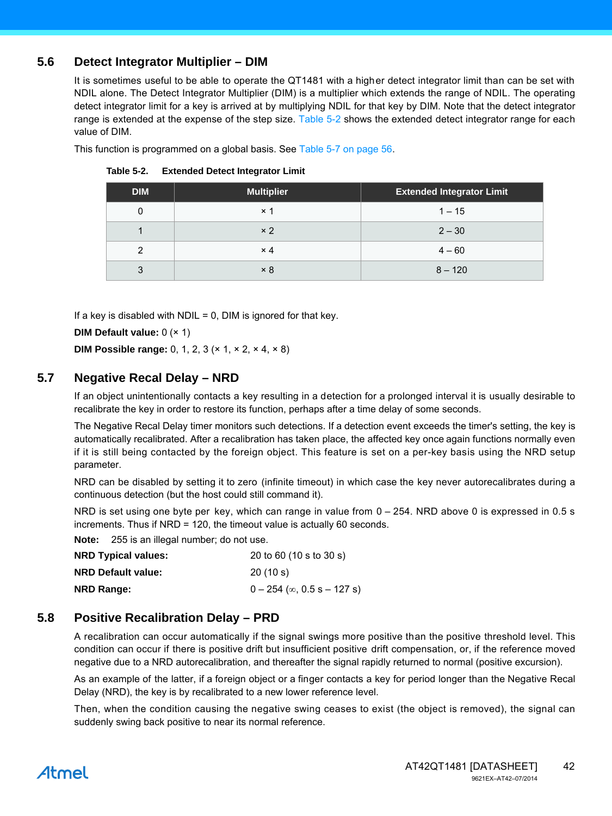### **5.6 Detect Integrator Multiplier – DIM**

<span id="page-41-2"></span>It is sometimes useful to be able to operate the QT1481 with a higher detect integrator limit than can be set with NDIL alone. The Detect Integrator Multiplier (DIM) is a multiplier which extends the range of NDIL. The operating detect integrator limit for a key is arrived at by multiplying NDIL for that key by DIM. Note that the detect integrator range is extended at the expense of the step size. [Table 5-2](#page-41-0) shows the extended detect integrator range for each value of DIM.

This function is programmed on a global basis. See Table 5-7 on page 56.

| <b>DIM</b> | <b>Multiplier</b> | <b>Extended Integrator Limit</b> |
|------------|-------------------|----------------------------------|
| 0          | $\times$ 1        | $1 - 15$                         |
|            | $\times 2$        | $2 - 30$                         |
| 2          | $\times$ 4        | $4 - 60$                         |
| 3          | $\times 8$        | $8 - 120$                        |

<span id="page-41-3"></span><span id="page-41-1"></span><span id="page-41-0"></span>**Table 5-2. Extended Detect Integrator Limit**

If a key is disabled with  $NDIL = 0$ ,  $DIM$  is ignored for that key.

**DIM Default value:** 0 (× 1)

**DIM Possible range:** 0, 1, 2, 3 (× 1, × 2, × 4, × 8)

### **5.7 Negative Recal Delay – NRD**

If an object unintentionally contacts a key resulting in a detection for a prolonged interval it is usually desirable to recalibrate the key in order to restore its function, perhaps after a time delay of some seconds.

The Negative Recal Delay timer monitors such detections. If a detection event exceeds the timer's setting, the key is automatically recalibrated. After a recalibration has taken place, the affected key once again functions normally even if it is still being contacted by the foreign object. This feature is set on a per-key basis using the NRD setup parameter.

NRD can be disabled by setting it to zero (infinite timeout) in which case the key never autorecalibrates during a continuous detection (but the host could still command it).

NRD is set using one byte per key, which can range in value from  $0 - 254$ . NRD above 0 is expressed in 0.5 s increments. Thus if NRD = 120, the timeout value is actually 60 seconds.

**Note:** 255 is an illegal number; do not use.

| <b>NRD Typical values:</b> | 20 to 60 (10 s to 30 s)               |
|----------------------------|---------------------------------------|
| <b>NRD Default value:</b>  | 20(10 s)                              |
| <b>NRD Range:</b>          | $0 - 254$ ( $\infty$ , 0.5 s - 127 s) |

### **5.8 Positive Recalibration Delay – PRD**

A recalibration can occur automatically if the signal swings more positive than the positive threshold level. This condition can occur if there is positive drift but insufficient positive drift compensation, or, if the reference moved negative due to a NRD autorecalibration, and thereafter the signal rapidly returned to normal (positive excursion).

As an example of the latter, if a foreign object or a finger contacts a key for period longer than the Negative Recal Delay (NRD), the key is by recalibrated to a new lower reference level.

Then, when the condition causing the negative swing ceases to exist (the object is removed), the signal can suddenly swing back positive to near its normal reference.

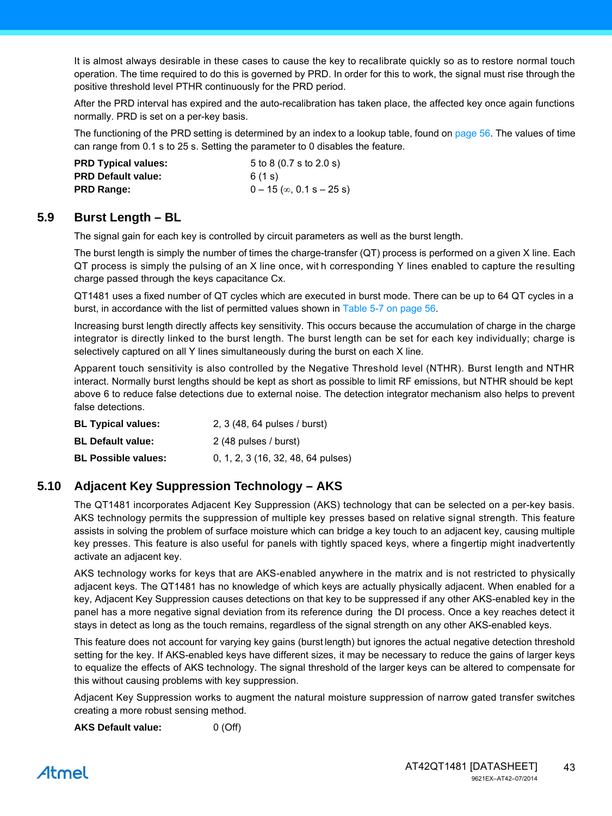<span id="page-42-1"></span><span id="page-42-0"></span>It is almost always desirable in these cases to cause the key to recalibrate quickly so as to restore normal touch operation. The time required to do this is governed by PRD. In order for this to work, the signal must rise through the positive threshold level PTHR continuously for the PRD period.

After the PRD interval has expired and the auto-recalibration has taken place, the affected key once again functions normally. PRD is set on a per-key basis.

The functioning of the PRD setting is determined by an index to a lookup table, found on page 56. The values of time can range from 0.1 s to 25 s. Setting the parameter to 0 disables the feature.

| <b>PRD Typical values:</b> | 5 to 8 $(0.7 \text{ s to } 2.0 \text{ s})$ |
|----------------------------|--------------------------------------------|
| <b>PRD Default value:</b>  | 6(1 s)                                     |
| <b>PRD Range:</b>          | $0 - 15$ ( $\infty$ , 0.1 s - 25 s)        |

### **5.9 Burst Length – BL**

The signal gain for each key is controlled by circuit parameters as well as the burst length.

The burst length is simply the number of times the charge-transfer (QT) process is performed on a given X line. Each QT process is simply the pulsing of an X line once, wit h corresponding Y lines enabled to capture the resulting charge passed through the keys capacitance Cx.

QT1481 uses a fixed number of QT cycles which are executed in burst mode. There can be up to 64 QT cycles in a burst, in accordance with the list of permitted values shown in Table 5-7 on page 56.

Increasing burst length directly affects key sensitivity. This occurs because the accumulation of charge in the charge integrator is directly linked to the burst length. The burst length can be set for each key individually; charge is selectively captured on all Y lines simultaneously during the burst on each X line.

Apparent touch sensitivity is also controlled by the Negative Threshold level (NTHR). Burst length and NTHR interact. Normally burst lengths should be kept as short as possible to limit RF emissions, but NTHR should be kept above 6 to reduce false detections due to external noise. The detection integrator mechanism also helps to prevent false detections.

| <b>BL Typical values:</b>  | 2, 3 (48, 64 pulses / burst)       |
|----------------------------|------------------------------------|
| <b>BL Default value:</b>   | 2 (48 pulses / burst)              |
| <b>BL Possible values:</b> | 0, 1, 2, 3 (16, 32, 48, 64 pulses) |

### **5.10 Adjacent Key Suppression Technology – AKS**

The QT1481 incorporates Adjacent Key Suppression (AKS) technology that can be selected on a per-key basis. AKS technology permits the suppression of multiple key presses based on relative signal strength. This feature assists in solving the problem of surface moisture which can bridge a key touch to an adjacent key, causing multiple key presses. This feature is also useful for panels with tightly spaced keys, where a fingertip might inadvertently activate an adjacent key.

AKS technology works for keys that are AKS-enabled anywhere in the matrix and is not restricted to physically adjacent keys. The QT1481 has no knowledge of which keys are actually physically adjacent. When enabled for a key, Adjacent Key Suppression causes detections on that key to be suppressed if any other AKS-enabled key in the panel has a more negative signal deviation from its reference during the DI process. Once a key reaches detect it stays in detect as long as the touch remains, regardless of the signal strength on any other AKS-enabled keys.

This feature does not account for varying key gains (burst length) but ignores the actual negative detection threshold setting for the key. If AKS-enabled keys have different sizes, it may be necessary to reduce the gains of larger keys to equalize the effects of AKS technology. The signal threshold of the larger keys can be altered to compensate for this without causing problems with key suppression.

Adjacent Key Suppression works to augment the natural moisture suppression of narrow gated transfer switches creating a more robust sensing method.

**AKS Default value:** 0 (Off)

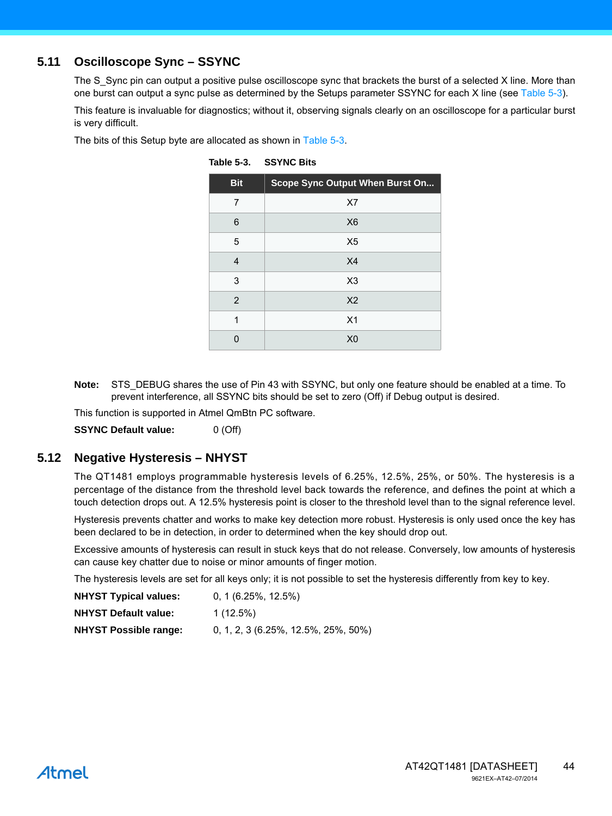### **5.11 Oscilloscope Sync – SSYNC**

The S Sync pin can output a positive pulse oscilloscope sync that brackets the burst of a selected X line. More than one burst can output a sync pulse as determined by the Setups parameter SSYNC for each X line (see [Table 5-3\)](#page-43-0).

This feature is invaluable for diagnostics; without it, observing signals clearly on an oscilloscope for a particular burst is very difficult.

The bits of this Setup byte are allocated as shown in [Table 5-3](#page-43-0).

| <b>Bit</b> | Scope Sync Output When Burst On |
|------------|---------------------------------|
| 7          | X7                              |
| 6          | X <sub>6</sub>                  |
| 5          | X <sub>5</sub>                  |
| 4          | X <sub>4</sub>                  |
| 3          | X <sub>3</sub>                  |
| 2          | X <sub>2</sub>                  |
| 1          | X <sub>1</sub>                  |
| n          | X <sub>0</sub>                  |

<span id="page-43-2"></span><span id="page-43-1"></span><span id="page-43-0"></span>**Table 5-3. SSYNC Bits**

**Note:** STS\_DEBUG shares the use of Pin 43 with SSYNC, but only one feature should be enabled at a time. To prevent interference, all SSYNC bits should be set to zero (Off) if Debug output is desired.

This function is supported in Atmel QmBtn PC software.

**SSYNC Default value:** 0 (Off)

### **5.12 Negative Hysteresis – NHYST**

The QT1481 employs programmable hysteresis levels of 6.25%, 12.5%, 25%, or 50%. The hysteresis is a percentage of the distance from the threshold level back towards the reference, and defines the point at which a touch detection drops out. A 12.5% hysteresis point is closer to the threshold level than to the signal reference level.

Hysteresis prevents chatter and works to make key detection more robust. Hysteresis is only used once the key has been declared to be in detection, in order to determined when the key should drop out.

Excessive amounts of hysteresis can result in stuck keys that do not release. Conversely, low amounts of hysteresis can cause key chatter due to noise or minor amounts of finger motion.

The hysteresis levels are set for all keys only; it is not possible to set the hysteresis differently from key to key.

| <b>NHYST Typical values:</b> | $0, 1$ (6.25%, 12.5%)                 |
|------------------------------|---------------------------------------|
| <b>NHYST Default value:</b>  | $1(12.5\%)$                           |
| <b>NHYST Possible range:</b> | $0, 1, 2, 3$ (6.25%, 12.5%, 25%, 50%) |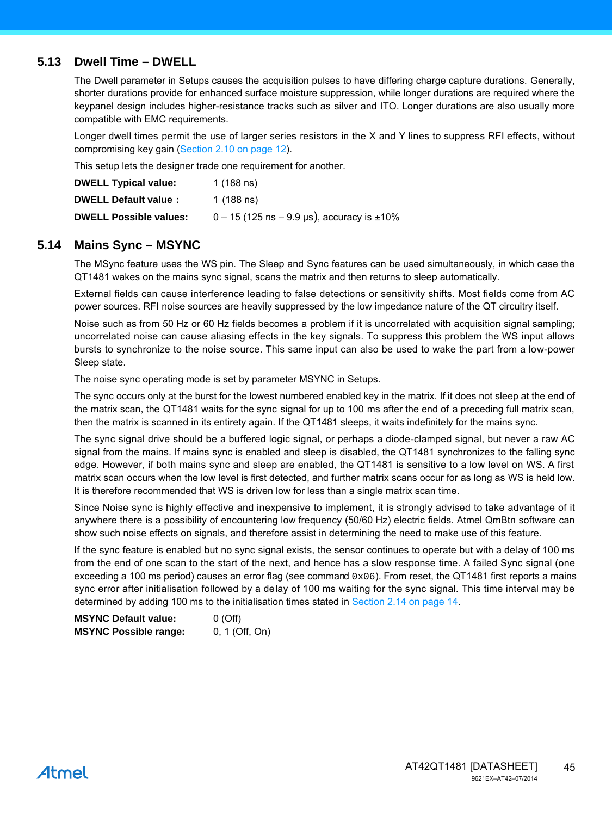### **5.13 Dwell Time – DWELL**

<span id="page-44-1"></span><span id="page-44-0"></span>The Dwell parameter in Setups causes the acquisition pulses to have differing charge capture durations. Generally, shorter durations provide for enhanced surface moisture suppression, while longer durations are required where the keypanel design includes higher-resistance tracks such as silver and ITO. Longer durations are also usually more compatible with EMC requirements.

Longer dwell times permit the use of larger series resistors in the X and Y lines to suppress RFI effects, without compromising key gain ([Section 2.10 on page 12\)](#page-11-0).

This setup lets the designer trade one requirement for another.

| <b>DWELL Typical value:</b>   | $1(188 \text{ ns})$                                        |
|-------------------------------|------------------------------------------------------------|
| DWELL Default value:          | 1 (188 ns)                                                 |
| <b>DWELL Possible values:</b> | $0 - 15$ (125 ns $- 9.9 \,\mu s$ ), accuracy is $\pm 10\%$ |

### **5.14 Mains Sync – MSYNC**

The MSync feature uses the WS pin. The Sleep and Sync features can be used simultaneously, in which case the QT1481 wakes on the mains sync signal, scans the matrix and then returns to sleep automatically.

External fields can cause interference leading to false detections or sensitivity shifts. Most fields come from AC power sources. RFI noise sources are heavily suppressed by the low impedance nature of the QT circuitry itself.

Noise such as from 50 Hz or 60 Hz fields becomes a problem if it is uncorrelated with acquisition signal sampling; uncorrelated noise can cause aliasing effects in the key signals. To suppress this problem the WS input allows bursts to synchronize to the noise source. This same input can also be used to wake the part from a low-power Sleep state.

The noise sync operating mode is set by parameter MSYNC in Setups.

The sync occurs only at the burst for the lowest numbered enabled key in the matrix. If it does not sleep at the end of the matrix scan, the QT1481 waits for the sync signal for up to 100 ms after the end of a preceding full matrix scan, then the matrix is scanned in its entirety again. If the QT1481 sleeps, it waits indefinitely for the mains sync.

The sync signal drive should be a buffered logic signal, or perhaps a diode-clamped signal, but never a raw AC signal from the mains. If mains sync is enabled and sleep is disabled, the QT1481 synchronizes to the falling sync edge. However, if both mains sync and sleep are enabled, the QT1481 is sensitive to a low level on WS. A first matrix scan occurs when the low level is first detected, and further matrix scans occur for as long as WS is held low. It is therefore recommended that WS is driven low for less than a single matrix scan time.

Since Noise sync is highly effective and inexpensive to implement, it is strongly advised to take advantage of it anywhere there is a possibility of encountering low frequency (50/60 Hz) electric fields. Atmel QmBtn software can show such noise effects on signals, and therefore assist in determining the need to make use of this feature.

If the sync feature is enabled but no sync signal exists, the sensor continues to operate but with a delay of 100 ms from the end of one scan to the start of the next, and hence has a slow response time. A failed Sync signal (one exceeding a 100 ms period) causes an error flag (see command  $0 \times 06$ ). From reset, the QT1481 first reports a mains sync error after initialisation followed by a delay of 100 ms waiting for the sync signal. This time interval may be determined by adding 100 ms to the initialisation times stated in [Section 2.14 on page 14.](#page-13-0)

| <b>MSYNC Default value:</b>  | 0(Off)         |
|------------------------------|----------------|
| <b>MSYNC Possible range:</b> | 0, 1 (Off, On) |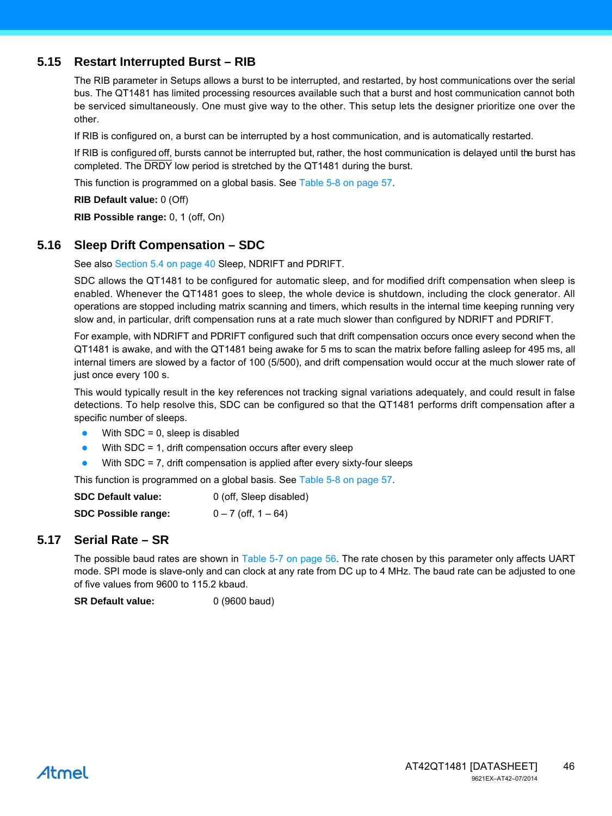### **5.15 Restart Interrupted Burst – RIB**

<span id="page-45-2"></span><span id="page-45-1"></span><span id="page-45-0"></span>The RIB parameter in Setups allows a burst to be interrupted, and restarted, by host communications over the serial bus. The QT1481 has limited processing resources available such that a burst and host communication cannot both be serviced simultaneously. One must give way to the other. This setup lets the designer prioritize one over the other.

If RIB is configured on, a burst can be interrupted by a host communication, and is automatically restarted.

If RIB is configured off, bursts cannot be interrupted but, rather, the host communication is delayed until the burst has completed. The DRDY low period is stretched by the QT1481 during the burst.

This function is programmed on a global basis. See [Table 5-8 on page 57.](#page-56-0)

**RIB Default value:** 0 (Off)

**RIB Possible range:** 0, 1 (off, On)

### **5.16 Sleep Drift Compensation – SDC**

See also [Section 5.4 on page 40](#page-39-0) Sleep, NDRIFT and PDRIFT.

SDC allows the QT1481 to be configured for automatic sleep, and for modified drift compensation when sleep is enabled. Whenever the QT1481 goes to sleep, the whole device is shutdown, including the clock generator. All operations are stopped including matrix scanning and timers, which results in the internal time keeping running very slow and, in particular, drift compensation runs at a rate much slower than configured by NDRIFT and PDRIFT.

For example, with NDRIFT and PDRIFT configured such that drift compensation occurs once every second when the QT1481 is awake, and with the QT1481 being awake for 5 ms to scan the matrix before falling asleep for 495 ms, all internal timers are slowed by a factor of 100 (5/500), and drift compensation would occur at the much slower rate of just once every 100 s.

This would typically result in the key references not tracking signal variations adequately, and could result in false detections. To help resolve this, SDC can be configured so that the QT1481 performs drift compensation after a specific number of sleeps.

- $\bullet$  With SDC = 0, sleep is disabled
- With SDC = 1, drift compensation occurs after every sleep
- With SDC = 7, drift compensation is applied after every sixty-four sleeps

This function is programmed on a global basis. See [Table 5-8 on page 57.](#page-56-0)

| <b>SDC Default value:</b>  | 0 (off, Sleep disabled)  |
|----------------------------|--------------------------|
| <b>SDC Possible range:</b> | $0 - 7$ (off, $1 - 64$ ) |

### **5.17 Serial Rate – SR**

The possible baud rates are shown in Table 5-7 on page 56. The rate chosen by this parameter only affects UART mode. SPI mode is slave-only and can clock at any rate from DC up to 4 MHz. The baud rate can be adjusted to one of five values from 9600 to 115.2 kbaud.

**SR Default value:** 0 (9600 baud)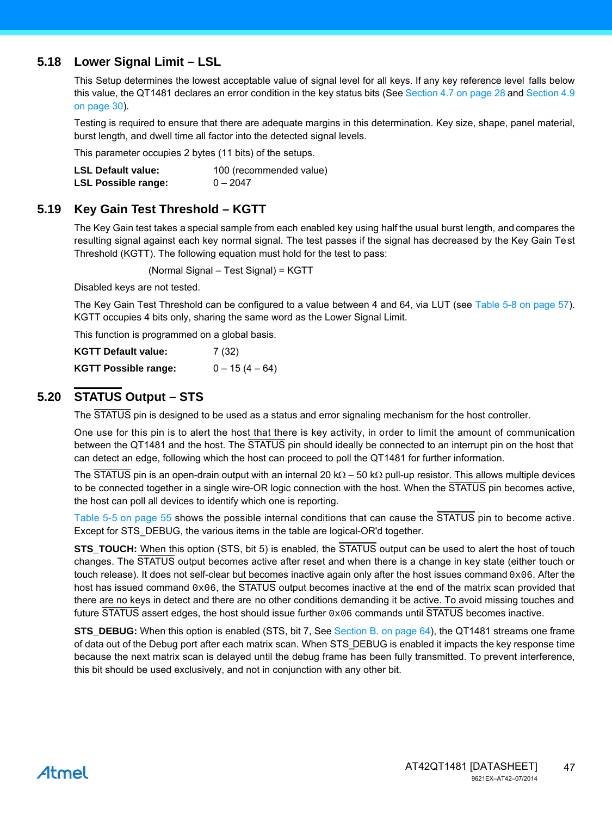### **5.18 Lower Signal Limit – LSL**

<span id="page-46-2"></span>This Setup determines the lowest acceptable value of signal level for all keys. If any key reference level falls below this value, the QT1481 declares an error condition in the key status bits (See [Section 4.7 on page 28](#page-27-0) and [Section 4.9](#page-29-0) [on page 30\)](#page-29-0).

Testing is required to ensure that there are adequate margins in this determination. Key size, shape, panel material, burst length, and dwell time all factor into the detected signal levels.

This parameter occupies 2 bytes (11 bits) of the setups.

| <b>LSL Default value:</b>  | 100 (recommended value) |
|----------------------------|-------------------------|
| <b>LSL Possible range:</b> | $0 - 2047$              |

### <span id="page-46-3"></span>**5.19 Key Gain Test Threshold – KGTT**

The Key Gain test takes a special sample from each enabled key using half the usual burst length, and compares the resulting signal against each key normal signal. The test passes if the signal has decreased by the Key Gain Test Threshold (KGTT). The following equation must hold for the test to pass:

<span id="page-46-1"></span><span id="page-46-0"></span>(Normal Signal – Test Signal) = KGTT

Disabled keys are not tested.

The Key Gain Test Threshold can be configured to a value between 4 and 64, via LUT (see [Table 5-8 on page 57](#page-56-0)). KGTT occupies 4 bits only, sharing the same word as the Lower Signal Limit.

This function is programmed on a global basis.

| <b>KGTT Default value:</b>  | 7 (32)           |
|-----------------------------|------------------|
| <b>KGTT Possible range:</b> | $0 - 15(4 - 64)$ |

### **5.20 STATUS Output – STS**

The STATUS pin is designed to be used as a status and error signaling mechanism for the host controller.

One use for this pin is to alert the host that there is key activity, in order to limit the amount of communication between the QT1481 and the host. The STATUS pin should ideally be connected to an interrupt pin on the host that can detect an edge, following which the host can proceed to poll the QT1481 for further information.

The STATUS pin is an open-drain output with an internal 20 k $\Omega$  – 50 k $\Omega$  pull-up resistor. This allows multiple devices to be connected together in a single wire-OR logic connection with the host. When the STATUS pin becomes active, the host can poll all devices to identify which one is reporting.

[Table 5-5 on page 55](#page-54-0) shows the possible internal conditions that can cause the STATUS pin to become active. Except for STS DEBUG, the various items in the table are logical-OR'd together.

**STS\_TOUCH:** When this option (STS, bit 5) is enabled, the STATUS output can be used to alert the host of touch changes. The STATUS output becomes active after reset and when there is a change in key state (either touch or touch release). It does not self-clear but becomes inactive again only after the host issues command  $0x06$ . After the host has issued command  $0x06$ , the STATUS output becomes inactive at the end of the matrix scan provided that there are no keys in detect and there are no other conditions demanding it be active. To avoid missing touches and future  $\overline{STATUS}$  assert edges, the host should issue further  $0 \times 06$  commands until  $\overline{STATUS}$  becomes inactive.

**STS\_DEBUG:** When this option is enabled (STS, bit 7, See [Section B. on page 64\)](#page-63-0), the QT1481 streams one frame of data out of the Debug port after each matrix scan. When STS\_DEBUG is enabled it impacts the key response time because the next matrix scan is delayed until the debug frame has been fully transmitted. To prevent interference, this bit should be used exclusively, and not in conjunction with any other bit.

# Atmel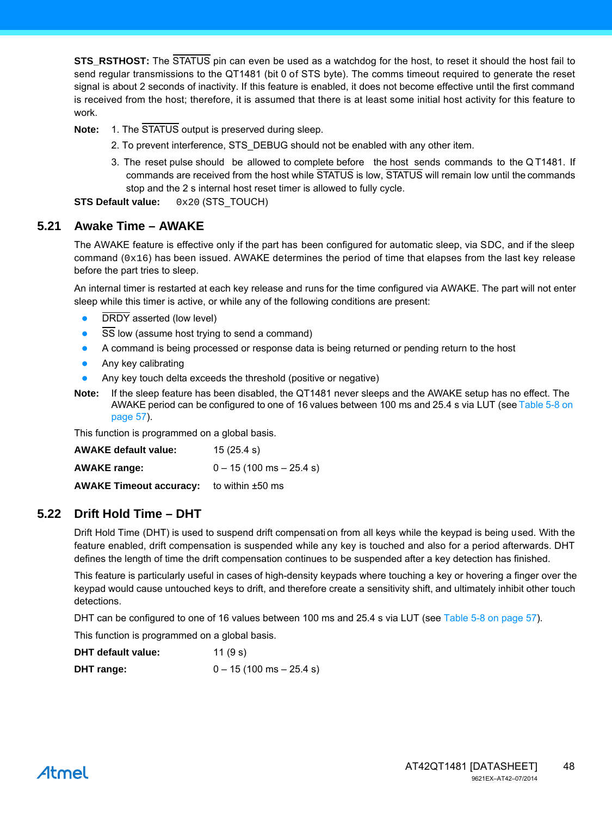**STS\_RSTHOST:** The STATUS pin can even be used as a watchdog for the host, to reset it should the host fail to send regular transmissions to the QT1481 (bit 0 of STS byte). The comms timeout required to generate the reset signal is about 2 seconds of inactivity. If this feature is enabled, it does not become effective until the first command is received from the host; therefore, it is assumed that there is at least some initial host activity for this feature to work.

**Note:** 1. The STATUS output is preserved during sleep.

- <span id="page-47-1"></span><span id="page-47-0"></span>2. To prevent interference, STS\_DEBUG should not be enabled with any other item.
- 3. The reset pulse should be allowed to complete before the host sends commands to the Q T1481. If commands are received from the host while STATUS is low, STATUS will remain low until the commands stop and the 2 s internal host reset timer is allowed to fully cycle.

**STS Default value:** 0x20 (STS\_TOUCH)

### **5.21 Awake Time – AWAKE**

The AWAKE feature is effective only if the part has been configured for automatic sleep, via SDC, and if the sleep command  $(0x16)$  has been issued. AWAKE determines the period of time that elapses from the last key release before the part tries to sleep.

An internal timer is restarted at each key release and runs for the time configured via AWAKE. The part will not enter sleep while this timer is active, or while any of the following conditions are present:

- DRDY asserted (low level)
- $\overline{\text{SS}}$  low (assume host trying to send a command)
- A command is being processed or response data is being returned or pending return to the host
- Any key calibrating
- Any key touch delta exceeds the threshold (positive or negative)
- **Note:** If the sleep feature has been disabled, the QT1481 never sleeps and the AWAKE setup has no effect. The AWAKE period can be configured to one of 16 values between 100 ms and 25.4 s via LUT (see [Table 5-8 on](#page-56-0)  [page 57](#page-56-0)).

This function is programmed on a global basis.

| <b>AWAKE default value:</b>    | 15(25.4 s)                                |
|--------------------------------|-------------------------------------------|
| <b>AWAKE range:</b>            | $0 - 15(100 \text{ ms} - 25.4 \text{ s})$ |
| <b>AWAKE Timeout accuracy:</b> | to within $\pm 50$ ms                     |

# **5.22 Drift Hold Time – DHT**

Drift Hold Time (DHT) is used to suspend drift compensati on from all keys while the keypad is being used. With the feature enabled, drift compensation is suspended while any key is touched and also for a period afterwards. DHT defines the length of time the drift compensation continues to be suspended after a key detection has finished.

This feature is particularly useful in cases of high-density keypads where touching a key or hovering a finger over the keypad would cause untouched keys to drift, and therefore create a sensitivity shift, and ultimately inhibit other touch detections.

DHT can be configured to one of 16 values between 100 ms and 25.4 s via LUT (see [Table 5-8 on page 57](#page-56-0)).

This function is programmed on a global basis.

| DHT default value: | 11 $(9s)$                                 |
|--------------------|-------------------------------------------|
| DHT range:         | $0 - 15(100 \text{ ms} - 25.4 \text{ s})$ |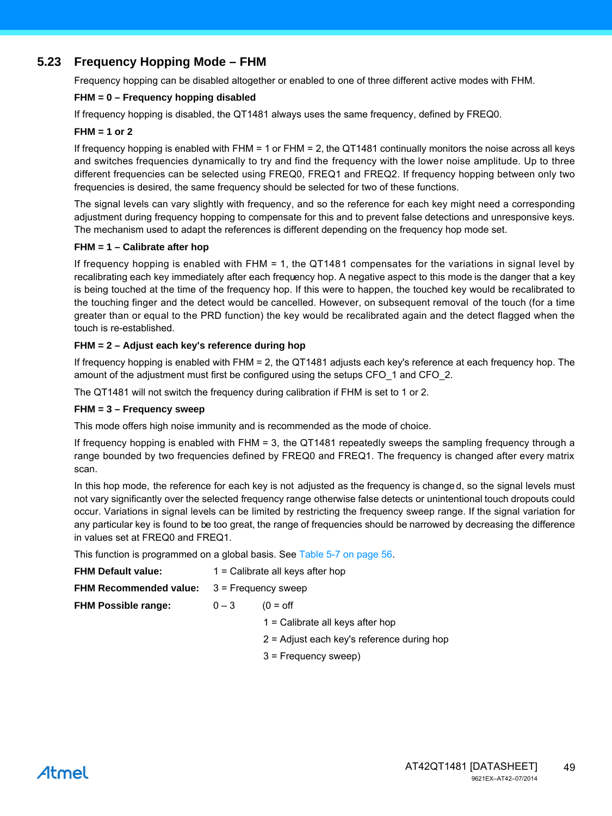# <span id="page-48-1"></span>**5.23 Frequency Hopping Mode – FHM**

<span id="page-48-0"></span>Frequency hopping can be disabled altogether or enabled to one of three different active modes with FHM.

### **FHM = 0 – Frequency hopping disabled**

If frequency hopping is disabled, the QT1481 always uses the same frequency, defined by FREQ0.

#### **FHM = 1 or 2**

If frequency hopping is enabled with FHM = 1 or FHM = 2, the QT1481 continually monitors the noise across all keys and switches frequencies dynamically to try and find the frequency with the lower noise amplitude. Up to three different frequencies can be selected using FREQ0, FREQ1 and FREQ2. If frequency hopping between only two frequencies is desired, the same frequency should be selected for two of these functions.

The signal levels can vary slightly with frequency, and so the reference for each key might need a corresponding adjustment during frequency hopping to compensate for this and to prevent false detections and unresponsive keys. The mechanism used to adapt the references is different depending on the frequency hop mode set.

### **FHM = 1 – Calibrate after hop**

If frequency hopping is enabled with FHM = 1, the QT1481 compensates for the variations in signal level by recalibrating each key immediately after each frequency hop. A negative aspect to this mode is the danger that a key is being touched at the time of the frequency hop. If this were to happen, the touched key would be recalibrated to the touching finger and the detect would be cancelled. However, on subsequent removal of the touch (for a time greater than or equal to the PRD function) the key would be recalibrated again and the detect flagged when the touch is re-established.

### **FHM = 2 – Adjust each key's reference during hop**

If frequency hopping is enabled with FHM = 2, the QT1481 adjusts each key's reference at each frequency hop. The amount of the adjustment must first be configured using the setups CFO\_1 and CFO\_2.

The QT1481 will not switch the frequency during calibration if FHM is set to 1 or 2.

#### **FHM = 3 – Frequency sweep**

This mode offers high noise immunity and is recommended as the mode of choice.

If frequency hopping is enabled with FHM = 3, the QT1481 repeatedly sweeps the sampling frequency through a range bounded by two frequencies defined by FREQ0 and FREQ1. The frequency is changed after every matrix scan.

In this hop mode, the reference for each key is not adjusted as the frequency is changed, so the signal levels must not vary significantly over the selected frequency range otherwise false detects or unintentional touch dropouts could occur. Variations in signal levels can be limited by restricting the frequency sweep range. If the signal variation for any particular key is found to be too great, the range of frequencies should be narrowed by decreasing the difference in values set at FREQ0 and FREQ1.

This function is programmed on a global basis. See Table 5-7 on page 56.

| <b>FHM Default value:</b>     | $1 =$ Calibrate all keys after hop |                                              |
|-------------------------------|------------------------------------|----------------------------------------------|
| <b>FHM Recommended value:</b> | 3 = Frequency sweep                |                                              |
| <b>FHM Possible range:</b>    | $0 - 3$                            | $(0 = off$                                   |
|                               |                                    | $1 =$ Calibrate all keys after hop           |
|                               |                                    | $2$ = Adjust each key's reference during hop |
|                               |                                    | $3$ = Frequency sweep)                       |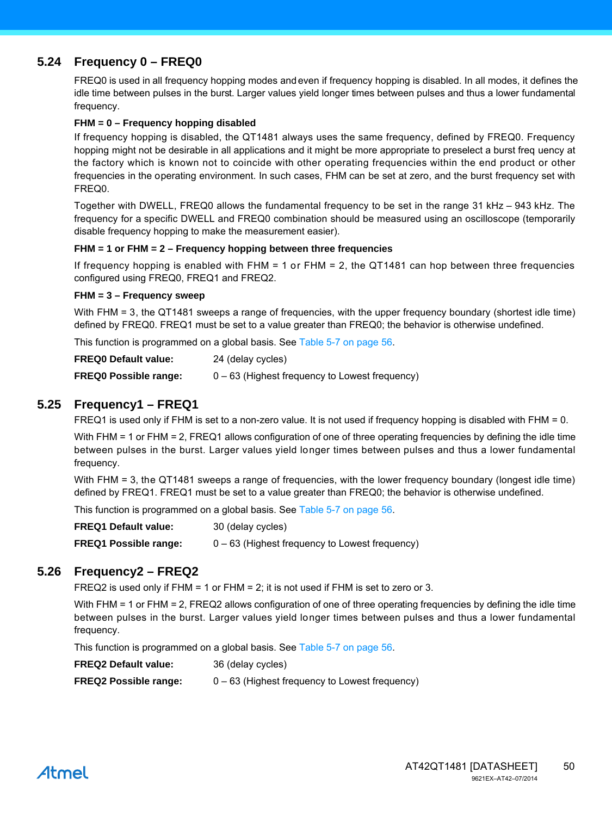# **5.24 Frequency 0 – FREQ0**

<span id="page-49-2"></span><span id="page-49-1"></span><span id="page-49-0"></span>FREQ0 is used in all frequency hopping modes and even if frequency hopping is disabled. In all modes, it defines the idle time between pulses in the burst. Larger values yield longer times between pulses and thus a lower fundamental frequency.

#### **FHM = 0 – Frequency hopping disabled**

If frequency hopping is disabled, the QT1481 always uses the same frequency, defined by FREQ0. Frequency hopping might not be desirable in all applications and it might be more appropriate to preselect a burst freq uency at the factory which is known not to coincide with other operating frequencies within the end product or other frequencies in the operating environment. In such cases, FHM can be set at zero, and the burst frequency set with FREQ0.

Together with DWELL, FREQ0 allows the fundamental frequency to be set in the range 31 kHz – 943 kHz. The frequency for a specific DWELL and FREQ0 combination should be measured using an oscilloscope (temporarily disable frequency hopping to make the measurement easier).

#### **FHM = 1 or FHM = 2 – Frequency hopping between three frequencies**

If frequency hopping is enabled with FHM = 1 or FHM = 2, the QT1481 can hop between three frequencies configured using FREQ0, FREQ1 and FREQ2.

#### **FHM = 3 – Frequency sweep**

With FHM = 3, the QT1481 sweeps a range of frequencies, with the upper frequency boundary (shortest idle time) defined by FREQ0. FREQ1 must be set to a value greater than FREQ0; the behavior is otherwise undefined.

This function is programmed on a global basis. See Table 5-7 on page 56.

| <b>FREQ0 Default value:</b>  | 24 (delay cycles)                                |
|------------------------------|--------------------------------------------------|
| <b>FREQ0 Possible range:</b> | $0 - 63$ (Highest frequency to Lowest frequency) |

### **5.25 Frequency1 – FREQ1**

FREQ1 is used only if FHM is set to a non-zero value. It is not used if frequency hopping is disabled with FHM = 0.

With FHM = 1 or FHM = 2, FREQ1 allows configuration of one of three operating frequencies by defining the idle time between pulses in the burst. Larger values yield longer times between pulses and thus a lower fundamental frequency.

With FHM = 3, the QT1481 sweeps a range of frequencies, with the lower frequency boundary (longest idle time) defined by FREQ1. FREQ1 must be set to a value greater than FREQ0; the behavior is otherwise undefined.

This function is programmed on a global basis. See Table 5-7 on page 56.

| <b>FREQ1 Default value:</b>  | 30 (delay cycles)                                |
|------------------------------|--------------------------------------------------|
| <b>FREQ1 Possible range:</b> | $0 - 63$ (Highest frequency to Lowest frequency) |

### **5.26 Frequency2 – FREQ2**

FREQ2 is used only if FHM = 1 or FHM = 2; it is not used if FHM is set to zero or 3.

With FHM = 1 or FHM = 2, FREQ2 allows configuration of one of three operating frequencies by defining the idle time between pulses in the burst. Larger values yield longer times between pulses and thus a lower fundamental frequency.

This function is programmed on a global basis. See Table 5-7 on page 56.

**FREQ2 Default value:** 36 (delay cycles)

**FREQ2 Possible range:**  $0 - 63$  (Highest frequency to Lowest frequency)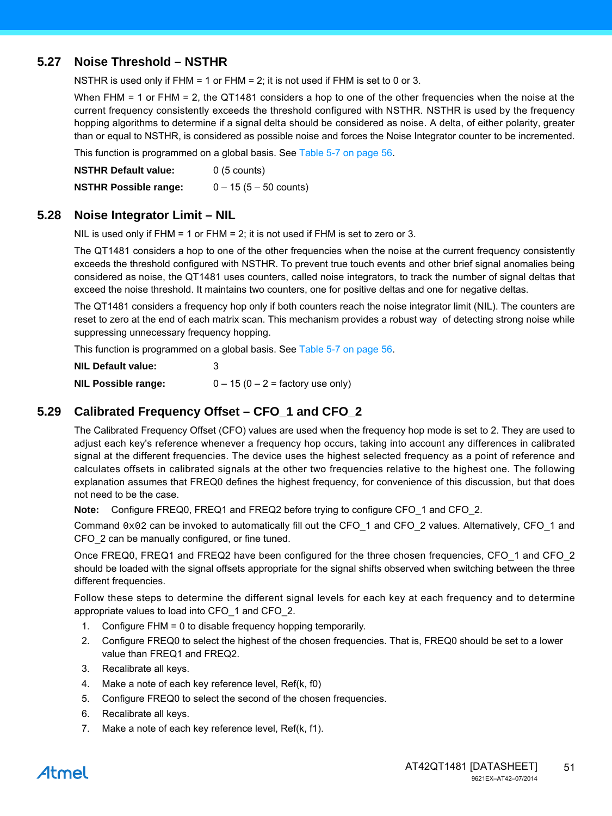## **5.27 Noise Threshold – NSTHR**

<span id="page-50-2"></span><span id="page-50-1"></span><span id="page-50-0"></span>NSTHR is used only if FHM = 1 or FHM = 2; it is not used if FHM is set to 0 or 3.

When FHM = 1 or FHM = 2, the QT1481 considers a hop to one of the other frequencies when the noise at the current frequency consistently exceeds the threshold configured with NSTHR. NSTHR is used by the frequency hopping algorithms to determine if a signal delta should be considered as noise. A delta, of either polarity, greater than or equal to NSTHR, is considered as possible noise and forces the Noise Integrator counter to be incremented.

This function is programmed on a global basis. See Table 5-7 on page 56.

| <b>NSTHR Default value:</b>  | $0(5$ counts)                   |
|------------------------------|---------------------------------|
| <b>NSTHR Possible range:</b> | $0 - 15(5 - 50 \text{ counts})$ |

### <span id="page-50-3"></span>**5.28 Noise Integrator Limit – NIL**

NIL is used only if  $FHM = 1$  or  $FHM = 2$ ; it is not used if  $FHM$  is set to zero or 3.

The QT1481 considers a hop to one of the other frequencies when the noise at the current frequency consistently exceeds the threshold configured with NSTHR. To prevent true touch events and other brief signal anomalies being considered as noise, the QT1481 uses counters, called noise integrators, to track the number of signal deltas that exceed the noise threshold. It maintains two counters, one for positive deltas and one for negative deltas.

The QT1481 considers a frequency hop only if both counters reach the noise integrator limit (NIL). The counters are reset to zero at the end of each matrix scan. This mechanism provides a robust way of detecting strong noise while suppressing unnecessary frequency hopping.

This function is programmed on a global basis. See Table 5-7 on page 56.

| <b>NIL Default value:</b>  |                                     |
|----------------------------|-------------------------------------|
| <b>NIL Possible range:</b> | $0 - 15 (0 - 2 =$ factory use only) |

# **5.29 Calibrated Frequency Offset – CFO\_1 and CFO\_2**

The Calibrated Frequency Offset (CFO) values are used when the frequency hop mode is set to 2. They are used to adjust each key's reference whenever a frequency hop occurs, taking into account any differences in calibrated signal at the different frequencies. The device uses the highest selected frequency as a point of reference and calculates offsets in calibrated signals at the other two frequencies relative to the highest one. The following explanation assumes that FREQ0 defines the highest frequency, for convenience of this discussion, but that does not need to be the case.

**Note:** Configure FREQ0, FREQ1 and FREQ2 before trying to configure CFO\_1 and CFO\_2.

Command 0x02 can be invoked to automatically fill out the CFO\_1 and CFO\_2 values. Alternatively, CFO\_1 and CFO\_2 can be manually configured, or fine tuned.

Once FREQ0, FREQ1 and FREQ2 have been configured for the three chosen frequencies, CFO\_1 and CFO\_2 should be loaded with the signal offsets appropriate for the signal shifts observed when switching between the three different frequencies.

Follow these steps to determine the different signal levels for each key at each frequency and to determine appropriate values to load into CFO\_1 and CFO\_2.

- 1. Configure FHM = 0 to disable frequency hopping temporarily.
- 2. Configure FREQ0 to select the highest of the chosen frequencies. That is, FREQ0 should be set to a lower value than FREQ1 and FREQ2.
- 3. Recalibrate all keys.
- 4. Make a note of each key reference level, Ref(k, f0)
- 5. Configure FREQ0 to select the second of the chosen frequencies.
- 6. Recalibrate all keys.
- 7. Make a note of each key reference level, Ref(k, f1).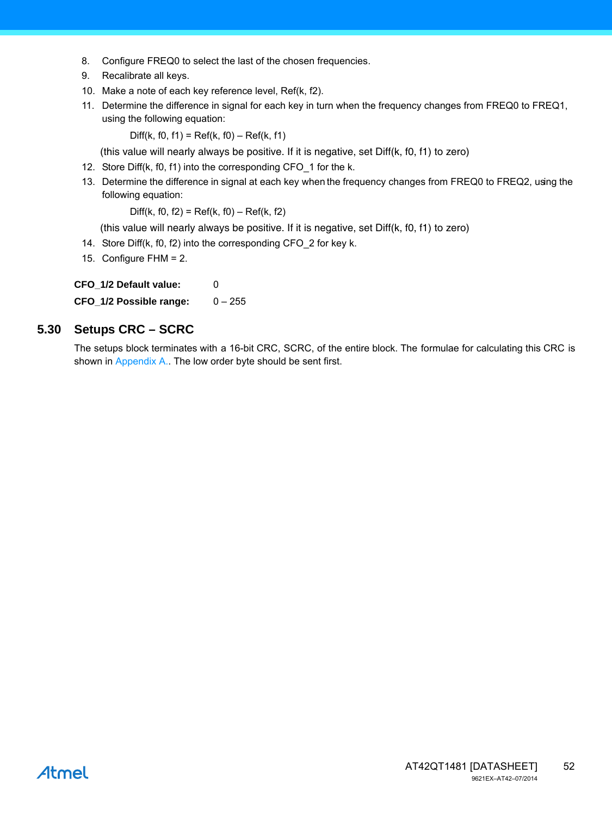- 8. Configure FREQ0 to select the last of the chosen frequencies.
- 9. Recalibrate all keys.
- 10. Make a note of each key reference level, Ref(k, f2).
- 11. Determine the difference in signal for each key in turn when the frequency changes from FREQ0 to FREQ1, using the following equation:

<span id="page-51-0"></span> $Diff(k, f0, f1) = Ref(k, f0) - Ref(k, f1)$ 

(this value will nearly always be positive. If it is negative, set Diff(k, f0, f1) to zero)

- 12. Store Diff(k, f0, f1) into the corresponding CFO\_1 for the k.
- 13. Determine the difference in signal at each key when the frequency changes from FREQ0 to FREQ2, using the following equation:

 $Diff(k, f0, f2) = Ref(k, f0) - Ref(k, f2)$ 

(this value will nearly always be positive. If it is negative, set Diff(k, f0, f1) to zero)

- 14. Store Diff(k, f0, f2) into the corresponding CFO\_2 for key k.
- 15. Configure FHM = 2.

**CFO\_1/2 Default value:** 0

**CFO\_1/2 Possible range:** 0 – 255

### **5.30 Setups CRC – SCRC**

The setups block terminates with a 16-bit CRC, SCRC, of the entire block. The formulae for calculating this CRC is shown in [Appendix A.](#page-62-0). The low order byte should be sent first.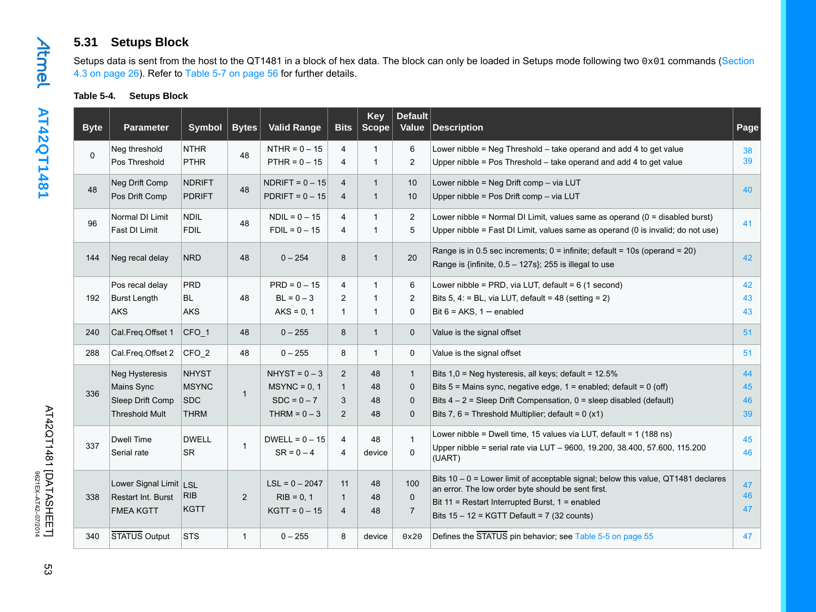# **5.31 Setups Block**

Setups data is sent from the host to the QT1481 in a block of hex data. The block can only be loaded in Setups mode following two 0x01 commands (Section [4.3 on page 26](#page-25-0)). Refer to Table 5-7 on page 56 for further details.

### **Table 5-4. Setups Block**

| <b>Byte</b> | <b>Parameter</b>                                                                 | <b>Symbol</b>                                             | <b>Bytes</b>   | <b>Valid Range</b>                                                   | <b>Bits</b>                                           | <b>Key</b><br><b>Scope</b>                     | <b>Default</b><br>Value                                    | Description                                                                                                                                                                                                                                                           | Page                 |
|-------------|----------------------------------------------------------------------------------|-----------------------------------------------------------|----------------|----------------------------------------------------------------------|-------------------------------------------------------|------------------------------------------------|------------------------------------------------------------|-----------------------------------------------------------------------------------------------------------------------------------------------------------------------------------------------------------------------------------------------------------------------|----------------------|
| $\Omega$    | Neg threshold<br>Pos Threshold                                                   | <b>NTHR</b><br><b>PTHR</b>                                | 48             | $NTHR = 0 - 15$<br>$PTHR = 0 - 15$                                   | 4<br>$\overline{4}$                                   | -1<br>$\mathbf 1$                              | 6<br>$\overline{2}$                                        | Lower nibble = Neg Threshold $-$ take operand and add 4 to get value<br>Upper nibble = Pos Threshold - take operand and add 4 to get value                                                                                                                            | 38<br>39             |
| 48          | Neg Drift Comp<br>Pos Drift Comp                                                 | <b>NDRIFT</b><br><b>PDRIFT</b>                            | 48             | NDRIFT = $0 - 15$<br>$PDF = 0 - 15$                                  | $\overline{4}$<br>$\overline{4}$                      | $\overline{1}$<br>1                            | 10<br>10                                                   | Lower nibble = Neg Drift comp - via LUT<br>Upper nibble = Pos Drift comp - via LUT                                                                                                                                                                                    | 40                   |
| 96          | Normal DI Limit<br>Fast DI Limit                                                 | <b>NDIL</b><br><b>FDIL</b>                                | 48             | $NDIL = 0 - 15$<br>$FDIL = 0 - 15$                                   | $\overline{4}$<br>$\overline{4}$                      | $\overline{1}$<br>$\overline{1}$               | $\overline{2}$<br>5                                        | Lower nibble = Normal DI Limit, values same as operand $(0 =$ disabled burst)<br>Upper nibble = Fast DI Limit, values same as operand (0 is invalid; do not use)                                                                                                      | 41                   |
| 144         | Neg recal delay                                                                  | <b>NRD</b>                                                | 48             | $0 - 254$                                                            | 8                                                     | $\overline{1}$                                 | 20                                                         | Range is in 0.5 sec increments; $0 =$ infinite; default = 10s (operand = 20)<br>Range is {infinite, $0.5 - 127s$ }; 255 is illegal to use                                                                                                                             | 42                   |
| 192         | Pos recal delay<br><b>Burst Length</b><br><b>AKS</b>                             | <b>PRD</b><br><b>BL</b><br><b>AKS</b>                     | 48             | $PRD = 0 - 15$<br>$BL = 0 - 3$<br>$AKS = 0, 1$                       | 4<br>$\overline{2}$<br>$\mathbf{1}$                   | $\mathbf{1}$<br>$\overline{1}$<br>$\mathbf{1}$ | 6<br>$\overline{2}$<br>$\mathbf 0$                         | Lower nibble = PRD, via LUT, default = $6(1$ second)<br>Bits 5, 4: = BL, via LUT, default = 48 (setting = $2$ )<br>Bit $6 = AKS$ , $1 -$ enabled                                                                                                                      | 42<br>43<br>43       |
| 240         | Cal.Freq.Offset 1                                                                | $CFO_1$                                                   | 48             | $0 - 255$                                                            | 8                                                     | $\mathbf{1}$                                   | $\mathbf{0}$                                               | Value is the signal offset                                                                                                                                                                                                                                            | 51                   |
| 288         | Cal.Freq.Offset 2                                                                | CFO <sub>2</sub>                                          | 48             | $0 - 255$                                                            | 8                                                     | $\mathbf{1}$                                   | 0                                                          | Value is the signal offset                                                                                                                                                                                                                                            | 51                   |
| 336         | <b>Neg Hysteresis</b><br>Mains Sync<br>Sleep Drift Comp<br><b>Threshold Mult</b> | <b>NHYST</b><br><b>MSYNC</b><br><b>SDC</b><br><b>THRM</b> | $\mathbf{1}$   | $NHYST = 0 - 3$<br>$MSYNC = 0, 1$<br>$SDC = 0 - 7$<br>THRM = $0 - 3$ | $\overline{2}$<br>$\mathbf{1}$<br>3<br>$\overline{2}$ | 48<br>48<br>48<br>48                           | $\mathbf{1}$<br>$\mathbf 0$<br>$\mathbf{0}$<br>$\mathbf 0$ | Bits $1,0$ = Neg hysteresis, all keys; default = $12.5\%$<br>Bits $5 =$ Mains sync, negative edge, $1 =$ enabled; default = 0 (off)<br>Bits $4 - 2$ = Sleep Drift Compensation, $0$ = sleep disabled (default)<br>Bits 7, 6 = Threshold Multiplier; default = $0(x1)$ | 44<br>45<br>46<br>39 |
| 337         | Dwell Time<br>Serial rate                                                        | <b>DWELL</b><br><b>SR</b>                                 | $\mathbf{1}$   | DWELL = $0 - 15$<br>$SR = 0 - 4$                                     | $\overline{4}$<br>4                                   | 48<br>device                                   | $\mathbf{1}$<br>0                                          | Lower nibble = Dwell time, 15 values via LUT, default = $1$ (188 ns)<br>Upper nibble = serial rate via LUT - 9600, 19.200, 38.400, 57.600, 115.200<br>(UART)                                                                                                          | 45<br>46             |
| 338         | Lower Signal Limit LSL<br>Restart Int. Burst<br><b>FMEA KGTT</b>                 | <b>RIB</b><br><b>KGTT</b>                                 | $\overline{2}$ | $LSL = 0 - 2047$<br>$RIB = 0, 1$<br>$KGTT = 0 - 15$                  | 11<br>$\mathbf{1}$<br>$\overline{4}$                  | 48<br>48<br>48                                 | 100<br>$\mathbf 0$<br>7                                    | Bits $10 - 0$ = Lower limit of acceptable signal; below this value, QT1481 declares<br>an error. The low order byte should be sent first.<br>Bit 11 = Restart Interrupted Burst, $1$ = enabled<br>Bits $15 - 12 = KGTT$ Default = 7 (32 counts)                       | 47<br>46<br>47       |
| 340         | STATUS Output                                                                    | <b>STS</b>                                                | $\mathbf{1}$   | $0 - 255$                                                            | 8                                                     | device                                         | 0x20                                                       | Defines the STATUS pin behavior; see Table 5-5 on page 55                                                                                                                                                                                                             | 47                   |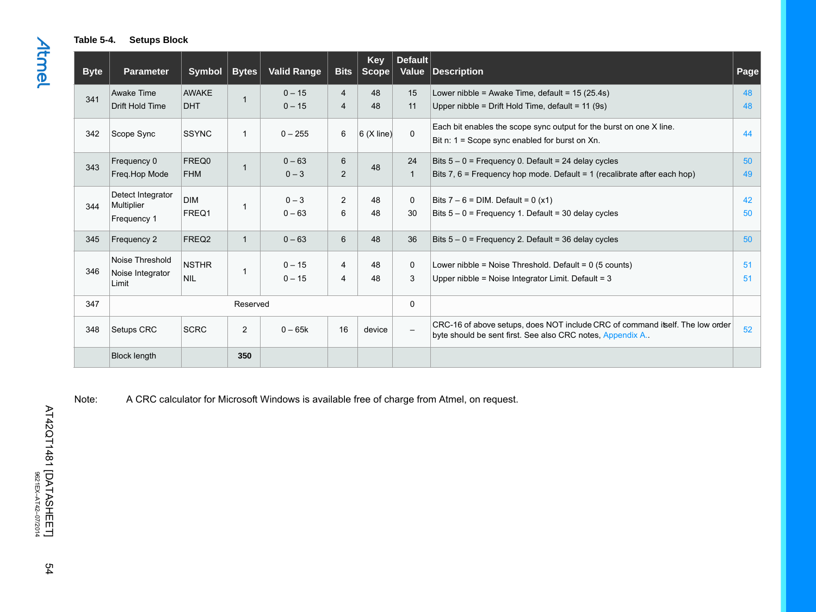### **Table 5-4. Setups Block**

| <b>Byte</b> | <b>Parameter</b>                               | Symbol                     | <b>Bytes</b>   | <b>Valid Range</b>   | <b>Bits</b>                      | Key<br><b>Scope</b> | <b>Default</b><br>Value  | Description                                                                                                                                 | Page     |
|-------------|------------------------------------------------|----------------------------|----------------|----------------------|----------------------------------|---------------------|--------------------------|---------------------------------------------------------------------------------------------------------------------------------------------|----------|
| 341         | Awake Time<br>Drift Hold Time                  | <b>AWAKE</b><br><b>DHT</b> | $\overline{1}$ | $0 - 15$<br>$0 - 15$ | $\overline{4}$<br>$\overline{4}$ | 48<br>48            | 15<br>11                 | Lower nibble = Awake Time, default = $15(25.4s)$<br>Upper nibble = Drift Hold Time, default = $11$ (9s)                                     | 48<br>48 |
| 342         | Scope Sync                                     | <b>SSYNC</b>               | $\mathbf{1}$   | $0 - 255$            | 6                                | $6$ (X line)        | $\mathbf{0}$             | Each bit enables the scope sync output for the burst on one X line.<br>Bit n: $1 =$ Scope sync enabled for burst on Xn.                     | 44       |
| 343         | Frequency 0<br>Freg.Hop Mode                   | FREQ0<br><b>FHM</b>        | $\overline{1}$ | $0 - 63$<br>$0 - 3$  | 6<br>$\overline{2}$              | 48                  | 24                       | Bits $5 - 0$ = Frequency 0. Default = 24 delay cycles<br>Bits 7, 6 = Frequency hop mode. Default = 1 (recalibrate after each hop)           | 50<br>49 |
| 344         | Detect Integrator<br>Multiplier<br>Frequency 1 | <b>DIM</b><br>FREQ1        | $\overline{1}$ | $0 - 3$<br>$0 - 63$  | 2<br>6                           | 48<br>48            | $\Omega$<br>30           | Bits $7 - 6 =$ DIM. Default = 0 (x1)<br>Bits $5 - 0$ = Frequency 1. Default = 30 delay cycles                                               | 42<br>50 |
| 345         | Frequency 2                                    | FREQ2                      | $\mathbf{1}$   | $0 - 63$             | 6                                | 48                  | 36                       | Bits $5 - 0$ = Frequency 2. Default = 36 delay cycles                                                                                       | 50       |
| 346         | Noise Threshold<br>Noise Integrator<br>Limit   | <b>NSTHR</b><br><b>NIL</b> | $\overline{1}$ | $0 - 15$<br>$0 - 15$ | 4<br>4                           | 48<br>48            | $\mathbf 0$<br>3         | Lower nibble = Noise Threshold. Default = $0$ (5 counts)<br>Upper nibble = Noise Integrator Limit. Default = 3                              | 51<br>51 |
| 347         |                                                |                            | Reserved       |                      |                                  |                     | 0                        |                                                                                                                                             |          |
| 348         | Setups CRC                                     | <b>SCRC</b>                | 2              | $0 - 65k$            | 16                               | device              | $\overline{\phantom{a}}$ | CRC-16 of above setups, does NOT include CRC of command itself. The low order<br>byte should be sent first. See also CRC notes, Appendix A. | 52       |
|             | <b>Block length</b>                            |                            | 350            |                      |                                  |                     |                          |                                                                                                                                             |          |

Note: A CRC calculator for Microsoft Windows is available free of charge from Atmel, on request.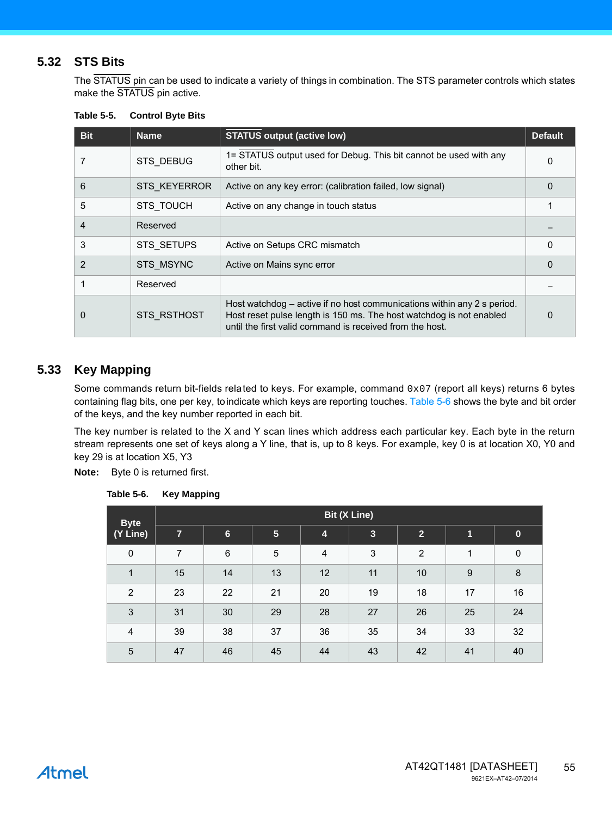### **5.32 STS Bits**

<span id="page-54-1"></span>The STATUS pin can be used to indicate a variety of things in combination. The STS parameter controls which states make the STATUS pin active.

| <b>Bit</b>     | <b>Name</b>         | <b>STATUS output (active low)</b>                                                                                                                                                                          | <b>Default</b> |
|----------------|---------------------|------------------------------------------------------------------------------------------------------------------------------------------------------------------------------------------------------------|----------------|
|                | STS DEBUG           | 1= STATUS output used for Debug. This bit cannot be used with any<br>other bit.                                                                                                                            | 0              |
| 6              | <b>STS KEYERROR</b> | Active on any key error: (calibration failed, low signal)                                                                                                                                                  | 0              |
| 5              | STS TOUCH           | Active on any change in touch status                                                                                                                                                                       |                |
| $\overline{4}$ | Reserved            |                                                                                                                                                                                                            |                |
| 3              | <b>STS SETUPS</b>   | Active on Setups CRC mismatch                                                                                                                                                                              | O              |
| 2              | STS MSYNC           | Active on Mains sync error                                                                                                                                                                                 | 0              |
|                | Reserved            |                                                                                                                                                                                                            |                |
| 0              | STS RSTHOST         | Host watchdog – active if no host communications within any 2 s period.<br>Host reset pulse length is 150 ms. The host watchdog is not enabled<br>until the first valid command is received from the host. | ი              |

#### <span id="page-54-0"></span>**Table 5-5. Control Byte Bits**

### **5.33 Key Mapping**

Some commands return bit-fields related to keys. For example, command  $0 \times 07$  (report all keys) returns 6 bytes containing flag bits, one per key, to indicate which keys are reporting touches. [Table 5-6](#page-54-2) shows the byte and bit order of the keys, and the key number reported in each bit.

The key number is related to the X and Y scan lines which address each particular key. Each byte in the return stream represents one set of keys along a Y line, that is, up to 8 keys. For example, key 0 is at location X0, Y0 and key 29 is at location X5, Y3

**Note:** Byte 0 is returned first.

|                |                |         |                 |                | <b>Bit (X Line)</b> |                |    |           |
|----------------|----------------|---------|-----------------|----------------|---------------------|----------------|----|-----------|
| <b>Byte</b>    |                |         |                 |                |                     |                |    |           |
| (Y Line)       | $\overline{7}$ | $\bf 6$ | $5\phantom{.0}$ | 4              | $\mathbf{3}$        | $\overline{2}$ | 1  | $\pmb{0}$ |
| $\mathbf 0$    | $\overline{7}$ | $\,6$   | 5               | $\overline{4}$ | 3                   | 2              | 1  | $\pmb{0}$ |
| 1              | 15             | 14      | 13              | 12             | 11                  | 10             | 9  | 8         |
| 2              | 23             | 22      | 21              | 20             | 19                  | 18             | 17 | 16        |
| 3              | 31             | 30      | 29              | 28             | 27                  | 26             | 25 | 24        |
| $\overline{4}$ | 39             | 38      | 37              | 36             | 35                  | 34             | 33 | 32        |
| $\overline{5}$ | 47             | 46      | 45              | 44             | 43                  | 42             | 41 | 40        |

<span id="page-54-2"></span>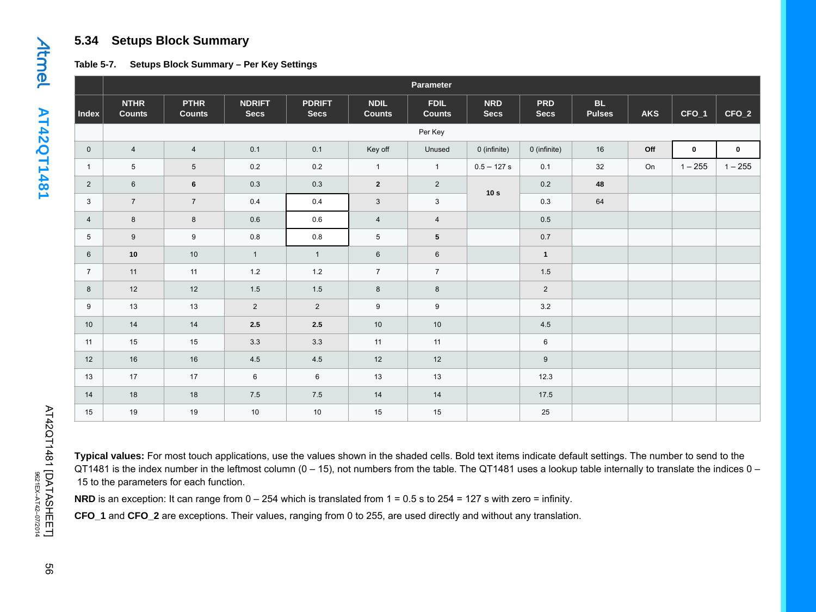# **5.34 Setups Block Summary**

### **Table 5-7. Setups Block Summary – Per Key Settings**

|                |                              |                              |                              |                              |                              | <b>Parameter</b>             |                           |                           |                     |            |             |           |
|----------------|------------------------------|------------------------------|------------------------------|------------------------------|------------------------------|------------------------------|---------------------------|---------------------------|---------------------|------------|-------------|-----------|
| Index          | <b>NTHR</b><br><b>Counts</b> | <b>PTHR</b><br><b>Counts</b> | <b>NDRIFT</b><br><b>Secs</b> | <b>PDRIFT</b><br><b>Secs</b> | <b>NDIL</b><br><b>Counts</b> | <b>FDIL</b><br><b>Counts</b> | <b>NRD</b><br><b>Secs</b> | <b>PRD</b><br><b>Secs</b> | BL<br><b>Pulses</b> | <b>AKS</b> | CFO_1       | $CFO_2$   |
|                |                              |                              |                              |                              |                              | Per Key                      |                           |                           |                     |            |             |           |
| $\mathbf 0$    | $\overline{4}$               | $\overline{4}$               | 0.1                          | 0.1                          | Key off                      | Unused                       | 0 (infinite)              | 0 (infinite)              | 16                  | Off        | $\mathbf 0$ | $\pmb{0}$ |
| $\mathbf{1}$   | $5\phantom{.0}$              | $5\phantom{.0}$              | $0.2\,$                      | 0.2                          | $\mathbf{1}$                 | $\mathbf{1}$                 | $0.5 - 127$ s             | 0.1                       | 32                  | On         | $1 - 255$   | $1 - 255$ |
| $\overline{2}$ | $6\phantom{.}$               | $6\phantom{.}$               | 0.3                          | 0.3                          | $\mathbf{2}$                 | $\overline{2}$               | 10 <sub>s</sub>           | 0.2                       | 48                  |            |             |           |
| 3              | $\overline{7}$               | $\overline{7}$               | 0.4                          | 0.4                          | $\mathbf{3}$                 | $\mathbf{3}$                 |                           | 0.3                       | 64                  |            |             |           |
| $\overline{4}$ | 8                            | 8                            | $0.6\,$                      | 0.6                          | $\overline{4}$               | $\overline{4}$               |                           | 0.5                       |                     |            |             |           |
| 5              | $9\,$                        | 9                            | $0.8\,$                      | 0.8                          | 5                            | $5\phantom{.0}$              |                           | 0.7                       |                     |            |             |           |
| $\,6\,$        | 10                           | 10                           | $\mathbf{1}$                 | $\mathbf{1}$                 | $6\phantom{.}6$              | $6\phantom{.}6$              |                           | $\mathbf{1}$              |                     |            |             |           |
| $\overline{7}$ | 11                           | 11                           | 1.2                          | 1.2                          | $\overline{7}$               | $\overline{7}$               |                           | 1.5                       |                     |            |             |           |
| 8              | 12                           | 12                           | $1.5\,$                      | 1.5                          | 8                            | 8                            |                           | $\overline{2}$            |                     |            |             |           |
| 9              | 13                           | 13                           | $\overline{2}$               | $\overline{2}$               | 9                            | $\boldsymbol{9}$             |                           | 3.2                       |                     |            |             |           |
| 10             | 14                           | 14                           | $2.5\,$                      | $2.5\,$                      | 10                           | 10                           |                           | 4.5                       |                     |            |             |           |
| 11             | 15                           | 15                           | 3.3                          | 3.3                          | 11                           | 11                           |                           | $6\phantom{.}6$           |                     |            |             |           |
| 12             | 16                           | 16                           | 4.5                          | 4.5                          | 12                           | 12                           |                           | 9                         |                     |            |             |           |
| 13             | 17                           | 17                           | $\,6\,$                      | $\,6\,$                      | 13                           | 13                           |                           | 12.3                      |                     |            |             |           |
| 14             | 18                           | 18                           | 7.5                          | 7.5                          | 14                           | 14                           |                           | 17.5                      |                     |            |             |           |
| 15             | 19                           | 19                           | 10                           | 10                           | 15                           | 15                           |                           | 25                        |                     |            |             |           |

**Typical values:** For most touch applications, use the values shown in the shaded cells. Bold text items indicate default settings. The number to send to the QT1481 is the index number in the leftmost column (0 - 15), not numbers from the table. The QT1481 uses a lookup table internally to translate the indices 0 -15 to the parameters for each function.

**NRD** is an exception: It can range from  $0 - 254$  which is translated from  $1 = 0.5$  s to  $254 = 127$  s with zero = infinity.

**CFO\_1** and **CFO\_2** are exceptions. Their values, ranging from 0 to 255, are used directly and without any translation.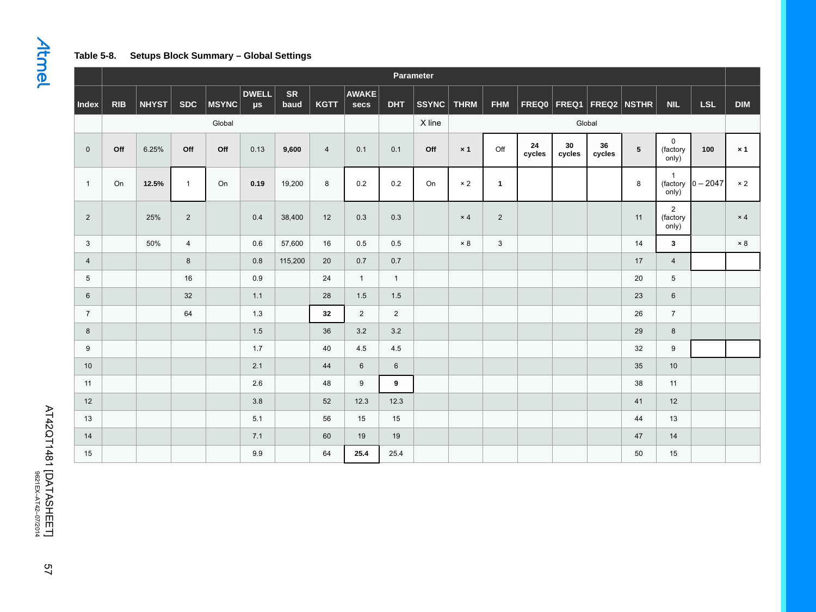### **Table 5-8. Setups Block Summary – Global Settings**

|                |            |              |                |              |                         |                   |                |                      |                | Parameter    |             |                |              |              |              |                               |                                     |            |            |
|----------------|------------|--------------|----------------|--------------|-------------------------|-------------------|----------------|----------------------|----------------|--------------|-------------|----------------|--------------|--------------|--------------|-------------------------------|-------------------------------------|------------|------------|
| Index          | <b>RIB</b> | <b>NHYST</b> | <b>SDC</b>     | <b>MSYNC</b> | <b>DWELL</b><br>$\mu s$ | <b>SR</b><br>baud | <b>KGTT</b>    | <b>AWAKE</b><br>secs | <b>DHT</b>     | <b>SSYNC</b> | <b>THRM</b> | <b>FHM</b>     |              |              |              | $FREQ0$ $FREQ1$ $FREQ2$ NSTHR | <b>NIL</b>                          | <b>LSL</b> | <b>DIM</b> |
|                |            |              |                | Global       |                         |                   |                |                      |                | X line       |             |                |              | Global       |              |                               |                                     |            |            |
| $\mathbf 0$    | Off        | 6.25%        | Off            | Off          | 0.13                    | 9,600             | $\overline{4}$ | 0.1                  | 0.1            | Off          | $\times 1$  | Off            | 24<br>cycles | 30<br>cycles | 36<br>cycles | $5\phantom{.0}$               | $\mathsf{O}$<br>(factory<br>only)   | 100        | $\times 1$ |
| $\mathbf{1}$   | On         | 12.5%        | $\mathbf{1}$   | On           | 0.19                    | 19,200            | 8              | 0.2                  | 0.2            | On           | $\times 2$  | $\mathbf{1}$   |              |              |              | 8                             | $\mathbf{1}$<br>(factory<br>only)   | $0 - 2047$ | $\times 2$ |
| $\overline{2}$ |            | 25%          | $\overline{2}$ |              | 0.4                     | 38,400            | 12             | 0.3                  | 0.3            |              | $\times$ 4  | $\overline{2}$ |              |              |              | 11                            | $\overline{2}$<br>(factory<br>only) |            | $\times$ 4 |
| 3              |            | 50%          | $\overline{4}$ |              | 0.6                     | 57,600            | 16             | 0.5                  | 0.5            |              | $\times 8$  | 3              |              |              |              | 14                            | $\mathbf{3}$                        |            | $\times 8$ |
| $\overline{4}$ |            |              | 8              |              | 0.8                     | 115,200           | 20             | 0.7                  | 0.7            |              |             |                |              |              |              | 17                            | $\overline{4}$                      |            |            |
| 5              |            |              | 16             |              | 0.9                     |                   | 24             | $\mathbf{1}$         | $\mathbf{1}$   |              |             |                |              |              |              | 20                            | 5                                   |            |            |
| $6\phantom{1}$ |            |              | 32             |              | 1.1                     |                   | 28             | 1.5                  | 1.5            |              |             |                |              |              |              | 23                            | $6\phantom{.}$                      |            |            |
| $\overline{7}$ |            |              | 64             |              | 1.3                     |                   | 32             | $\overline{2}$       | $\overline{2}$ |              |             |                |              |              |              | 26                            | $\overline{7}$                      |            |            |
| 8              |            |              |                |              | 1.5                     |                   | 36             | 3.2                  | 3.2            |              |             |                |              |              |              | 29                            | 8                                   |            |            |
| 9              |            |              |                |              | 1.7                     |                   | 40             | 4.5                  | 4.5            |              |             |                |              |              |              | 32                            | 9                                   |            |            |
| 10             |            |              |                |              | 2.1                     |                   | 44             | $6\phantom{1}$       | $6\phantom{1}$ |              |             |                |              |              |              | 35                            | 10                                  |            |            |
| 11             |            |              |                |              | 2.6                     |                   | 48             | 9                    | 9              |              |             |                |              |              |              | 38                            | 11                                  |            |            |
| 12             |            |              |                |              | 3.8                     |                   | 52             | 12.3                 | 12.3           |              |             |                |              |              |              | 41                            | 12                                  |            |            |
| 13             |            |              |                |              | 5.1                     |                   | 56             | 15                   | 15             |              |             |                |              |              |              | 44                            | 13                                  |            |            |
| 14             |            |              |                |              | 7.1                     |                   | 60             | 19                   | 19             |              |             |                |              |              |              | 47                            | 14                                  |            |            |
| 15             |            |              |                |              | 9.9                     |                   | 64             | 25.4                 | 25.4           |              |             |                |              |              |              | 50                            | 15                                  |            |            |

<span id="page-56-0"></span>AT42QT1481 [DATASHEET]<br>AT42QT1481 [DATASHEET] 57 AT42QT1481 [DATASHEET] 9621EX–AT42–07/2014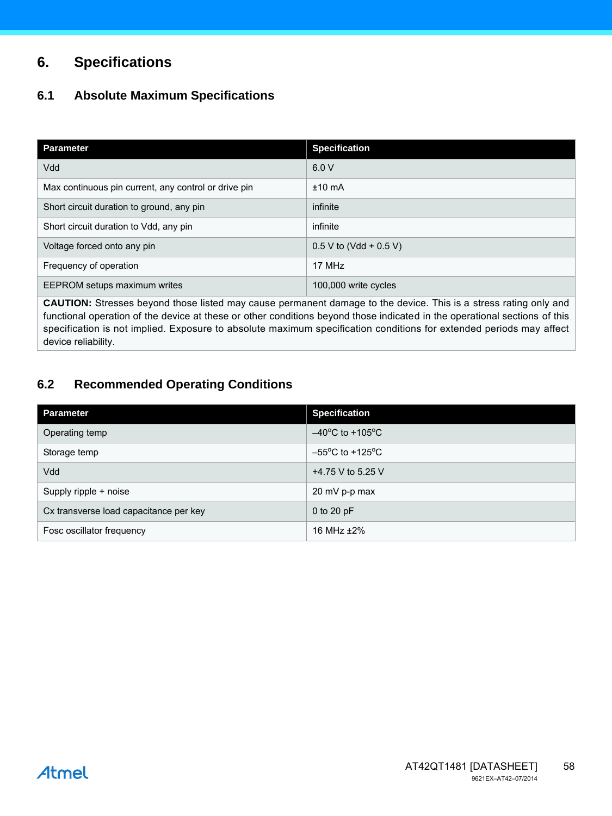# **6. Specifications**

# <span id="page-57-0"></span>**6.1 Absolute Maximum Specifications**

| Parameter                                            | <b>Specification</b>     |
|------------------------------------------------------|--------------------------|
| Vdd                                                  | 6.0V                     |
| Max continuous pin current, any control or drive pin | $±10$ mA                 |
| Short circuit duration to ground, any pin            | infinite                 |
| Short circuit duration to Vdd, any pin               | infinite                 |
| Voltage forced onto any pin                          | $0.5$ V to (Vdd + 0.5 V) |
| Frequency of operation                               | 17 MHz                   |
| EEPROM setups maximum writes                         | 100,000 write cycles     |

**CAUTION:** Stresses beyond those listed may cause permanent damage to the device. This is a stress rating only and functional operation of the device at these or other conditions beyond those indicated in the operational sections of this specification is not implied. Exposure to absolute maximum specification conditions for extended periods may affect device reliability.

# **6.2 Recommended Operating Conditions**

| Parameter                              | <b>Specification</b>                 |
|----------------------------------------|--------------------------------------|
| Operating temp                         | $-40^{\circ}$ C to +105 $^{\circ}$ C |
| Storage temp                           | $-55^{\circ}$ C to +125 $^{\circ}$ C |
| Vdd                                    | +4.75 V to 5.25 V                    |
| Supply ripple + noise                  | 20 mV p-p max                        |
| Cx transverse load capacitance per key | 0 to 20 $pF$                         |
| Fosc oscillator frequency              | 16 MHz $±2\%$                        |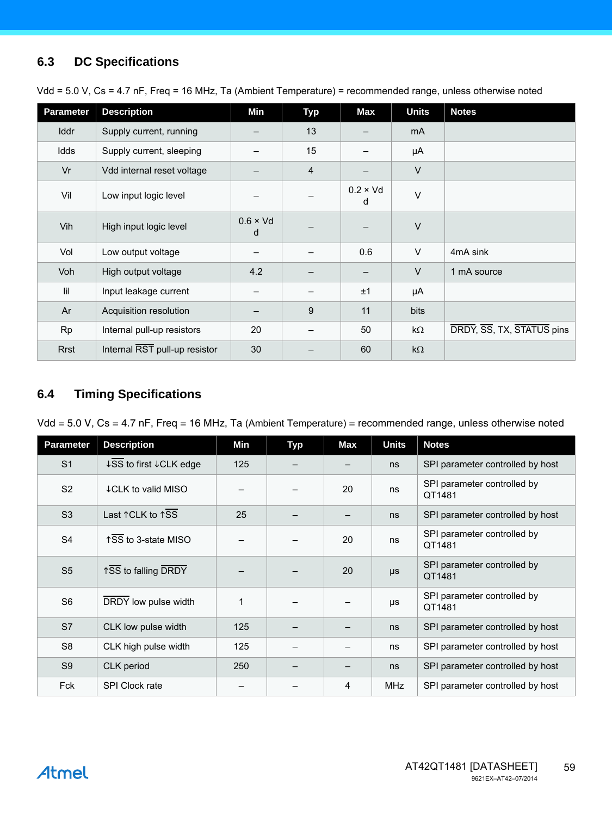# <span id="page-58-0"></span>**6.3 DC Specifications**

| <b>Parameter</b> | <b>Description</b>            | Min                      | <b>Typ</b> | <b>Max</b>           | <b>Units</b> | <b>Notes</b>              |
|------------------|-------------------------------|--------------------------|------------|----------------------|--------------|---------------------------|
| Iddr             | Supply current, running       |                          | 13         |                      | mA           |                           |
| Idds             | Supply current, sleeping      |                          | 15         |                      | μA           |                           |
| Vr               | Vdd internal reset voltage    |                          | 4          |                      | $\vee$       |                           |
| Vil              | Low input logic level         |                          |            | $0.2 \times Vd$<br>d | $\vee$       |                           |
| Vih              | High input logic level        | $0.6 \times Vd$<br>d     |            |                      | $\vee$       |                           |
| Vol              | Low output voltage            | —                        |            | 0.6                  | $\vee$       | 4mA sink                  |
| Voh              | High output voltage           | 4.2                      |            | —                    | $\vee$       | 1 mA source               |
| lil              | Input leakage current         |                          |            | ±1                   | μA           |                           |
| Ar               | Acquisition resolution        | $\overline{\phantom{0}}$ | 9          | 11                   | bits         |                           |
| <b>Rp</b>        | Internal pull-up resistors    | 20                       |            | 50                   | $k\Omega$    | DRDY, SS, TX, STATUS pins |
| <b>Rrst</b>      | Internal RST pull-up resistor | 30                       |            | 60                   | $k\Omega$    |                           |

Vdd = 5.0 V, Cs = 4.7 nF, Freq = 16 MHz, Ta (Ambient Temperature) = recommended range, unless otherwise noted

# **6.4 Timing Specifications**

| $Vdd = 5.0 V$ , Cs = 4.7 nF, Freq = 16 MHz, Ta (Ambient Temperature) = recommended range, unless otherwise noted |
|------------------------------------------------------------------------------------------------------------------|
|------------------------------------------------------------------------------------------------------------------|

| <b>Parameter</b> | <b>Description</b>     | Min | <b>Typ</b> | Max | <b>Units</b> | <b>Notes</b>                          |
|------------------|------------------------|-----|------------|-----|--------------|---------------------------------------|
| S <sub>1</sub>   | ↓SS to first ↓CLK edge | 125 |            |     | ns           | SPI parameter controlled by host      |
| S <sub>2</sub>   | ↓ CLK to valid MISO    |     |            | 20  | ns           | SPI parameter controlled by<br>QT1481 |
| S3               | Last 1CLK to 1SS       | 25  |            |     | ns           | SPI parameter controlled by host      |
| S <sub>4</sub>   | ↑SS to 3-state MISO    |     |            | 20  | ns           | SPI parameter controlled by<br>QT1481 |
| S <sub>5</sub>   | ↑SS to falling DRDY    |     |            | 20  | $\mu s$      | SPI parameter controlled by<br>QT1481 |
| S <sub>6</sub>   | DRDY low pulse width   | 1   |            |     | μs           | SPI parameter controlled by<br>QT1481 |
| S7               | CLK low pulse width    | 125 |            |     | ns           | SPI parameter controlled by host      |
| S <sub>8</sub>   | CLK high pulse width   | 125 |            |     | ns           | SPI parameter controlled by host      |
| S <sub>9</sub>   | CLK period             | 250 |            |     | ns           | SPI parameter controlled by host      |
| Fck              | SPI Clock rate         |     |            | 4   | <b>MHz</b>   | SPI parameter controlled by host      |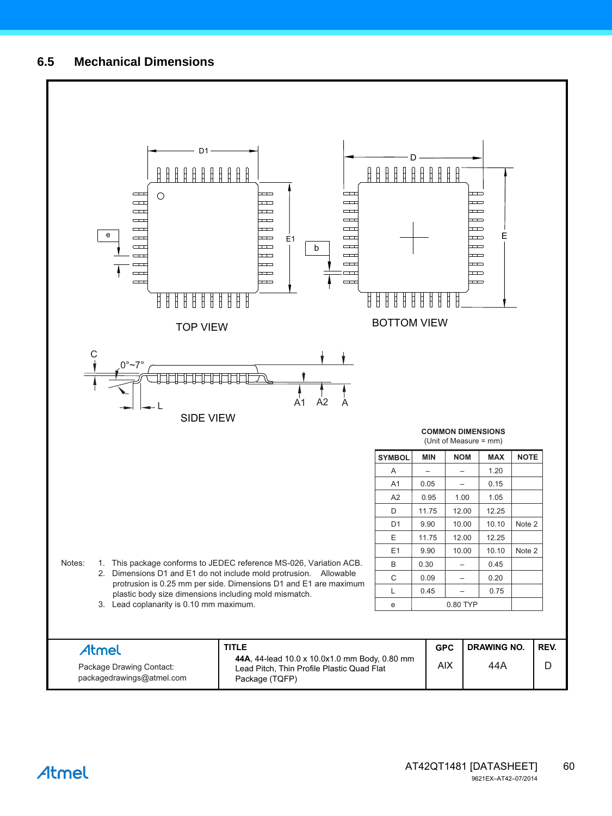Atmel

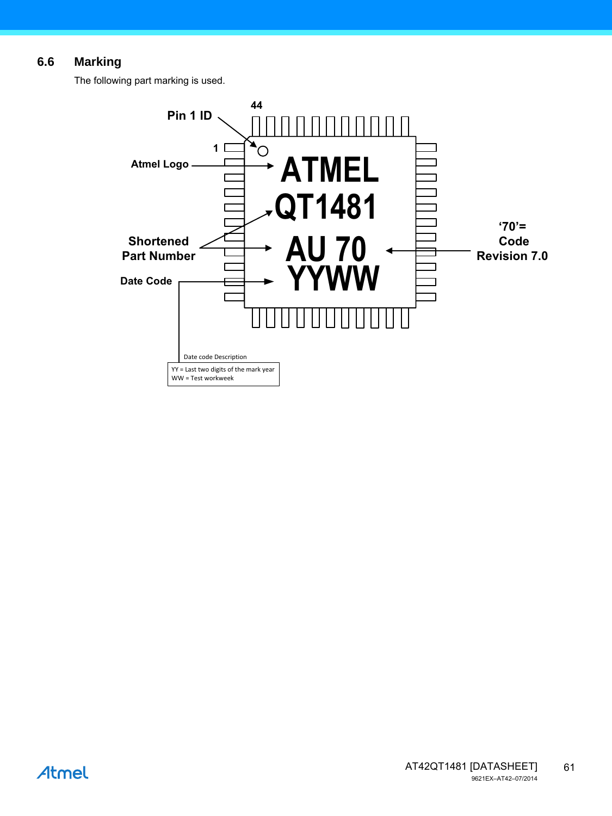# <span id="page-60-0"></span>**6.6 Marking**

The following part marking is used.

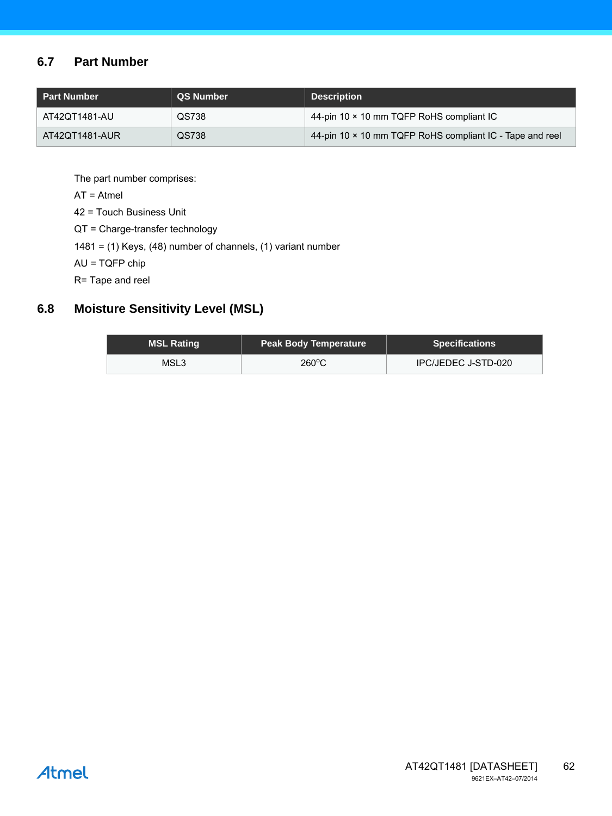## <span id="page-61-0"></span>**6.7 Part Number**

| <b>Part Number</b> | QS Number | <b>Description</b>                                       |
|--------------------|-----------|----------------------------------------------------------|
| AT42QT1481-AU      | QS738     | 44-pin 10 × 10 mm TQFP RoHS compliant IC                 |
| AT42QT1481-AUR     | QS738     | 44-pin 10 x 10 mm TQFP RoHS compliant IC - Tape and reel |

The part number comprises:

AT = Atmel

42 = Touch Business Unit

QT = Charge-transfer technology

1481 = (1) Keys, (48) number of channels, (1) variant number

AU = TQFP chip

R= Tape and reel

# **6.8 Moisture Sensitivity Level (MSL)**

| <b>MSL Rating</b> | <b>Peak Body Temperature</b> | <b>Specifications</b> |
|-------------------|------------------------------|-----------------------|
| MSL3              | $260^{\circ}$ C              | IPC/JEDEC J-STD-020   |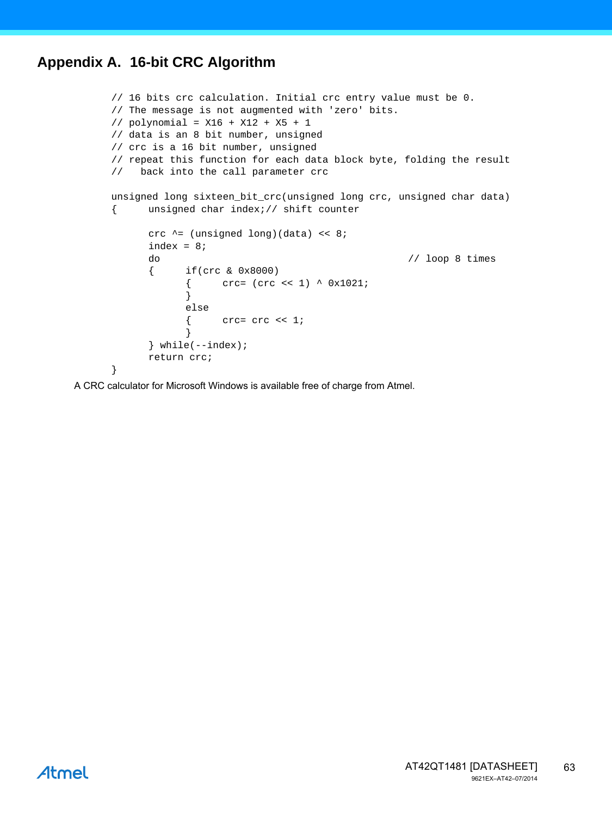# <span id="page-62-0"></span>**Appendix A. 16-bit CRC Algorithm**

```
// 16 bits crc calculation. Initial crc entry value must be 0.
// The message is not augmented with 'zero' bits.
// polynomial = X16 + X12 + X5 + 1
// data is an 8 bit number, unsigned
// crc is a 16 bit number, unsigned
// repeat this function for each data block byte, folding the result
// back into the call parameter crc
unsigned long sixteen_bit_crc(unsigned long crc, unsigned char data)
{ unsigned char index;// shift counter
      crc ^= (unsigned long)(data) << 8;
      index = 8;
      do // loop 8 times
      { if(crc & 0x8000)
            { \quad \text{crc} = (\text{crc} \leq 1) \land 0x1021;}
            else
            \{ crc= crc << 1;
            }
      } while(--index);
      return crc;
}
```
A CRC calculator for Microsoft Windows is available free of charge from Atmel.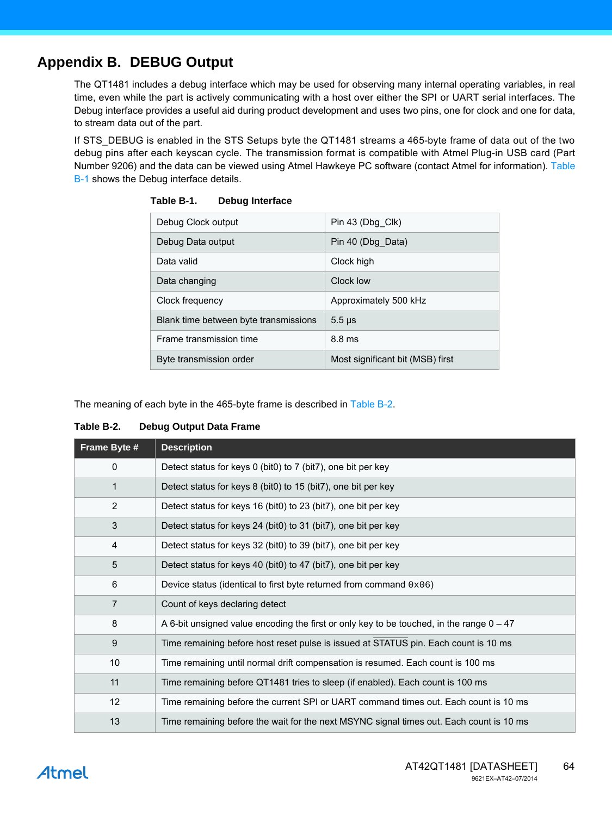# <span id="page-63-0"></span>**Appendix B. DEBUG Output**

The QT1481 includes a debug interface which may be used for observing many internal operating variables, in real time, even while the part is actively communicating with a host over either the SPI or UART serial interfaces. The Debug interface provides a useful aid during product development and uses two pins, one for clock and one for data, to stream data out of the part.

If STS\_DEBUG is enabled in the STS Setups byte the QT1481 streams a 465-byte frame of data out of the two debug pins after each keyscan cycle. The transmission format is compatible with Atmel Plug-in USB card (Part Number 9206) and the data can be viewed using Atmel Hawkeye PC software (contact Atmel for information). [Table](#page-63-1) [B-1](#page-63-1) shows the Debug interface details.

| Debug Clock output                    | Pin 43 (Dbg Clk)                 |  |
|---------------------------------------|----------------------------------|--|
| Debug Data output                     | Pin 40 (Dbg Data)                |  |
| Data valid                            | Clock high                       |  |
| Data changing                         | Clock low                        |  |
| Clock frequency                       | Approximately 500 kHz            |  |
| Blank time between byte transmissions | $5.5 \,\mu s$                    |  |
| Frame transmission time               | $8.8 \text{ ms}$                 |  |
| Byte transmission order               | Most significant bit (MSB) first |  |

<span id="page-63-1"></span>**Table B-1. Debug Interface**

The meaning of each byte in the 465-byte frame is described in [Table B-2](#page-63-2).

<span id="page-63-2"></span>

| Table B-2. | <b>Debug Output Data Frame</b> |  |  |  |
|------------|--------------------------------|--|--|--|
|------------|--------------------------------|--|--|--|

| Frame Byte #   | <b>Description</b>                                                                         |
|----------------|--------------------------------------------------------------------------------------------|
| 0              | Detect status for keys 0 (bit0) to 7 (bit7), one bit per key                               |
| 1              | Detect status for keys 8 (bit0) to 15 (bit7), one bit per key                              |
| 2              | Detect status for keys 16 (bit0) to 23 (bit7), one bit per key                             |
| $\mathfrak{Z}$ | Detect status for keys 24 (bit0) to 31 (bit7), one bit per key                             |
| $\overline{4}$ | Detect status for keys 32 (bit0) to 39 (bit7), one bit per key                             |
| $\overline{5}$ | Detect status for keys 40 (bit0) to 47 (bit7), one bit per key                             |
| 6              | Device status (identical to first byte returned from command $0x06$ )                      |
| $\overline{7}$ | Count of keys declaring detect                                                             |
| 8              | A 6-bit unsigned value encoding the first or only key to be touched, in the range $0 - 47$ |
| 9              | Time remaining before host reset pulse is issued at STATUS pin. Each count is 10 ms        |
| 10             | Time remaining until normal drift compensation is resumed. Each count is 100 ms            |
| 11             | Time remaining before QT1481 tries to sleep (if enabled). Each count is 100 ms             |
| 12             | Time remaining before the current SPI or UART command times out. Each count is 10 ms       |
| 13             | Time remaining before the wait for the next MSYNC signal times out. Each count is 10 ms    |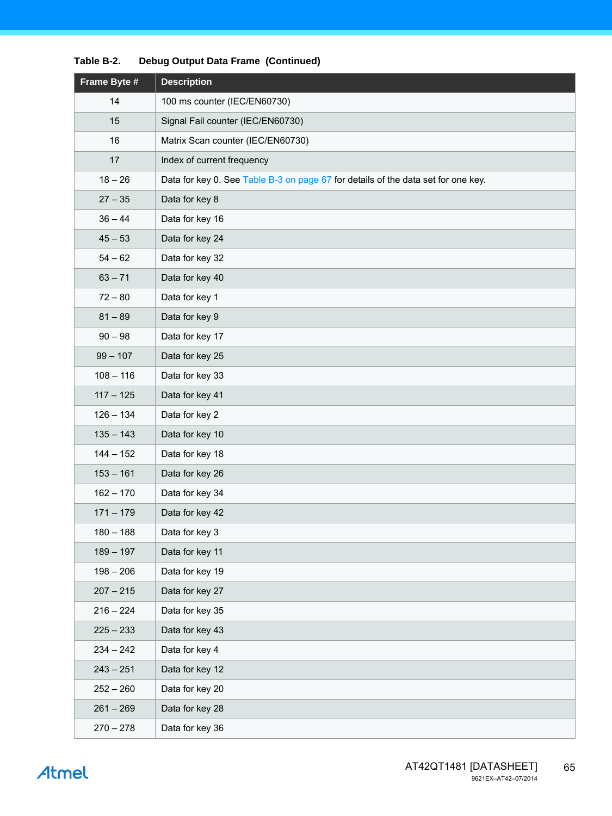| Frame Byte # | <b>Description</b>                                                                |
|--------------|-----------------------------------------------------------------------------------|
| 14           | 100 ms counter (IEC/EN60730)                                                      |
| 15           | Signal Fail counter (IEC/EN60730)                                                 |
| 16           | Matrix Scan counter (IEC/EN60730)                                                 |
| 17           | Index of current frequency                                                        |
| $18 - 26$    | Data for key 0. See Table B-3 on page 67 for details of the data set for one key. |
| $27 - 35$    | Data for key 8                                                                    |
| $36 - 44$    | Data for key 16                                                                   |
| $45 - 53$    | Data for key 24                                                                   |
| $54 - 62$    | Data for key 32                                                                   |
| $63 - 71$    | Data for key 40                                                                   |
| $72 - 80$    | Data for key 1                                                                    |
| $81 - 89$    | Data for key 9                                                                    |
| $90 - 98$    | Data for key 17                                                                   |
| $99 - 107$   | Data for key 25                                                                   |
| $108 - 116$  | Data for key 33                                                                   |
| $117 - 125$  | Data for key 41                                                                   |
| $126 - 134$  | Data for key 2                                                                    |
| $135 - 143$  | Data for key 10                                                                   |
| $144 - 152$  | Data for key 18                                                                   |
| $153 - 161$  | Data for key 26                                                                   |
| $162 - 170$  | Data for key 34                                                                   |
| $171 - 179$  | Data for key 42                                                                   |
| $180 - 188$  | Data for key 3                                                                    |
| $189 - 197$  | Data for key 11                                                                   |
| $198 - 206$  | Data for key 19                                                                   |
| $207 - 215$  | Data for key 27                                                                   |
| $216 - 224$  | Data for key 35                                                                   |
| $225 - 233$  | Data for key 43                                                                   |
| $234 - 242$  | Data for key 4                                                                    |
| $243 - 251$  | Data for key 12                                                                   |
| $252 - 260$  | Data for key 20                                                                   |
| $261 - 269$  | Data for key 28                                                                   |
| $270 - 278$  | Data for key 36                                                                   |

### **Table B-2. Debug Output Data Frame (Continued)**

# Atmel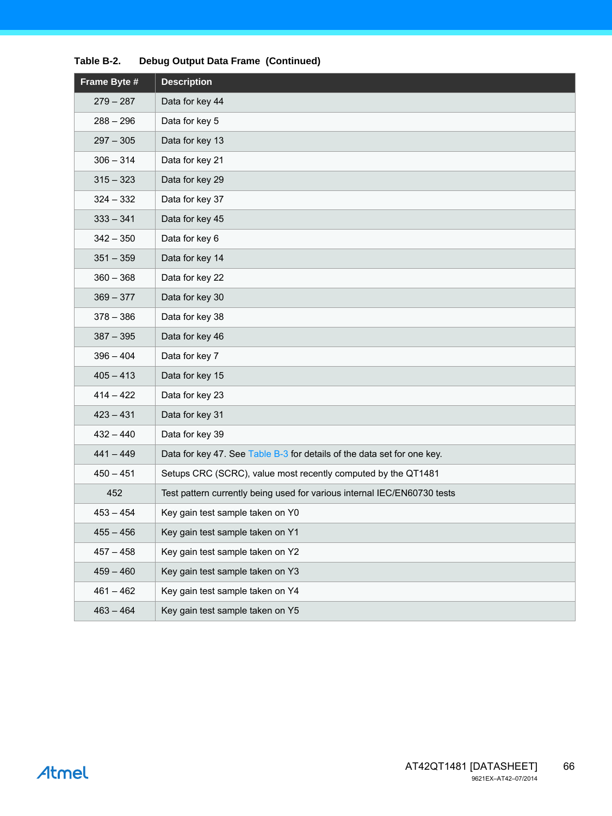| Frame Byte # | <b>Description</b>                                                       |
|--------------|--------------------------------------------------------------------------|
| $279 - 287$  | Data for key 44                                                          |
| $288 - 296$  | Data for key 5                                                           |
| $297 - 305$  | Data for key 13                                                          |
| $306 - 314$  | Data for key 21                                                          |
| $315 - 323$  | Data for key 29                                                          |
| $324 - 332$  | Data for key 37                                                          |
| $333 - 341$  | Data for key 45                                                          |
| $342 - 350$  | Data for key 6                                                           |
| $351 - 359$  | Data for key 14                                                          |
| $360 - 368$  | Data for key 22                                                          |
| $369 - 377$  | Data for key 30                                                          |
| $378 - 386$  | Data for key 38                                                          |
| $387 - 395$  | Data for key 46                                                          |
| $396 - 404$  | Data for key 7                                                           |
| $405 - 413$  | Data for key 15                                                          |
| $414 - 422$  | Data for key 23                                                          |
| $423 - 431$  | Data for key 31                                                          |
| $432 - 440$  | Data for key 39                                                          |
| $441 - 449$  | Data for key 47. See Table B-3 for details of the data set for one key.  |
| $450 - 451$  | Setups CRC (SCRC), value most recently computed by the QT1481            |
| 452          | Test pattern currently being used for various internal IEC/EN60730 tests |
| $453 - 454$  | Key gain test sample taken on Y0                                         |
| 455 – 456    | Key gain test sample taken on Y1                                         |
| $457 - 458$  | Key gain test sample taken on Y2                                         |
| $459 - 460$  | Key gain test sample taken on Y3                                         |
| $461 - 462$  | Key gain test sample taken on Y4                                         |
| $463 - 464$  | Key gain test sample taken on Y5                                         |

### **Table B-2. Debug Output Data Frame (Continued)**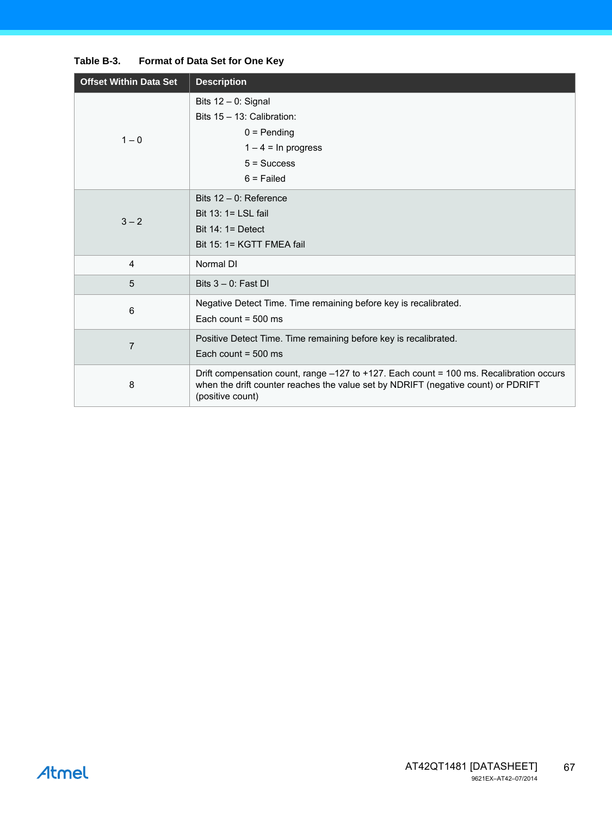| <b>Offset Within Data Set</b> | <b>Description</b>                                                                                                                                                                               |
|-------------------------------|--------------------------------------------------------------------------------------------------------------------------------------------------------------------------------------------------|
| $1 - 0$                       | Bits $12 - 0$ : Signal<br>Bits 15 - 13: Calibration:<br>$0 =$ Pending<br>$1 - 4 = \ln$ progress<br>$5 =$ Success<br>$6$ = Failed                                                                 |
| $3 - 2$                       | Bits $12 - 0$ : Reference<br>Bit $13: 1 =$ LSL fail<br>Bit $14:1 =$ Detect<br>Bit 15: 1= KGTT FMEA fail                                                                                          |
| 4                             | Normal DI                                                                                                                                                                                        |
| 5                             | Bits $3 - 0$ : Fast DI                                                                                                                                                                           |
| 6                             | Negative Detect Time. Time remaining before key is recalibrated.<br>Each count = $500$ ms                                                                                                        |
| $\overline{7}$                | Positive Detect Time. Time remaining before key is recalibrated.<br>Each count = $500$ ms                                                                                                        |
| 8                             | Drift compensation count, range -127 to +127. Each count = 100 ms. Recalibration occurs<br>when the drift counter reaches the value set by NDRIFT (negative count) or PDRIFT<br>(positive count) |

#### <span id="page-66-0"></span>**Table B-3. Format of Data Set for One Key**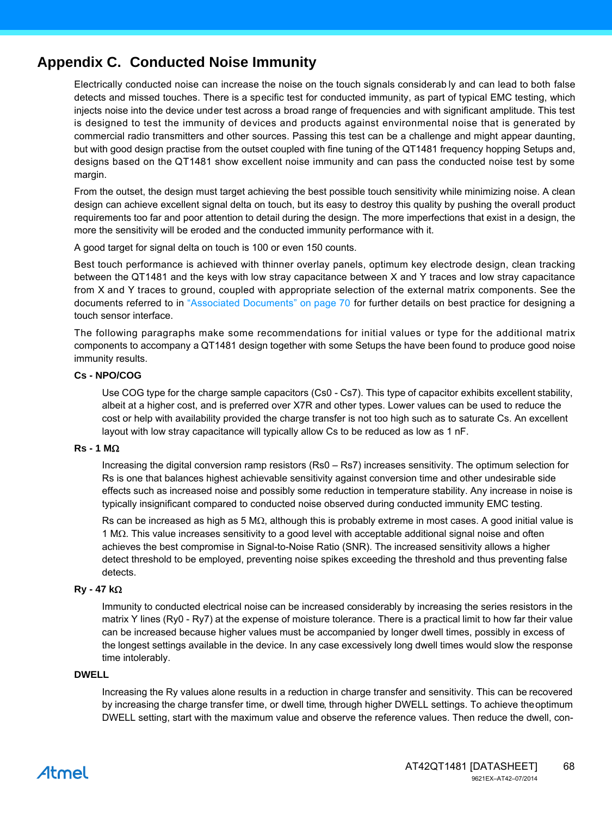# <span id="page-67-0"></span>**Appendix C. Conducted Noise Immunity**

Electrically conducted noise can increase the noise on the touch signals considerab ly and can lead to both false detects and missed touches. There is a specific test for conducted immunity, as part of typical EMC testing, which injects noise into the device under test across a broad range of frequencies and with significant amplitude. This test is designed to test the immunity of devices and products against environmental noise that is generated by commercial radio transmitters and other sources. Passing this test can be a challenge and might appear daunting, but with good design practise from the outset coupled with fine tuning of the QT1481 frequency hopping Setups and, designs based on the QT1481 show excellent noise immunity and can pass the conducted noise test by some margin.

From the outset, the design must target achieving the best possible touch sensitivity while minimizing noise. A clean design can achieve excellent signal delta on touch, but its easy to destroy this quality by pushing the overall product requirements too far and poor attention to detail during the design. The more imperfections that exist in a design, the more the sensitivity will be eroded and the conducted immunity performance with it.

A good target for signal delta on touch is 100 or even 150 counts.

Best touch performance is achieved with thinner overlay panels, optimum key electrode design, clean tracking between the QT1481 and the keys with low stray capacitance between X and Y traces and low stray capacitance from X and Y traces to ground, coupled with appropriate selection of the external matrix components. See the documents referred to in ["Associated Documents" on page 70](#page-69-0) for further details on best practice for designing a touch sensor interface.

The following paragraphs make some recommendations for initial values or type for the additional matrix components to accompany a QT1481 design together with some Setups the have been found to produce good noise immunity results.

#### **Cs - NPO/COG**

Use COG type for the charge sample capacitors (Cs0 - Cs7). This type of capacitor exhibits excellent stability, albeit at a higher cost, and is preferred over X7R and other types. Lower values can be used to reduce the cost or help with availability provided the charge transfer is not too high such as to saturate Cs. An excellent layout with low stray capacitance will typically allow Cs to be reduced as low as 1 nF.

#### $Rs - 1$  M $\Omega$

Increasing the digital conversion ramp resistors (Rs0 – Rs7) increases sensitivity. The optimum selection for Rs is one that balances highest achievable sensitivity against conversion time and other undesirable side effects such as increased noise and possibly some reduction in temperature stability. Any increase in noise is typically insignificant compared to conducted noise observed during conducted immunity EMC testing.

Rs can be increased as high as 5 M $\Omega$ , although this is probably extreme in most cases. A good initial value is  $1 \text{ M}\Omega$ . This value increases sensitivity to a good level with acceptable additional signal noise and often achieves the best compromise in Signal-to-Noise Ratio (SNR). The increased sensitivity allows a higher detect threshold to be employed, preventing noise spikes exceeding the threshold and thus preventing false detects.

#### **Ry - 47 k**

Immunity to conducted electrical noise can be increased considerably by increasing the series resistors in the matrix Y lines (Ry0 - Ry7) at the expense of moisture tolerance. There is a practical limit to how far their value can be increased because higher values must be accompanied by longer dwell times, possibly in excess of the longest settings available in the device. In any case excessively long dwell times would slow the response time intolerably.

#### **DWELL**

Increasing the Ry values alone results in a reduction in charge transfer and sensitivity. This can be recovered by increasing the charge transfer time, or dwell time, through higher DWELL settings. To achieve the optimum DWELL setting, start with the maximum value and observe the reference values. Then reduce the dwell, con-

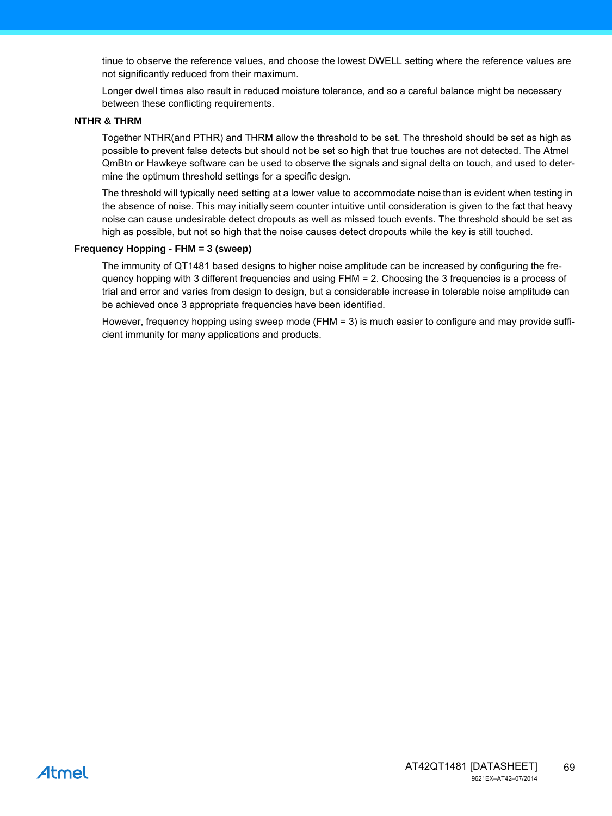tinue to observe the reference values, and choose the lowest DWELL setting where the reference values are not significantly reduced from their maximum.

Longer dwell times also result in reduced moisture tolerance, and so a careful balance might be necessary between these conflicting requirements.

#### **NTHR & THRM**

Together NTHR(and PTHR) and THRM allow the threshold to be set. The threshold should be set as high as possible to prevent false detects but should not be set so high that true touches are not detected. The Atmel QmBtn or Hawkeye software can be used to observe the signals and signal delta on touch, and used to determine the optimum threshold settings for a specific design.

The threshold will typically need setting at a lower value to accommodate noise than is evident when testing in the absence of noise. This may initially seem counter intuitive until consideration is given to the fact that heavy noise can cause undesirable detect dropouts as well as missed touch events. The threshold should be set as high as possible, but not so high that the noise causes detect dropouts while the key is still touched.

#### **Frequency Hopping - FHM = 3 (sweep)**

The immunity of QT1481 based designs to higher noise amplitude can be increased by configuring the frequency hopping with 3 different frequencies and using FHM = 2. Choosing the 3 frequencies is a process of trial and error and varies from design to design, but a considerable increase in tolerable noise amplitude can be achieved once 3 appropriate frequencies have been identified.

However, frequency hopping using sweep mode (FHM = 3) is much easier to configure and may provide sufficient immunity for many applications and products.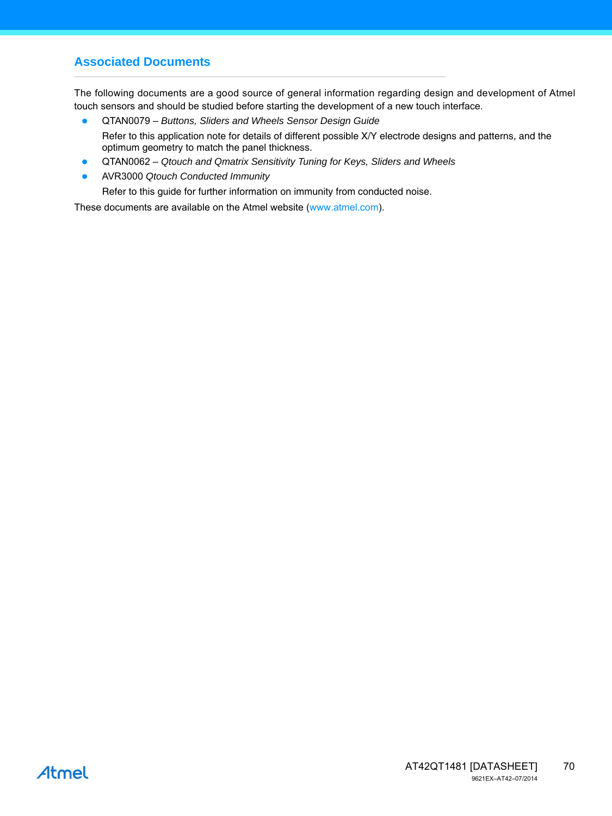## <span id="page-69-0"></span>**Associated Documents**

The following documents are a good source of general information regarding design and development of Atmel touch sensors and should be studied before starting the development of a new touch interface.

- QTAN0079 *Buttons, Sliders and Wheels Sensor Design Guide* Refer to this application note for details of different possible X/Y electrode designs and patterns, and the optimum geometry to match the panel thickness.
- QTAN0062 *Qtouch and Qmatrix Sensitivity Tuning for Keys, Sliders and Wheels*
- AVR3000 *Qtouch Conducted Immunity*

Refer to this guide for further information on immunity from conducted noise.

These documents are available on the Atmel website [\(](http://www.atmel.com/touch)[www.atmel.com](HTTP://www.atmel.com/touch)).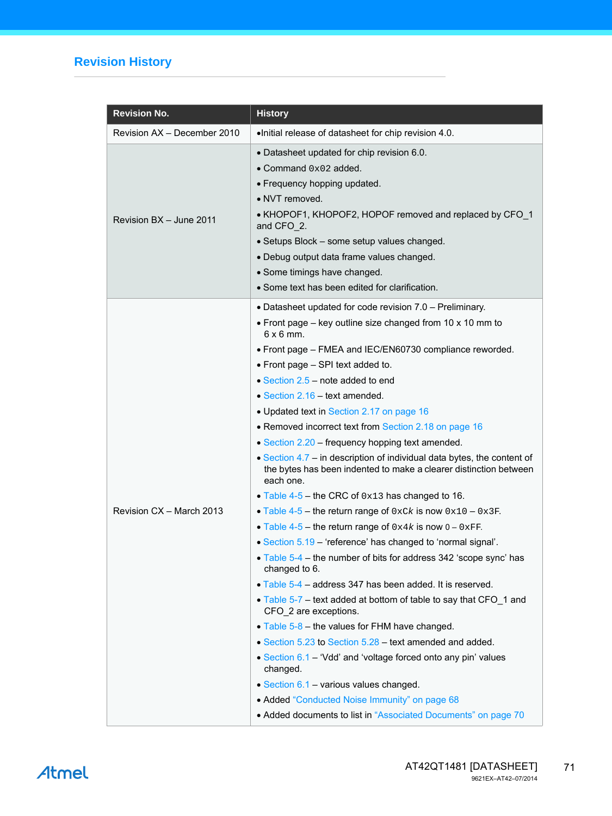# **Revision History**

| <b>Revision No.</b>         | <b>History</b>                                                                                                                                                                                                                                                                                                                                                                                                                                                                                                                                                                                                                                                                                                                                                                                                                                                                                                                                                                                                                                                                                                                                                                                                                                                                                                                                                                                                                                                                                                                                                     |
|-----------------------------|--------------------------------------------------------------------------------------------------------------------------------------------------------------------------------------------------------------------------------------------------------------------------------------------------------------------------------------------------------------------------------------------------------------------------------------------------------------------------------------------------------------------------------------------------------------------------------------------------------------------------------------------------------------------------------------------------------------------------------------------------------------------------------------------------------------------------------------------------------------------------------------------------------------------------------------------------------------------------------------------------------------------------------------------------------------------------------------------------------------------------------------------------------------------------------------------------------------------------------------------------------------------------------------------------------------------------------------------------------------------------------------------------------------------------------------------------------------------------------------------------------------------------------------------------------------------|
| Revision AX - December 2010 | .Initial release of datasheet for chip revision 4.0.                                                                                                                                                                                                                                                                                                                                                                                                                                                                                                                                                                                                                                                                                                                                                                                                                                                                                                                                                                                                                                                                                                                                                                                                                                                                                                                                                                                                                                                                                                               |
| Revision BX - June 2011     | • Datasheet updated for chip revision 6.0.<br>• Command $0x02$ added.<br>• Frequency hopping updated.<br>• NVT removed.<br>• KHOPOF1, KHOPOF2, HOPOF removed and replaced by CFO_1<br>and CFO 2.<br>• Setups Block - some setup values changed.<br>· Debug output data frame values changed.<br>• Some timings have changed.<br>• Some text has been edited for clarification.                                                                                                                                                                                                                                                                                                                                                                                                                                                                                                                                                                                                                                                                                                                                                                                                                                                                                                                                                                                                                                                                                                                                                                                     |
| Revision CX - March 2013    | • Datasheet updated for code revision 7.0 - Preliminary.<br>• Front page $-$ key outline size changed from 10 x 10 mm to<br>$6 \times 6$ mm.<br>• Front page - FMEA and IEC/EN60730 compliance reworded.<br>• Front page – SPI text added to.<br>$\bullet$ Section 2.5 – note added to end<br>• Section 2.16 – text amended.<br>• Updated text in Section 2.17 on page 16<br>• Removed incorrect text from Section 2.18 on page 16<br>• Section 2.20 – frequency hopping text amended.<br>• Section 4.7 – in description of individual data bytes, the content of<br>the bytes has been indented to make a clearer distinction between<br>each one.<br>• Table 4-5 – the CRC of $0x13$ has changed to 16.<br>• Table 4-5 – the return range of $0 \times Ck$ is now $0 \times 10 - 0 \times 3F$ .<br>• Table 4-5 – the return range of $0 \times 4k$ is now $0 - 0 \times FF$ .<br>• Section 5.19 – 'reference' has changed to 'normal signal'.<br>• Table 5-4 – the number of bits for address 342 'scope sync' has<br>changed to 6.<br>• Table 5-4 – address 347 has been added. It is reserved.<br>• Table 5-7 – text added at bottom of table to say that CFO_1 and<br>CFO_2 are exceptions.<br>$\bullet$ Table 5-8 – the values for FHM have changed.<br>• Section 5.23 to Section 5.28 – text amended and added.<br>• Section 6.1 – 'Vdd' and 'voltage forced onto any pin' values<br>changed.<br>• Section 6.1 - various values changed.<br>• Added "Conducted Noise Immunity" on page 68<br>• Added documents to list in "Associated Documents" on page 70 |

Atmel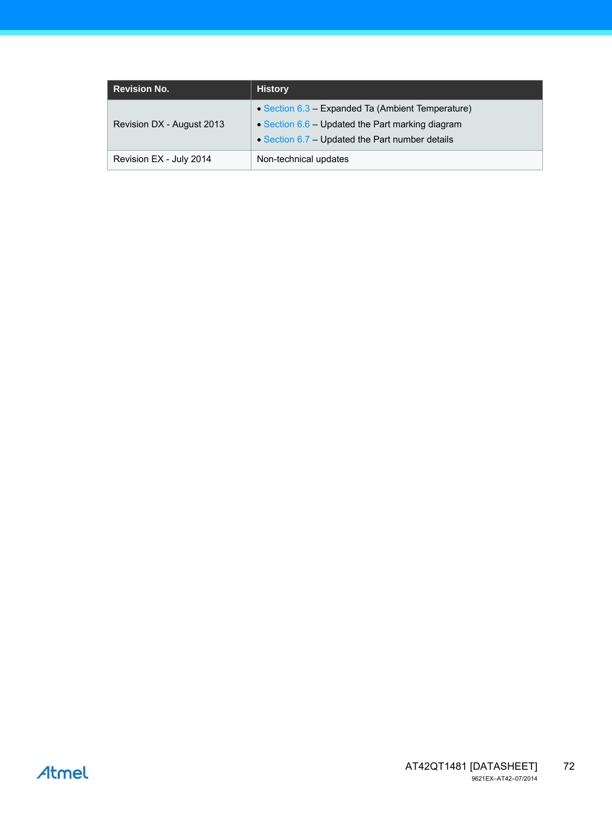| <b>Revision No.</b>       | <b>History</b>                                                                                                                                             |
|---------------------------|------------------------------------------------------------------------------------------------------------------------------------------------------------|
| Revision DX - August 2013 | • Section 6.3 – Expanded Ta (Ambient Temperature)<br>• Section $6.6$ – Updated the Part marking diagram<br>• Section 6.7 – Updated the Part number details |
| Revision EX - July 2014   | Non-technical updates                                                                                                                                      |

Atmel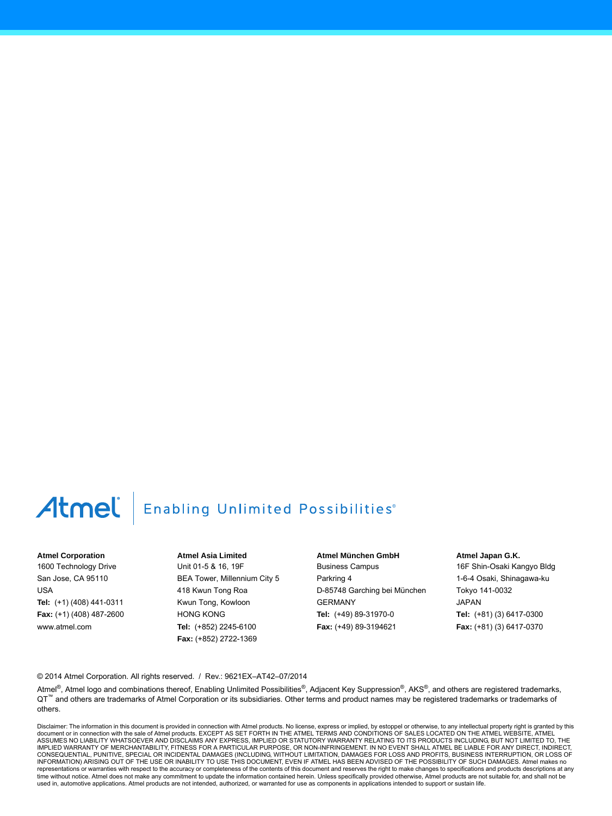## Atmel

## **Enabling Unlimited Possibilities**®

## **Atmel Corporation**

1600 Technology Drive San Jose, CA 95110 USA **Tel:** (+1) (408) 441-0311 **Fax:** (+1) (408) 487-2600 www.atmel.com

**Atmel Asia Limited** Unit 01-5 & 16, 19F BEA Tower, Millennium City 5 418 Kwun Tong Roa Kwun Tong, Kowloon HONG KONG **Tel:** (+852) 2245-6100 **Fax:** (+852) 2722-1369

**Atmel München GmbH** Business Campus Parkring 4 D-85748 Garching bei München GERMANY **Tel:** (+49) 89-31970-0 **Fax:** (+49) 89-3194621

**Atmel Japan G.K.**

16F Shin-Osaki Kangyo Bldg 1-6-4 Osaki, Shinagawa-ku Tokyo 141-0032 JAPAN **Tel:** (+81) (3) 6417-0300 **Fax:** (+81) (3) 6417-0370

© 2014 Atmel Corporation. All rights reserved. / Rev.: 9621EX–AT42–07/2014

Atmel®, Atmel logo and combinations thereof, Enabling Unlimited Possibilities®, Adjacent Key Suppression®, AKS®, and others are registered trademarks, QT™ and others are trademarks of Atmel Corporation or its subsidiaries. Other terms and product names may be registered trademarks or trademarks of others.

Disclaimer: The information in this document is provided in connection with Atmel products. No license, express or implied, by estoppel or otherwise, to any intellectual property right is granted by this document or in connection with the sale of Atmel products. EXCEPT AS SET FORTH IN THE ATMEL TERMS AND CONDITIONS OF SALES LOCATED ON THE ATMEL WEBSITE, ATMEL<br>ASSUMES NO LIABILITY WHATSOEVER AND DISCLAIMS ANY EXPRESS, IMPLI IMPLIED WARRANTY OF MERCHANTABILITY, FITNESS FOR A PARTICULAR PURPOSE, OR NON-INFRINGEMENT. IN NO EVENT SHALL ATMEL BE LIABLE FOR ANY DIRECT, INDIRECT, CONSEQUENTIAL, PUNITIVE, SPECIAL OR INCIDENTAL DAMAGES (INCLUDING, WITHOUT LIMITATION, DAMAGES FOR LOSS AND PROFITS, BUSINESS INTERRUPTION, OR LOSS OF INFORMATION) ARISING OUT OF THE USE OR INABILITY TO USE THIS DOCUMENT, EVEN IF ATMEL HAS BEEN ADVISED OF THE POSSIBILITY OF SUCH DAMAGES. Atmel makes no representations or warranties with respect to the accuracy or completeness of the contents of this document and reserves the right to make changes to specifications and products descriptions at any<br>time without notice. Atm used in, automotive applications. Atmel products are not intended, authorized, or warranted for use as components in applications intended to support or sustain life.